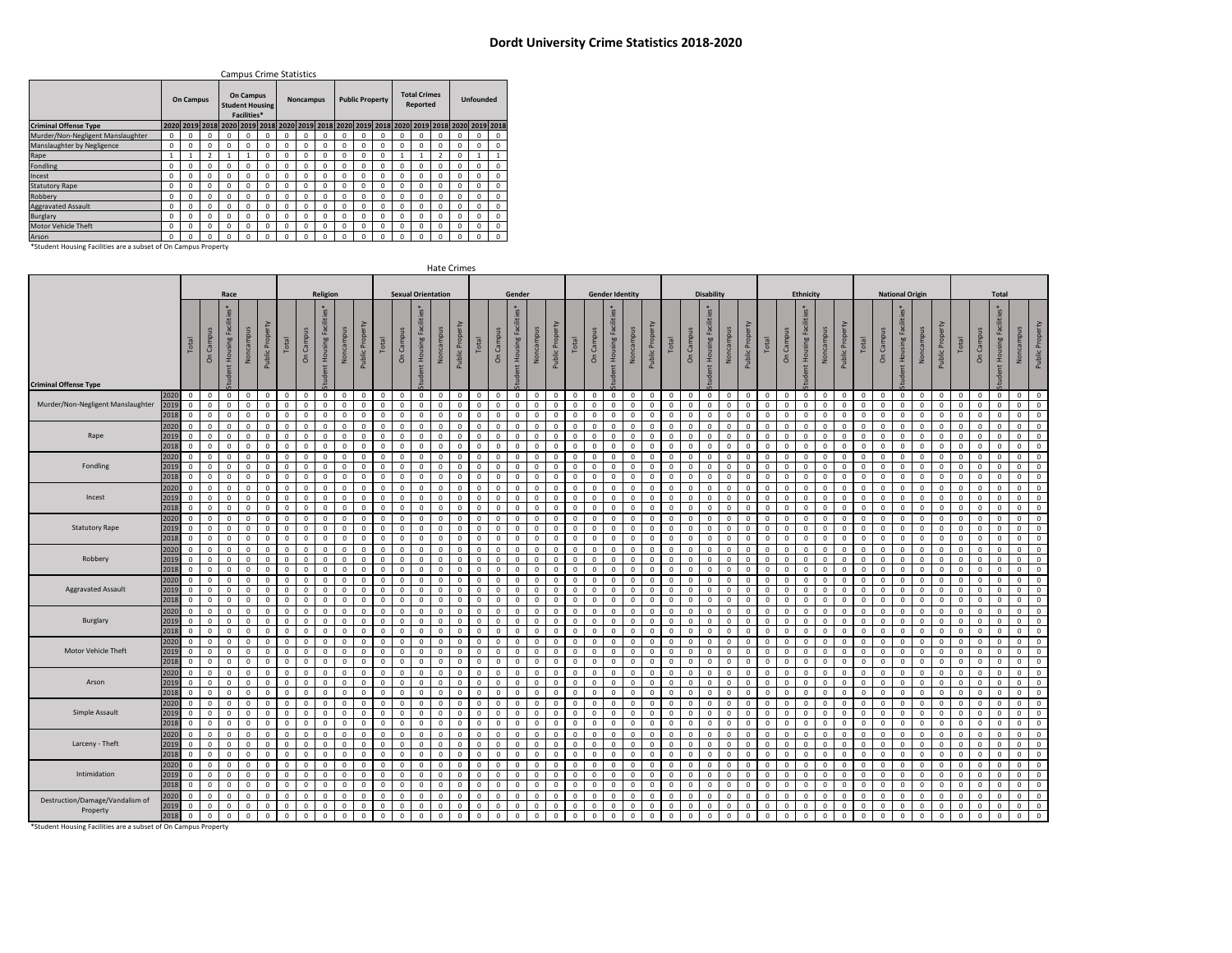## **Dordt University Crime Statistics 2018-2020**

|                                                                |             |           |          |          |                                 | <b>Campus Crime Statistics</b> |          |                  |                                                                                                            |          |                        |          |              |                                 |              |                  |             |          |  |  |
|----------------------------------------------------------------|-------------|-----------|----------|----------|---------------------------------|--------------------------------|----------|------------------|------------------------------------------------------------------------------------------------------------|----------|------------------------|----------|--------------|---------------------------------|--------------|------------------|-------------|----------|--|--|
|                                                                |             | On Campus |          |          | <b>On Campus</b><br>Facilities* | <b>Student Housing</b>         |          | <b>Noncampus</b> |                                                                                                            |          | <b>Public Property</b> |          |              | <b>Total Crimes</b><br>Reported |              | <b>Unfounded</b> |             |          |  |  |
| <b>Criminal Offense Type</b>                                   |             |           |          |          |                                 |                                |          |                  | 2020  2019  2018  2020  2019  2018  2020  2019  2018  2020  2019  2018  2020  2019  2018  2020  2019  2018 |          |                        |          |              |                                 |              |                  |             |          |  |  |
| Murder/Non-Negligent Manslaughter                              | $\mathbf 0$ | o         | $\Omega$ | o        | $\Omega$                        | o                              | 0        | 0                | 0                                                                                                          | o        | 0                      | n        | o            |                                 |              | O                |             | $\Omega$ |  |  |
| Manslaughter by Negligence                                     | $\Omega$    | $\Omega$  | $\Omega$ | $\Omega$ | $\Omega$                        | $\Omega$                       | $\Omega$ | 0                | $\Omega$                                                                                                   | $\Omega$ | $\Omega$               | o        | <sup>0</sup> |                                 |              | <sup>0</sup>     | $\Omega$    | $\Omega$ |  |  |
| Rape                                                           | 1           |           | 2        |          |                                 | $\Omega$                       | $\Omega$ | $\Omega$         | $\Omega$                                                                                                   | $\Omega$ | $\Omega$               | o        |              |                                 |              | <sup>0</sup>     |             |          |  |  |
| Fondling                                                       | $\Omega$    | $\Omega$  | $\Omega$ | $\Omega$ | $\Omega$                        | $\Omega$                       | $\Omega$ | 0                | $\Omega$                                                                                                   | O        | 0                      | o        | <sup>0</sup> | o                               | <sup>0</sup> | <sup>0</sup>     | $\Omega$    | $\Omega$ |  |  |
| Incest                                                         | 0           | $\Omega$  | $\Omega$ | $\Omega$ | $\Omega$                        | $\Omega$                       | $\Omega$ | 0                | $\Omega$                                                                                                   | O        | 0                      | O        | $\Omega$     | O.                              | $\Omega$     | $\Omega$         | $\mathbf 0$ | $\Omega$ |  |  |
| <b>Statutory Rape</b>                                          | $\Omega$    | $\Omega$  | $\Omega$ | $\Omega$ | $\Omega$                        | $\Omega$                       | $\Omega$ | O                | $\Omega$                                                                                                   | O        | $\Omega$               | O        | $\Omega$     | o                               | $\Omega$     | $\Omega$         | $\Omega$    | $\Omega$ |  |  |
| Robbery                                                        | 0           | $\Omega$  | $\Omega$ | $\Omega$ | $\mathbf 0$                     | $\Omega$                       | $\Omega$ | 0                | $\Omega$                                                                                                   | $\Omega$ | 0                      | $\Omega$ | 0            | O.                              | $\Omega$     | <sup>0</sup>     | $\Omega$    | $\Omega$ |  |  |
| <b>Aggravated Assault</b>                                      | $\Omega$    | $\Omega$  | $\Omega$ | $\Omega$ | $\Omega$                        | $\Omega$                       | $\Omega$ | 0                | $\Omega$                                                                                                   | $\Omega$ | 0                      | 0        | $\Omega$     | O.                              | $\Omega$     | <sup>0</sup>     | $\Omega$    | $\Omega$ |  |  |
| Burglary                                                       | $\Omega$    | $\Omega$  | $\Omega$ | $\Omega$ | $\Omega$                        | $\Omega$                       | $\Omega$ | $\Omega$         | $\Omega$                                                                                                   | $\Omega$ | $\Omega$               | O        | $\Omega$     | n                               | O.           | <sup>0</sup>     | $\Omega$    | $\Omega$ |  |  |
| Motor Vehicle Theft                                            | $\Omega$    | $\Omega$  | $\Omega$ | $\Omega$ | $\Omega$                        | $\Omega$                       | $\Omega$ | $\Omega$         | $\Omega$                                                                                                   | $\Omega$ | $\Omega$               | o        | O.           |                                 |              | <sup>0</sup>     | $\Omega$    | $\Omega$ |  |  |
| Arson                                                          | $\Omega$    | $\Omega$  | $\Omega$ | $\Omega$ | $\Omega$                        | n                              | $\Omega$ | <sub>0</sub>     | $\Omega$                                                                                                   | O        | $\Omega$               | O        | $\Omega$     |                                 |              | $\Omega$         | $\Omega$    | $\Omega$ |  |  |
| *Student Housing Facilities are a subset of On Campus Property |             |           |          |          |                                 |                                |          |                  |                                                                                                            |          |                        |          |              |                                 |              |                  |             |          |  |  |

| Religion<br><b>Sexual Orientation</b><br><b>Disability</b><br>Race<br>Gender<br><b>Gender Identity</b><br>Ethnicity<br><b>National Origin</b><br><b>Total</b><br>es*<br>udent Housing Facilit<br>Public Property<br>Ident Housing Fac<br>udent Housing Fac<br>udent Housing Fac<br>Ident Housing Fac<br>Noncampus<br>Noncampus<br>Noncampus<br>Noncampus<br>Noncampus<br>Noncampus<br>Noncampus<br>On Campus<br>Noncampus<br>Public Proper<br>Noncampus<br>On Campus<br>On Campus<br>Public Proper<br>On Campus<br>Public Prope<br>Campus<br>On Campu<br>On Campu<br>On Camp<br>On Campu<br>Public Prope<br>Public Prop<br>Public Prop<br>Public Prop<br>Prop<br>dent Housing<br>dent Housing<br>dent Housing<br>dent Housing<br>Total<br>Total<br>Total<br>Total<br>Total<br>Total<br>Total<br>Total<br>Total<br>Public<br>$\delta$<br><b>Criminal Offense Type</b><br>$\circ$<br>$\circ$<br>2020<br>$\circ$<br>$\Omega$<br>$^{\circ}$<br>$\mathbf{0}$<br>$^{\circ}$<br>$\mathbf{0}$<br>$\mathbf{0}$<br>$\circ$<br>$\mathbf{0}$<br>$\mathbf{0}$<br>$\circ$<br>$\mathbf{0}$<br>$\circ$<br>$\mathbf{0}$<br>$\mathbf{0}$<br>$\circ$<br>$\mathbf{0}$<br>$\mathbf{0}$<br>$\mathbf{0}$<br>$\mathbf{0}$<br>$\mathbf{0}$<br>$\Omega$<br>$\mathbf{0}$<br>$\mathbf{0}$<br>$\Omega$<br>$\Omega$<br>$\Omega$<br>$^{\circ}$<br>$\Omega$<br>$^{\circ}$<br>$\Omega$<br>$\Omega$<br>$\Omega$<br>$\mathbf{0}$<br>$\mathbf{0}$<br>$^{\circ}$<br>$\Omega$<br>$\Omega$<br>$\Omega$<br>$^{\circ}$<br>$^{\circ}$<br>$\Omega$<br>$\Omega$<br>Murder/Non-Negligent Manslaughter<br>2019<br>$\mathbf 0$<br>$\mathbf 0$<br>$\circ$<br>$\mathbf 0$<br>$\mathbf 0$<br>$\mathbf{0}$<br>$\mathsf 0$<br>$\Omega$<br>$\mathbf 0$<br>$\mathbf 0$<br>$\mathsf 0$<br>$\mathbf 0$<br>$\Omega$<br>$\mathbb O$<br>$\mathbf 0$<br>$\mathbf 0$<br>$\circ$<br>$\mathbf 0$<br>$\mathbf 0$<br>$\mathbf 0$<br>$\mathbf 0$<br>$\circ$<br>$\circ$<br>$\mathsf 0$<br>$\mathbf 0$<br>$\mathbf{0}$<br>$\mathbf{0}$<br>$\mathbf 0$<br>$\mathbf 0$<br>$\circ$<br>$\Omega$<br>$\mathbf 0$<br>$\mathsf 0$<br>$\circ$<br>$\circ$<br>$\mathbf 0$<br>$\mathsf 0$<br>$\mathbf 0$<br>$\Omega$<br>$\Omega$<br>$\Omega$<br>$\Omega$<br>$\circ$<br>$\Omega$<br>$\Omega$<br>2018<br>$\mathbf 0$<br>$\mathbf{0}$<br>$\mathbf{0}$<br>$\circ$<br>$\circ$<br>$\mathbf{0}$<br>$\Omega$<br>$\Omega$<br>$\mathbf{0}$<br>$\Omega$<br>$\circ$<br>$\Omega$<br>$\circ$<br>$^{\circ}$<br>$\Omega$<br>$\Omega$<br>$\Omega$<br>$\circ$<br>$^{\circ}$<br>$\mathbf{0}$<br>$\mathbf 0$<br>$\Omega$<br>$\Omega$<br>$\Omega$<br>$^{\circ}$<br>$\Omega$<br>$\Omega$<br>$\Omega$<br>$\Omega$<br>$\Omega$<br>$\Omega$<br>$\Omega$<br>$\mathbf 0$<br>$\Omega$<br>$\Omega$<br>$\Omega$<br>$\Omega$<br>$\Omega$<br>$\Omega$<br>$\Omega$<br>$\Omega$<br>$\Omega$<br>2020<br>$\mathbf 0$<br>$\circ$<br>$\mathbf 0$<br>$\mathbf{0}$<br>$\circ$<br>$\mathbf{0}$<br>$^{\circ}$<br>$\Omega$<br>$\mathbf{0}$<br>$\Omega$<br>$\circ$<br>$\circ$<br>$\Omega$<br>$\mathbf 0$<br>$^{\circ}$<br>$\Omega$<br>$\Omega$<br>$\circ$<br>$\circ$<br>$\circ$<br>$\circ$<br>$\mathbf 0$<br>$\Omega$<br>$\Omega$<br>$\Omega$<br>$\Omega$<br>$\Omega$<br>$\Omega$<br>$\Omega$<br>$\Omega$<br>$\Omega$<br>$\Omega$<br>$\Omega$<br>$\Omega$<br>$\Omega$<br>$\Omega$<br>$\Omega$<br>$\Omega$<br>$\Omega$<br>$\Omega$<br>$\Omega$<br>$\Omega$<br>2019<br>$\Omega$<br>$\mathbf{0}$<br>$\circ$<br>$\Omega$<br>$\Omega$<br>Rape<br>$\mathbf 0$<br>$\Omega$<br>$\Omega$<br>$\Omega$<br>$\Omega$<br>$\Omega$<br>$\Omega$<br>$\Omega$<br>$\mathbf 0$<br>$\Omega$<br>$\circ$<br>$\Omega$<br>$\circ$<br>$\Omega$<br>$\Omega$<br>$\Omega$<br>$\Omega$<br>$\circ$<br>$\Omega$<br>$\mathbf 0$<br>$\Omega$<br>$\Omega$<br>$\Omega$<br>$\Omega$<br>$\Omega$<br>$\Omega$<br>$\Omega$<br>$\Omega$<br>$\Omega$<br>$\Omega$<br>$\Omega$<br>$\Omega$<br>$\Omega$<br>$\Omega$<br>$\Omega$<br>$\Omega$<br>$\Omega$<br>$\Omega$<br>$\Omega$<br>$\Omega$<br>2018<br>$\mathbf 0$<br>$\circ$<br>$\mathbb O$<br>$\mathbf 0$<br>$\circ$<br>$\mathbf 0$<br>$\mathbf 0$<br>$\mathbf 0$<br>$\mathsf 0$<br>$\mathsf 0$<br>$\mathsf 0$<br>$\Omega$<br>$\mathbf 0$<br>$\Omega$<br>$\mathsf 0$<br>$\mathbf 0$<br>$\mathsf 0$<br>$\mathbf 0$<br>$\mathbf 0$<br>$\mathbf 0$<br>$\mathbf{0}$<br>$\Omega$<br>$\mathbf 0$<br>$\mathbf 0$<br>$\circ$<br>$\circ$<br>$\Omega$<br>$\mathsf 0$<br>$\mathsf 0$<br>$\mathbf 0$<br>$\Omega$<br>$\Omega$<br>$\Omega$<br>$\Omega$<br>$\Omega$<br>$\mathbf 0$<br>$\Omega$<br>$\Omega$<br>$\mathbf 0$<br>$\Omega$<br>$\mathbf 0$<br>$\Omega$<br>$\Omega$<br>$\Omega$<br>2020<br>$\circ$<br>$\circ$<br>$\mathbf 0$<br>$\mathbf 0$<br>$\circ$<br>$\mathsf 0$<br>$^{\circ}$<br>$\Omega$<br>$\mathbf 0$<br>$\Omega$<br>$\circ$<br>$\mathbf 0$<br>$\mathsf 0$<br>$\mathbf 0$<br>$\circ$<br>$\mathbf 0$<br>$\mathbf 0$<br>$\circ$<br>$\mathbf 0$<br>$^{\circ}$<br>$\mathsf 0$<br>$\Omega$<br>$\mathsf 0$<br>$\mathbf 0$<br>$\circ$<br>$\overline{0}$<br>$\mathsf 0$<br>$\mathsf 0$<br>$\mathbf 0$<br>$\Omega$<br>$\Omega$<br>$\Omega$<br>$\Omega$<br>$\Omega$<br>$\Omega$<br>$\Omega$<br>$\Omega$<br>0<br>$\Omega$<br>$^{\circ}$<br>$\Omega$<br>$^{\circ}$<br>$\Omega$<br>2019<br>Fondling<br>$\mathbf 0$<br>$\Omega$<br>$\mathbf 0$<br>$\mathbf 0$<br>$\circ$<br>$\Omega$<br>$\mathbf 0$<br>$\Omega$<br>$\Omega$<br>$\Omega$<br>$\mathbf 0$<br>$\Omega$<br>$\Omega$<br>$\mathbf{0}$<br>$\mathbf 0$<br>$\Omega$<br>$\mathbf{0}$<br>$\mathbf 0$<br>$\Omega$<br>$\circ$<br>$\mathbf{0}$<br>$\mathbf 0$<br>$\mathbf{0}$<br>$\mathbf{0}$<br>$\Omega$<br>$\circ$<br>$\Omega$<br>$\Omega$<br>$\Omega$<br>$\circ$<br>$\circ$<br>$\Omega$<br>$\Omega$<br>$\Omega$<br>$\Omega$<br>$\Omega$<br>$\Omega$<br>$\Omega$<br>$\Omega$<br>$\Omega$<br>$\Omega$<br>$\Omega$<br>$\Omega$<br>2018<br>$\circ$<br>$\mathbf 0$<br>$\mathbf 0$<br>$\mathbf{0}$<br>$\mathbf 0$<br>$\Omega$<br>$\mathbf{0}$<br>$\mathbf 0$<br>$\mathbf 0$<br>$\circ$<br>$\circ$<br>$\Omega$<br>$\Omega$<br>$\Omega$<br>$\Omega$<br>$\Omega$<br>$\mathbf{0}$<br>$\circ$<br>$\circ$<br>$\Omega$<br>$\Omega$<br>$\Omega$<br>$\Omega$<br>$\Omega$<br>$\circ$<br>$\Omega$<br>$^{\circ}$<br>$\Omega$<br>$\Omega$<br>$\Omega$<br>$\Omega$<br>$\Omega$<br>C<br>$\Omega$<br>$\Omega$<br>$\Omega$<br>$\Omega$<br>$\Omega$<br>$\Omega$<br>$\Omega$<br>$\Omega$<br>$\Omega$<br>2020<br>$\mathbf 0$<br>$\circ$<br>$\mathbf 0$<br>$\mathbb O$<br>$\mathbf 0$<br>$\mathbf 0$<br>$\mathbf 0$<br>$\mathsf 0$<br>$\mathsf 0$<br>$\mathbf 0$<br>$\mathbf{0}$<br>$\mathsf 0$<br>$\mathsf 0$<br>0<br>$\mathsf 0$<br>$\mathbf 0$<br>$\mathsf 0$<br>$\mathsf 0$<br>$\mathsf 0$<br>$\mathbf 0$<br>$\mathbf 0$<br>$\mathbf 0$<br>$\mathbf 0$<br>$\mathsf 0$<br>$\mathsf 0$<br>$\mathbf 0$<br>$\mathbf 0$<br>$\mathbf 0$<br>$\mathsf 0$<br>$\mathsf 0$<br>$\mathbf 0$<br>$\overline{0}$<br>$\mathbf 0$<br>$^{\circ}$<br>$\mathbf 0$<br>$\overline{0}$<br>$\circ$<br>0<br>$^{\circ}$<br>$\mathbf{0}$<br>$\circ$<br>$\overline{0}$<br>$\Omega$<br>2019<br>$\overline{0}$<br>$\circ$<br>$\mathbf 0$<br>$\mathbf 0$<br>$\mathbf{0}$<br>$\circ$<br>$\mathbf{0}$<br>$\mathbf 0$<br>$\circ$<br>$\mathbf 0$<br>$\mathbf 0$<br>Incest<br>$\mathbf{0}$<br>$\circ$<br>$\circ$<br>0<br>$\mathbf{0}$<br>$\mathbf 0$<br>$\overline{0}$<br>$\circ$<br>$\mathbf 0$<br>$\mathbf{0}$<br>$\circ$<br>$\mathbf 0$<br>$\mathbf{0}$<br>$^{\circ}$<br>$^{\circ}$<br>$\circ$<br>$\mathbf 0$<br>$\mathbf 0$<br>$\mathbf 0$<br>$\mathbf{0}$<br>$\mathbf 0$<br>$\mathbf{0}$<br>$\mathbf{0}$<br>$\Omega$<br>$^{\circ}$<br>$^{\circ}$<br>$^{\circ}$<br>$\Omega$<br>0<br>$^{\circ}$<br>$\Omega$<br>$\mathbf{0}$<br>$^{\circ}$<br>$\Omega$<br>2018<br>$\mathbf 0$<br>$\circ$<br>$\circ$<br>$\Omega$<br>$\Omega$<br>$\circ$<br>$\Omega$<br>$^{\circ}$<br>$\Omega$<br>$\circ$<br>$\mathbf{0}$<br>$\Omega$<br>$\Omega$<br>$^{\circ}$<br>$\circ$<br>$\circ$<br>$\mathsf 0$<br>$\mathbf 0$<br>$\Omega$<br>$^{\circ}$<br>$\Omega$<br>$\Omega$<br>$\Omega$<br>$\circ$<br>$\mathbf{0}$<br>$^{\circ}$<br>$\circ$<br>$\Omega$<br>$\Omega$<br>$\Omega$<br>$\Omega$<br>$\Omega$<br>$\Omega$<br>$\Omega$<br>$\Omega$<br>$\Omega$<br>$^{\circ}$<br>$\Omega$<br>$\Omega$<br>$\Omega$<br>$\Omega$<br>$\Omega$<br>$\Omega$<br>$\Omega$<br>$\Omega$<br>2020<br>$\mathbf 0$<br>$\mathbf{0}$<br>$\Omega$<br>$\mathbf 0$<br>$\Omega$<br>$\Omega$<br>$\circ$<br>$\mathbf{0}$<br>$\mathbf{0}$<br>$\mathbf{0}$<br>$\mathbf 0$<br>$\mathbf{0}$<br>$\circ$<br>$\mathbf 0$<br>$\Omega$<br>$\Omega$<br>$\Omega$<br>$\Omega$<br>$\Omega$<br>$\Omega$<br>$\mathbf{0}$<br>$\circ$<br>$\Omega$<br>$\Omega$<br>$\Omega$<br>$\Omega$<br>$\Omega$<br>$\mathbf 0$<br>$\Omega$<br>$^{\circ}$<br>$\Omega$<br>$\Omega$<br>$\mathbf{0}$<br>$\Omega$<br>$\circ$<br>$\Omega$<br>$\Omega$<br>$\Omega$<br>$\Omega$<br>$\Omega$<br>$\Omega$<br>$\Omega$<br>$\Omega$<br>2019<br>$\mathbf 0$<br>$\circ$<br>$\mathbf 0$<br>$\mathbf 0$<br>$\mathbf 0$<br>$\mathbb O$<br>$\mathbf 0$<br>$\circ$<br>$\mathbf 0$<br>$\mathbf{0}$<br>$\mathbf 0$<br>$\mathsf 0$<br>$\mathbf 0$<br><b>Statutory Rape</b><br>$\mathbf{0}$<br>$\circ$<br>$\overline{0}$<br>$\circ$<br>$\circ$<br>$\mathbf{0}$<br>$\circ$<br>$\circ$<br>$\overline{0}$<br>$\circ$<br>$\mathbf 0$<br>$\mathbf{0}$<br>$\Omega$<br>$\mathbf 0$<br>$\mathbf 0$<br>$\mathbf 0$<br>$^{\circ}$<br>$\mathbf 0$<br>$^{\circ}$<br>$\Omega$<br>$\mathbf 0$<br>$\mathbf 0$<br>$^{\circ}$<br>$\mathbf 0$<br>$\mathbf 0$<br>$\mathbf{0}$<br>$\mathbf 0$<br>$\circ$<br>$\Omega$<br>$\Omega$<br>$\Omega$<br>$\Omega$<br>2018<br>$\mathbf 0$<br>$\circ$<br>$\mathbf 0$<br>$\mathbf{0}$<br>$\mathbf 0$<br>$\circ$<br>$\mathbf 0$<br>$\circ$<br>$\mathbf 0$<br>$\mathbf{0}$<br>$\circ$<br>$\overline{0}$<br>$\circ$<br>$\mathbf 0$<br>$\mathbf{0}$<br>$\mathbf 0$<br>$\circ$<br>$\circ$<br>$\mathbf{0}$<br>$\mathbf 0$<br>$\mathbf 0$<br>$\mathbf 0$<br>$\mathbf 0$<br>$\mathbf 0$<br>$\circ$<br>$\mathbf 0$<br>$\mathbf 0$<br>$\circ$<br>$\mathbf{0}$<br>$\overline{0}$<br>$\mathsf 0$<br>$^{\circ}$<br>$\Omega$<br>$\circ$<br>$\mathbf{0}$<br>$^{\circ}$<br>$\mathbf 0$<br>$\circ$<br>$^{\circ}$<br>$^{\circ}$<br>$^{\circ}$<br>$\circ$<br>$^{\circ}$<br>$\Omega$<br>$\Omega$<br>2020<br>$\overline{0}$<br>$\mathbf 0$<br>$\circ$<br>$\mathbf{0}$<br>$\Omega$<br>$\mathbf 0$<br>$\mathbf{0}$<br>$\Omega$<br>$\mathbf{0}$<br>$\Omega$<br>$\mathbf{0}$<br>$\circ$<br>$\circ$<br>$\mathbf 0$<br>$\Omega$<br>$\circ$<br>$\circ$<br>$\circ$<br>$\mathbf 0$<br>$\circ$<br>$\Omega$<br>$\mathbf{0}$<br>$\Omega$<br>$\mathbf{0}$<br>$\Omega$<br>$\circ$<br>$\sqrt{ }$<br>$\Omega$<br>$\Omega$<br>$\Omega$<br>$\Omega$<br>$\circ$<br>$\Omega$<br>$\Omega$<br>$\Omega$<br>$\Omega$<br>$\Omega$<br>$\Omega$<br>$\Omega$<br>$\Omega$<br>$\Omega$<br>$\Omega$<br>2019<br>$\circ$<br>$\circ$<br>$\circ$<br>$\circ$<br>Robbery<br>$\mathbf{0}$<br>$\mathbf 0$<br>$\mathbf{0}$<br>$\mathbf 0$<br>$\mathbf 0$<br>$\mathbf{0}$<br>$\mathbf 0$<br>$\mathbf 0$<br>$\circ$<br>$\mathbf{0}$<br>$\circ$<br>$\mathbf{0}$<br>$\mathbf 0$<br>$\mathbf 0$<br>$\mathbf 0$<br>$\mathbf 0$<br>$\mathbf 0$<br>$\Omega$<br>$\circ$<br>$\Omega$<br>$\circ$<br>$\circ$<br>$\circ$<br>$\mathbf 0$<br>$\mathbf 0$<br>$\mathbf 0$<br>$^{\circ}$<br>$\mathbf 0$<br>$\mathbf 0$<br>$\Omega$<br>$\mathbf 0$<br>$\mathbf{0}$<br>$\Omega$<br>$\circ$<br>$\Omega$<br>$\Omega$<br>$\Omega$<br>$\Omega$<br>$\Omega$<br>2018<br>$\mathbf 0$<br>$\circ$<br>$\circ$<br>$\circ$<br>$\mathbf 0$<br>$\circ$<br>$^{\circ}$<br>$\circ$<br>$\mathsf 0$<br>$\mathbf{0}$<br>$^{\circ}$<br>$\mathbf 0$<br>$\circ$<br>$\overline{0}$<br>$^{\circ}$<br>$\mathsf 0$<br>$\mathbf 0$<br>$\circ$<br>$\circ$<br>$\circ$<br>$\mathbf 0$<br>$\mathbf 0$<br>$\mathbf 0$<br>$\mathbf{0}$<br>$\mathbf 0$<br>$\mathbf 0$<br>$\circ$<br>$\circ$<br>$\mathbf 0$<br>$\mathbf 0$<br>$\circ$<br>$\circ$<br>$\circ$<br>$\circ$<br>$\mathsf 0$<br>$\mathsf 0$<br>$\mathbf{0}$<br>$\Omega$<br>$\mathbf 0$<br>$\Omega$<br>$^{\circ}$<br>$\Omega$<br>$\Omega$<br>$\Omega$<br>$\Omega$<br>2020<br>$\mathbf 0$<br>$\mathbf{0}$<br>$\circ$<br>$\Omega$<br>$\Omega$<br>$^{\circ}$<br>$\circ$<br>$\Omega$<br>$\mathbf{0}$<br>$\Omega$<br>$\circ$<br>$\Omega$<br>$\circ$<br>$\Omega$<br>$\circ$<br>$\Omega$<br>$\Omega$<br>$\mathbf 0$<br>$\Omega$<br>$\Omega$<br>$\Omega$<br>$^{\circ}$<br>$\Omega$<br>$\Omega$<br>$\circ$<br>$\Omega$<br>$\mathbf{0}$<br>$\mathbf 0$<br>$\Omega$<br>$\Omega$<br>$\Omega$<br>$\mathsf{C}$<br>$\Omega$<br>$\Omega$<br>$\Omega$<br>$\Omega$<br>$\Omega$<br>$\Omega$<br>$\Omega$<br>$^{\circ}$<br>$\Omega$<br>2019<br>$\mathbf 0$<br>$\mathbf 0$<br>$\circ$<br><b>Aggravated Assault</b><br>$\mathbf{0}$<br>$\circ$<br>$\mathsf 0$<br>$\mathsf 0$<br>$\mathbf 0$<br>$\mathbf 0$<br>$\circ$<br>$\mathbb O$<br>$\mathbf 0$<br>$\circ$<br>$\mathbf{0}$<br>$\mathbf 0$<br>$\mathbf 0$<br>$\mathbf 0$<br>$\mathbf 0$<br>$\mathbf{0}$<br>$\mathbf 0$<br>$\mathbf{0}$<br>$\mathbf{0}$<br>$\mathsf 0$<br>$\circ$<br>$\circ$<br>$\mathbf 0$<br>$\mathbf 0$<br>$\circ$<br>$\mathbf 0$<br>$\mathbf{0}$<br>$\Omega$<br>$\circ$<br>$\circ$<br>$\mathbf 0$<br>$\circ$<br>$\Omega$<br>$\mathbf 0$<br>$\mathbf 0$<br>$\mathbf 0$<br>$\circ$<br>$^{\circ}$<br>$^{\circ}$<br>$^{\circ}$<br>$\Omega$<br><sup>n</sup><br>2018<br>$\mathbf 0$<br>$\mathbf 0$<br>$\mathbf{0}$<br>$\mathbf 0$<br>$\mathbf 0$<br>$\mathbf{0}$<br>$\mathbf 0$<br>$\mathbf{0}$<br>$\mathbf 0$<br>$\mathbf 0$<br>$\mathbf 0$<br>$\mathbf 0$<br>$\mathbf 0$<br>$\mathbf 0$<br>$\mathbf 0$<br>$\circ$<br>$\mathbf 0$<br>$\mathbf 0$<br>$\circ$<br>$\mathbf 0$<br>$\mathbf 0$<br>$\mathbf 0$<br>$\mathbf 0$<br>$\circ$<br>$\circ$<br>$\mathbf 0$<br>$\mathbf 0$<br>$\mathbf 0$<br>$\mathbf 0$<br>$\circ$<br>$\mathbf 0$<br>$\mathbf 0$<br>$\mathbf 0$<br>$\mathbf 0$<br>$\mathbf 0$<br>$\circ$<br>$\mathbf 0$<br>$\mathbf 0$<br>$\mathbf 0$<br>$^{\circ}$<br>$\mathbf 0$<br>O<br>2020<br>$\mathbf 0$<br>$\circ$<br>$\mathbb O$<br>$\mathbf 0$<br>$\circ$<br>$\mathbf 0$<br>$\mathbf 0$<br>$\Omega$<br>$\Omega$<br>$\mathbf 0$<br>$\mathbf{0}$<br>$\mathbf{0}$<br>$\mathbf{0}$<br>$\Omega$<br>$\mathbf 0$<br>$\Omega$<br>$\mathbf 0$<br>$\mathbf 0$<br>$\Omega$<br>$\Omega$<br>$\mathbf{0}$<br>$\mathbf{0}$<br>$\Omega$<br>$\Omega$<br>$\Omega$<br>$\Omega$<br>$\mathbf 0$<br>$\mathsf 0$<br>$\Omega$<br>$\Omega$<br>$\Omega$<br>$\Omega$<br>$\Omega$<br>$\Omega$<br>$\Omega$<br>$\Omega$<br>$^{\circ}$<br>$\Omega$<br>$\Omega$<br>$\circ$<br>$\sqrt{ }$<br>$\Omega$<br>2019<br>Burglary<br>$\mathbf{0}$<br>$\circ$<br>$\mathbf 0$<br>$\mathbf{0}$<br>$\mathbf 0$<br>$\mathbf{0}$<br>$\mathbf 0$<br>$\mathbf 0$<br>$\mathbf{0}$<br>$\mathbf{0}$<br>$\circ$<br>$\circ$<br>$\circ$<br>$\mathbf{0}$<br>$\circ$<br>$\mathbf{0}$<br>$\mathbf 0$<br>$\mathbf 0$<br>$\circ$<br>$\mathbf 0$<br>$\mathbf 0$<br>$\mathbf 0$<br>$\Omega$<br>$\Omega$<br>$\circ$<br>$\Omega$<br>$\circ$<br>$\Omega$<br>$\circ$<br>$\mathbf 0$<br>$\Omega$<br>$\Omega$<br>$\Omega$<br>$^{\circ}$<br>$\mathbf 0$<br>$\Omega$<br>$\mathbf{0}$<br>$\mathbf{0}$<br>$\Omega$<br>$\Omega$<br>$\Omega$<br>$^{\circ}$<br>$\Omega$<br>$\Omega$<br>2018<br>$\circ$<br>$\mathbf 0$<br>$\circ$<br>$\circ$<br>$\mathbf 0$<br>$\mathbf{0}$<br>$\mathbf{0}$<br>$\Omega$<br>$\mathbf{0}$<br>$\mathbf 0$<br>$\circ$<br>$\mathbf 0$<br>$\circ$<br>$\mathbf 0$<br>$\circ$<br>$\Omega$<br>$\mathbf 0$<br>$\mathbf 0$<br>$\Omega$<br>$\Omega$<br>$\Omega$<br>$\Omega$<br>$^{\circ}$<br>$\mathbf{0}$<br>$\Omega$<br>$\Omega$<br>$\Omega$<br>$^{\circ}$<br>$\Omega$<br>$\Omega$<br>$\Omega$<br>$\Omega$<br>$^{\circ}$<br>$\circ$<br>$\circ$<br>$\Omega$<br>$^{\circ}$<br>$\Omega$<br>$\Omega$<br>$\Omega$<br>$\Omega$<br>$\Omega$<br>$\Omega$<br>$\Omega$<br>$\Omega$<br>2020<br>$\mathbf 0$<br>$\circ$<br>$\mathbf 0$<br>$\mathbf 0$<br>$^{\circ}$<br>$\Omega$<br>$\mathbf{0}$<br>$\Omega$<br>$\mathsf 0$<br>$\circ$<br>$\mathbf 0$<br>$\mathbf 0$<br>$^{\circ}$<br>$^{\circ}$<br>$\Omega$<br>$\mathsf 0$<br>$\mathbf 0$<br>$\Omega$<br>$\mathbf{0}$<br>$\Omega$<br>$\circ$<br>$\mathsf 0$<br>$\Omega$<br>$\Omega$<br>$\Omega$<br>$\Omega$<br>$\circ$<br>$\Omega$<br>$\Omega$<br>C<br>$\Omega$<br>$\mathsf{C}$<br>$\Omega$<br>$\Omega$<br>$\Omega$<br>$\Omega$<br>$\Omega$<br>$\Omega$<br>$\Omega$<br>$\Omega$<br>$\Omega$<br>2019<br>Motor Vehicle Theft<br>$\mathbf 0$<br>$\mathsf 0$<br>$\mathbb O$<br>$\mathbf 0$<br>$\mathsf 0$<br>$\mathbf 0$<br>$\mathbf{0}$<br>$\Omega$<br>$\mathsf 0$<br>$\mathbf{0}$<br>$\mathbf{0}$<br>$\Omega$<br>$\mathbf 0$<br>$\mathbf 0$<br>$\mathbf 0$<br>$\Omega$<br>$\circ$<br>$\circ$<br>$\circ$<br>$\Omega$<br>$\mathbf 0$<br>$\Omega$<br>$\mathbf 0$<br>$\mathbf 0$<br>$\mathbf{0}$<br>$\mathbf 0$<br>$\Omega$<br>$\mathbf 0$<br>$\mathbf{0}$<br>$\mathsf 0$<br>$\mathsf 0$<br>$\circ$<br>$\circ$<br>$\mathbf 0$<br>$\mathbf 0$<br>$\mathsf 0$<br>$\mathbf 0$<br>$\Omega$<br>$\circ$<br>$\Omega$<br>$\Omega$<br>$\Omega$<br>$\Omega$<br>$\Omega$<br>$\circ$<br>2018<br>$\mathbf{0}$<br>$\circ$<br>$\mathbf 0$<br>$\mathbf 0$<br>$\mathbf 0$<br>$\mathbf{0}$<br>$\Omega$<br>$\mathbf{0}$<br>$\mathbf 0$<br>$\mathbf 0$<br>$\circ$<br>$\mathbf 0$<br>$\mathbf{0}$<br>$\mathbf 0$<br>$\mathbf 0$<br>$\mathbf 0$<br>$\circ$<br>$\overline{0}$<br>$\mathbf 0$<br>$\circ$<br>$\overline{0}$<br>$\mathbf 0$<br>$\Omega$<br>$\mathbf{0}$<br>$\Omega$<br>$\Omega$<br>$\circ$<br>$\mathbf 0$<br>$\circ$<br>$\Omega$<br>$\mathbf{0}$<br>$\Omega$<br>$\Omega$<br>$\Omega$<br>$\circ$<br>$^{\circ}$<br>$\Omega$<br>$\Omega$<br>$\Omega$<br>$^{\circ}$<br>$\Omega$<br>$\Omega$<br>$\Omega$<br>2020<br>$\mathbf 0$<br>$\circ$<br>$\circ$<br>$\mathbf{0}$<br>$\Omega$<br>$\Omega$<br>$^{\circ}$<br>$\Omega$<br>$\mathbf{0}$<br>$\Omega$<br>$\Omega$<br>$^{\circ}$<br>$\circ$<br>$\mathbf{0}$<br>$\mathbf 0$<br>$\mathbf{0}$<br>$\circ$<br>$^{\circ}$<br>$\Omega$<br>$\Omega$<br>$\Omega$<br>$\circ$<br>$\Omega$<br>$\circ$<br>$\Omega$<br>$\Omega$<br>$\Omega$<br>$\Omega$<br>$\Omega$<br>$\Omega$<br>$\Omega$<br>$\Omega$<br>$\Omega$<br>$\Omega$<br>$\Omega$<br>$\Omega$<br>$\Omega$<br>$\Omega$<br>$\Omega$<br>$\Omega$<br>n<br>$\Omega$<br>$\Omega$<br>2019<br>Arson<br>$\mathbf 0$<br>$\mathbf 0$<br>$\mathbf{0}$<br>$\mathbf 0$<br>$\mathsf 0$<br>$\mathbf 0$<br>$\mathsf 0$<br>$\mathbf 0$<br>$\mathbf 0$<br>$\mathsf 0$<br>$\mathbf 0$<br>$\mathbb O$<br>$\mathsf 0$<br>$\circ$<br>$\mathbf 0$<br>$\mathbf 0$<br>$\mathbf 0$<br>$\mathbf 0$<br>$\mathbf 0$<br>$\circ$<br>$\mathbf 0$<br>$\mathbf 0$<br>$\mathbf 0$<br>$\mathbf 0$<br>$\mathbf 0$<br>$\mathbf 0$<br>$\mathbf{0}$<br>$\mathsf 0$<br>$\mathbf 0$<br>$\mathsf 0$<br>$\mathbf 0$<br>$\mathbf 0$<br>$\mathbf 0$<br>$\mathbf 0$<br>$\mathsf 0$<br>$\mathbf 0$<br>$\overline{0}$<br>$\mathbf{0}$<br>$\overline{0}$<br>$\mathbf 0$<br>$\Omega$<br>$\circ$<br>$\Omega$<br>$\Omega$<br>2018<br>$\mathbf 0$<br>$\circ$<br>$\mathsf 0$<br>$\mathbb O$<br>$\mathbf 0$<br>$\circ$<br>$\circ$<br>$\mathsf 0$<br>$\mathsf 0$<br>$\mathbf 0$<br>$\mathbf 0$<br>$\mathsf 0$<br>$\circ$<br>$\mathbf 0$<br>$\circ$<br>$\circ$<br>$\overline{0}$<br>$\mathsf 0$<br>$\mathbf 0$<br>$\mathbf 0$<br>$\mathbf 0$<br>$\overline{0}$<br>$\mathbf 0$<br>$\circ$<br>$\mathbf 0$<br>$\mathbf 0$<br>$^{\circ}$<br>$\mathbf 0$<br>$\mathbf 0$<br>$\Omega$<br>$\mathbf 0$<br>$^{\circ}$<br>$\mathbf 0$<br>$\Omega$<br>$\mathbf 0$<br>$\circ$<br>$\mathbf 0$<br>$^{\circ}$<br>$^{\circ}$<br>$\Omega$<br>$\mathbf 0$<br>$^{\circ}$<br>$^{\circ}$<br>$\Omega$<br>$\Omega$<br>2020<br>$\mathbf 0$<br>$\circ$<br>$\circ$<br>$^{\circ}$<br>$\mathbf{0}$<br>$\mathbf 0$<br>$\mathsf 0$<br>$\mathbf 0$<br>$\mathbf 0$<br>$\circ$<br>$\mathsf 0$<br>$^{\circ}$<br>$\Omega$<br>$\mathbf 0$<br>$\circ$<br>$\mathbf{0}$<br>$\circ$<br>$\mathbf 0$<br>$\Omega$<br>0<br>$\mathbf 0$<br>$\circ$<br>$\mathsf 0$<br>$\mathbf 0$<br>$\Omega$<br>$\circ$<br>$\Omega$<br>$\Omega$<br>$\Omega$<br>$\mathsf 0$<br>$\mathbf 0$<br>$\Omega$<br>$\Omega$<br>$\Omega$<br>$\Omega$<br>$\Omega$<br>$\Omega$<br>$\Omega$<br>$\Omega$<br>$\Omega$<br>$\Omega$<br>$\Omega$<br>$\Omega$<br>2019<br>$\mathbf 0$<br>$\circ$<br>$\mathbf{0}$<br>$\mathbf{0}$<br>$\mathbf{0}$<br>$\mathbf{0}$<br>$\overline{0}$<br>$\mathsf 0$<br>$\circ$<br>$\mathbf 0$<br>$\mathbf{0}$<br>$\mathbf{0}$<br>$\mathbf{0}$<br>$\mathbf{0}$<br>$\circ$<br>$\circ$<br>$\circ$<br>$\mathbf{0}$<br>$\mathbf 0$<br>$\mathbf{0}$<br>$\Omega$<br>$^{\circ}$<br>$\circ$<br>$\circ$<br>$\circ$<br>$\circ$<br>$\mathbf 0$<br>$\mathbf{0}$<br>$\mathbf{0}$<br>$\circ$<br>$\circ$<br>$\mathbf{0}$<br>$\overline{0}$<br>$\circ$<br>$\circ$<br>$\mathbf{0}$<br>$\circ$<br>$\mathbf{0}$<br>Simple Assault<br>$\mathbf{0}$<br>$\overline{0}$<br>$\mathbf{0}$<br>$\mathbf{0}$<br>$\mathbf{0}$<br>$\mathbf{0}$<br>$\mathbf{0}$<br>2018<br>$\mathbf 0$<br>$\circ$<br>$\mathsf 0$<br>$\mathbb O$<br>$\mathbf 0$<br>$\mathbf 0$<br>$\mathsf 0$<br>$\mathbf 0$<br>$\circ$<br>$\mathsf 0$<br>$\mathbf 0$<br>$\mathbf 0$<br>$\mathbf 0$<br>$\mathbf 0$<br>$\circ$<br>$\mathsf 0$<br>$\mathbf 0$<br>$\mathsf 0$<br>$\mathbf 0$<br>$\mathbf 0$<br>$\mathbf 0$<br>$\mathbf 0$<br>$\mathbf 0$<br>$\mathbf 0$<br>$\circ$<br>$\Omega$<br>$\mathbf 0$<br>$\mathbf 0$<br>$\mathbf 0$<br>$\circ$<br>$\mathsf 0$<br>$\Omega$<br>$\mathsf 0$<br>$\mathsf 0$<br>$\mathbf 0$<br>0<br>$\Omega$<br>$^{\circ}$<br>$\Omega$<br>$\Omega$<br>$\Omega$<br>$\sqrt{ }$<br>$\Omega$<br>$\Omega$<br>$\Omega$<br>2020<br>$\mathbf 0$<br>$\mathbf{0}$<br>$\mathbf{0}$<br>$\Omega$<br>$^{\circ}$<br>$\circ$<br>$\circ$<br>$\mathbf{0}$<br>$\circ$<br>$^{\circ}$<br>$\mathbf{0}$<br>$\mathbf 0$<br>$\mathbf{0}$<br>$\mathbf 0$<br>$\Omega$<br>$\mathbf 0$<br>$\mathbf{0}$<br>$\circ$<br>$\Omega$<br>$\circ$<br>$\mathsf 0$<br>$\Omega$<br>$^{\circ}$<br>$\Omega$<br>$\mathsf 0$<br>$\mathsf 0$<br>$\mathbf{0}$<br>$\Omega$<br>$\mathbf 0$<br>$\circ$<br>$\mathsf 0$<br>$\mathbf 0$<br>$\Omega$<br>$\Omega$<br>$\Omega$<br>$\circ$<br>$\Omega$<br>$\Omega$<br>$\mathbf 0$<br>$\Omega$<br>$\Omega$<br>$\Omega$<br>$\Omega$<br>2019<br>$\mathbf 0$<br>$\circ$<br>$\mathbb O$<br>$\circ$<br>$\mathsf 0$<br>$\circ$<br>$\mathsf 0$<br>$\mathbf 0$<br>Larceny - Theft<br>$\mathbf{0}$<br>$\circ$<br>$\Omega$<br>$^{\circ}$<br>$\circ$<br>0<br>$\Omega$<br>$\mathsf 0$<br>$\circ$<br>$\mathbf 0$<br>$\circ$<br>$\mathsf 0$<br>$\mathbf 0$<br>$\mathbf 0$<br>$\mathbf{0}$<br>$\circ$<br>$\mathbf 0$<br>$\Omega$<br>$\circ$<br>$^{\circ}$<br>$\Omega$<br>$\mathsf 0$<br>$^{\circ}$<br>$\Omega$<br>$\circ$<br>$\mathbf 0$<br>$^{\circ}$<br>$\mathsf 0$<br>$\mathbf{0}$<br>$\mathbf 0$<br>$\circ$<br>$\Omega$<br>$\mathbf{0}$<br>$\Omega$<br>$\Omega$<br>$\Omega$<br>2018<br>$\mathbf 0$<br>$\circ$<br>$\mathbf 0$<br>$\mathbf 0$<br>$\mathbf 0$<br>$\mathbf{0}$<br>$\mathsf 0$<br>$\mathbf 0$<br>$\mathbf 0$<br>$\Omega$<br>$\mathsf 0$<br>$\mathsf 0$<br>$\mathsf 0$<br>$\circ$<br>$\mathbf 0$<br>$\mathbf 0$<br>$\mathbf 0$<br>$\circ$<br>$^{\circ}$<br>$\mathbf 0$<br>$\mathbf 0$<br>$^{\circ}$<br>$\mathbf{0}$<br>$\Omega$<br>$\Omega$<br>$^{\circ}$<br>$\Omega$<br>$\Omega$<br>$\Omega$<br>$\Omega$<br>$\circ$<br>$\Omega$<br>$\Omega$<br>$\Omega$<br>$\Omega$<br>$\Omega$<br>$\Omega$<br>$\Omega$<br>$\Omega$<br>-C<br>C)<br>$\Omega$<br>$\Omega$<br>2020<br>$\mathbf 0$<br>$\mathbf{0}$<br>$\circ$<br>$\mathbf 0$<br>$\circ$<br>$\Omega$<br>$\Omega$<br>$^{\circ}$<br>$\circ$<br>$\Omega$<br>$\mathbf{0}$<br>$\Omega$<br>$\circ$<br>$\circ$<br>$\circ$<br>$\overline{0}$<br>$^{\circ}$<br>$^{\circ}$<br>$\mathbf{0}$<br>$\Omega$<br>$\Omega$<br>$\circ$<br>$\Omega$<br>$\circ$<br>$\Omega$<br>$\Omega$<br>$\Omega$<br>$\Omega$<br>$\Omega$<br>$\Omega$<br>$\Omega$<br>$\Omega$<br>$\Omega$<br>$\Omega$<br>$\Omega$<br>$^{\circ}$<br>$\Omega$<br>$\Omega$<br>$\Omega$<br>$\Omega$<br>$\Omega$<br>$\Omega$<br>Intimidation<br>2019<br>$\mathbf 0$<br>$\mathbf{0}$<br>$^{\circ}$<br>$\circ$<br>$^{\circ}$<br>$\circ$<br>$\circ$<br>$\mathbf 0$<br>$\circ$<br>$\mathbf 0$<br>$\mathbf 0$<br>$\circ$<br>$\mathsf 0$<br>$\mathbf 0$<br>$\mathbf{0}$<br>$\circ$<br>$\Omega$<br>$\circ$<br>$\Omega$<br>$\Omega$<br>$\Omega$<br>$\circ$<br>$\Omega$<br>$\circ$<br>$\Omega$<br>$\mathbf{0}$<br>$\mathbf 0$<br>$\Omega$<br>$\Omega$<br>$\Omega$<br>$^{\circ}$<br>$\Omega$<br>$\Omega$<br>$\Omega$<br>$\Omega$<br>$\Omega$<br>$\Omega$<br>$\Omega$<br>$\Omega$<br>$\mathbf{0}$<br>$\Omega$<br>$\Omega$<br>$\Omega$<br>$\Omega$<br>2018<br>$\mathbf 0$<br>$\mathbf{0}$<br>$\circ$<br>$\mathsf 0$<br>$\mathbf{0}$<br>$\mathbf{0}$<br>$\circ$<br>$\circ$<br>$\overline{0}$<br>$\circ$<br>$\mathsf 0$<br>$\circ$<br>$\circ$<br>$\mathsf 0$<br>$\mathbf 0$<br>$\mathbf 0$<br>$\Omega$<br>$\circ$<br>$\mathbf{0}$<br>$\Omega$<br>$\mathbf{0}$<br>$^{\circ}$<br>$\mathbf 0$<br>$\circ$<br>$\mathsf 0$<br>$\Omega$<br>$\mathsf 0$<br>$\mathbf 0$<br>$\Omega$<br>$\circ$<br>$\mathbf 0$<br>$\Omega$<br>$\mathbf{0}$<br>$\Omega$<br>$\mathbf{0}$<br>$\mathbf 0$<br>$\circ$<br>$\circ$<br>$\circ$<br>$\Omega$<br>$^{\circ}$<br>$^{\circ}$<br>$^{\circ}$<br>$^{\circ}$<br>$\Omega$<br>2020<br>$\Omega$<br>$\Omega$<br>$\Omega$<br>$\Omega$<br>$\Omega$<br>$\circ$<br>$\Omega$<br>$\Omega$<br>$\mathbf{0}$<br>$\circ$<br>$\circ$<br>$\Omega$<br>$\circ$<br>$\Omega$<br>$\Omega$<br>$\Omega$<br>$\Omega$<br>$\Omega$<br>$\Omega$<br>$\Omega$<br>$\Omega$<br>$\Omega$<br>$\Omega$<br>$\Omega$<br>$\Omega$<br>$\Omega$<br>$\Omega$<br>$\Omega$<br>$\Omega$<br>$\Omega$<br>$\Omega$<br>$\Omega$<br>$\Omega$<br>$\Omega$<br>$\Omega$<br>$\Omega$<br>$\Omega$<br>$\Omega$<br>$\Omega$<br>$\Omega$<br>$\Omega$<br>$\Omega$<br>$\Omega$<br>$\Omega$<br>$\Omega$<br>Destruction/Damage/Vandalism of<br>2019<br>$\mathbb O$<br>$\mathbf 0$<br>$\circ$<br>$\circ$<br>$\circ$<br>$\mathbf{0}$<br>$^{\circ}$<br>$\circ$<br>$\circ$<br>$\Omega$<br>$\mathsf 0$<br>$\circ$<br>$\Omega$<br>$\circ$<br>$\mathbf 0$<br>$\mathbf{0}$<br>$\mathbf 0$<br>$\Omega$<br>$^{\circ}$<br>$\Omega$<br>$\mathbf 0$<br>$\mathbf 0$<br>$\Omega$<br>$\circ$<br>$\mathsf 0$<br>$\mathbf 0$<br>$\overline{0}$<br>$\mathbf 0$<br>$\Omega$<br>$\mathbf{0}$<br>$\mathbf 0$<br>$\Omega$<br>$\Omega$<br>$\Omega$<br>$\Omega$<br>$\Omega$<br>$\Omega$<br>$\Omega$<br>$\Omega$<br>$\Omega$<br>$\Omega$<br>$\Omega$<br>$\Omega$<br>Property<br>2018<br>$\mathbf 0$<br>$\mathbf 0$<br>$\circ$<br>$\circ$<br>$\circ$<br>$\circ$<br>$\overline{0}$<br>$\circ$<br>$\circ$<br>$\mathsf 0$<br>$\mathbb O$<br>$\circ$<br>$\circ$<br>$\mathbf 0$<br>$\circ$<br>$\circ$<br>$\overline{0}$<br>$\mathbf{0}$<br>$\mathbf{0}$<br>$\mathbf 0$<br>$\circ$<br>$\circ$<br>$\mathsf 0$<br>$\Omega$<br>$\mathbf 0$<br>$\mathbf 0$<br>$\circ$<br>$\circ$<br>$\mathsf 0$<br>$\circ$<br>$\circ$<br>$\circ$<br>$\mathbf 0$<br>$\circ$<br>$\mathbf 0$<br>$\mathbb O$<br>$\circ$<br>$\mathbf{0}$<br>$\mathbf 0$<br>$\mathbf{0}$<br>$\mathbf 0$<br>$\mathsf 0$<br>$\circ$<br>$\circ$<br>$\Omega$ |  |  |  |  |  |  |  |  | <b>Hate Crimes</b> |  |  |  |  |  |  |  |  |  |  |  |  |  |  |  |
|-----------------------------------------------------------------------------------------------------------------------------------------------------------------------------------------------------------------------------------------------------------------------------------------------------------------------------------------------------------------------------------------------------------------------------------------------------------------------------------------------------------------------------------------------------------------------------------------------------------------------------------------------------------------------------------------------------------------------------------------------------------------------------------------------------------------------------------------------------------------------------------------------------------------------------------------------------------------------------------------------------------------------------------------------------------------------------------------------------------------------------------------------------------------------------------------------------------------------------------------------------------------------------------------------------------------------------------------------------------------------------------------------------------------------------------------------------------------------------------------------------------------------------------------------------------------------------------------------------------------------------------------------------------------------------------------------------------------------------------------------------------------------------------------------------------------------------------------------------------------------------------------------------------------------------------------------------------------------------------------------------------------------------------------------------------------------------------------------------------------------------------------------------------------------------------------------------------------------------------------------------------------------------------------------------------------------------------------------------------------------------------------------------------------------------------------------------------------------------------------------------------------------------------------------------------------------------------------------------------------------------------------------------------------------------------------------------------------------------------------------------------------------------------------------------------------------------------------------------------------------------------------------------------------------------------------------------------------------------------------------------------------------------------------------------------------------------------------------------------------------------------------------------------------------------------------------------------------------------------------------------------------------------------------------------------------------------------------------------------------------------------------------------------------------------------------------------------------------------------------------------------------------------------------------------------------------------------------------------------------------------------------------------------------------------------------------------------------------------------------------------------------------------------------------------------------------------------------------------------------------------------------------------------------------------------------------------------------------------------------------------------------------------------------------------------------------------------------------------------------------------------------------------------------------------------------------------------------------------------------------------------------------------------------------------------------------------------------------------------------------------------------------------------------------------------------------------------------------------------------------------------------------------------------------------------------------------------------------------------------------------------------------------------------------------------------------------------------------------------------------------------------------------------------------------------------------------------------------------------------------------------------------------------------------------------------------------------------------------------------------------------------------------------------------------------------------------------------------------------------------------------------------------------------------------------------------------------------------------------------------------------------------------------------------------------------------------------------------------------------------------------------------------------------------------------------------------------------------------------------------------------------------------------------------------------------------------------------------------------------------------------------------------------------------------------------------------------------------------------------------------------------------------------------------------------------------------------------------------------------------------------------------------------------------------------------------------------------------------------------------------------------------------------------------------------------------------------------------------------------------------------------------------------------------------------------------------------------------------------------------------------------------------------------------------------------------------------------------------------------------------------------------------------------------------------------------------------------------------------------------------------------------------------------------------------------------------------------------------------------------------------------------------------------------------------------------------------------------------------------------------------------------------------------------------------------------------------------------------------------------------------------------------------------------------------------------------------------------------------------------------------------------------------------------------------------------------------------------------------------------------------------------------------------------------------------------------------------------------------------------------------------------------------------------------------------------------------------------------------------------------------------------------------------------------------------------------------------------------------------------------------------------------------------------------------------------------------------------------------------------------------------------------------------------------------------------------------------------------------------------------------------------------------------------------------------------------------------------------------------------------------------------------------------------------------------------------------------------------------------------------------------------------------------------------------------------------------------------------------------------------------------------------------------------------------------------------------------------------------------------------------------------------------------------------------------------------------------------------------------------------------------------------------------------------------------------------------------------------------------------------------------------------------------------------------------------------------------------------------------------------------------------------------------------------------------------------------------------------------------------------------------------------------------------------------------------------------------------------------------------------------------------------------------------------------------------------------------------------------------------------------------------------------------------------------------------------------------------------------------------------------------------------------------------------------------------------------------------------------------------------------------------------------------------------------------------------------------------------------------------------------------------------------------------------------------------------------------------------------------------------------------------------------------------------------------------------------------------------------------------------------------------------------------------------------------------------------------------------------------------------------------------------------------------------------------------------------------------------------------------------------------------------------------------------------------------------------------------------------------------------------------------------------------------------------------------------------------------------------------------------------------------------------------------------------------------------------------------------------------------------------------------------------------------------------------------------------------------------------------------------------------------------------------------------------------------------------------------------------------------------------------------------------------------------------------------------------------------------------------------------------------------------------------------------------------------------------------------------------------------------------------------------------------------------------------------------------------------------------------------------------------------------------------------------------------------------------------------------------------------------------------------------------------------------------------------------------------------------------------------------------------------------------------------------------------------------------------------------------------------------------------------------------------------------------------------------------------------------------------------------------------------------------------------------------------------------------------------------------------------------------------------------------------------------------------------------------------------------------------------------------------------------------------------------------------------------------------------------------------------------------------------------------------------------------------------------------------------------------------------------------------------------------------------------------------------------------------------------------------------------------------------------------------------------------------------------------------------------------------------------------------------------------------------------------------------------------------------------------------------------------------------------------------------------------------------------------------------------------------------------------------------------------------------------------------------------------------------------------------------------------------------------------------------------------------------------------------------------------------------------------------------------------------------------------------------------------------------------------------------------------------------------------------------------------------------------------------------------------------------------------------------------------------------------------------------------------------------------------------------------------------------------------------------------------------------------------------------------------------------------------------------------------------------------------------------------------------------------------------------------------------------------------------------------------------------------------------------------------------------------------------------------------------------------------------------------------------------------------------------------------------------------------------------------------------------------------------------------------------------------------------------------------------------------------------------------------------------------------------------------------------------------------------------------------------------------------------------------------------------------------------------------------------------------------------------------------------------------------------------------------------------------------------------------------------------------------------------------------------------------------------------------------------------------------------------------------------------------------------------------------------------------------------------------------------------------------------------------------------------------------------------------------------------------------------------------------------------------------------------------------------------------------------------------------------------------------------------------------------------------------------------------------------------------------------------------------------------------------------------------------------------------------------------------------------------------------------------------------------------------------------------------------------------------------------------------------------------------------------------------------------------------------------------------------------------------------------------------------------------------------------------------------------------------------------------------------------------------------------------------------------------------------------------------------------------------------------------------------------------------------------------------------------------------------------------------------------------------------------------------------------------------------------------------------------------------------------------------------------------------------------------------------------------------------------------------------------------------------------------------------------------------------------------------------------------------------------------------------------------------------------------------------------------------------------------------------------------------------------------------------------------------------------------------------------------------------------------------------------------------------------------------------------------------------------------------------------------------------------------------------------------------------------------------------------------------------------------------------------------------------------------------------------------------------------------------------------------------------------------------------------------------------------------------------------------------------------------------------------------------------------------------------------------------------------------------------------------------------------------------------------------------------------------------------------------------------------------------------------------------------------------------------------------------------------------------------------------------------------------------------------------------------------------------------------------------------------------------------------------------------------------------------------------------------------------------------------------------------------------------------------------------------------------------------------------------------------------------------------------------------------------------------------------------------------------------------------------------------------------------------------------------------------------------------------------------------------------------------------------------------------------------------------------------------------------------------------------------------------------------------------------------------------------------------------------------------------------------------------------------------------------------------------------------------------------------------------------------------------------------------------------------------------------------------------------------------------------------------------------------------------------------------------------------------------------------------------------------------------------------------------------------------------------------------------------------------------------------------------------------------------------------------------------------------------------------------------------------------------------------------------------------------------------------------------------------------------------------------------------------------------------------------------------------------------------------------------------------------------------------------------------------------------------------------------------------------------------------------------------------------------------------------------------------------------------------------------------------------------------------------------------------------------------------------------------------------------------------------------------------------------------------------------------------------------------------------------------------------------------------------------------------------------------------------------------------------------------------------------------------------------------------------------------------------------------------------------------------------------------------------------------------------------------------------------------------------------------------------------------------------------------------------------------------------------------------------------------------------------------------------------------------------------------------------------------------------------------------------------------------------------------------------------------------------------------------------------------------------------------------------------------------------------------------------------------------------------------------------------------------------------------------------------------------------------------------------------------------------------------------------------------------------------------------------------------------------------------------------------------------------------------------------------------------------------------------------------------------------------------------------------------------------------------------------------------------------------------------------------------------------------------------------------------------------------------------------------------------------------------------------------------------------------------------------------------------------------------------------------------------------------------------------------------------------------------------------------------------------------------------------------------------------------------------------------------------------------------------------------------------------------------------------------------------------------------------------------------------------------------------------------------------------------------------------------------------------------------------------------------------------------------------------------------------------------------------------------------------------------------------------------------------------------------------------------------------------------------------------------------------------------------------------------------------------------------------------------------------------------------------------------------------------------------------------------------------------------------------------------------------------------------------------------------------------------------------------------------------------------------------------------------------------------------------------------------------------------------------------------------------------------------------------------------------------------------------------------------------------------------------------------------------------------------------------------------------------------------------------------------------------------------------------------------------------------------------------------------------------------------------------------------------------------------------------------------------------------------------------------------------------------------------------------------------------------------------------------------------------------------------------------------------------------------------------------------------------------------------------------------------------------------------------------------------------------------------------------------------------------------------------------------------------------------------------------------------------------------------------------------------------------------------------------------------------------------------------------------------------------------------------------------------------------------------------------------------------------------------------------------------------------------------------------------------------------------------------------------------------------------------------------------------------------------------------------------------------------------------------------------------------------------------------------------------------------------------------------------------------------------------------------------------------------------------------------------------------------------------------------------------------------------------------------------------------------------------------------------------------------------------------------------------------------------------------------------------------------------------------------------------------------------------------------------------------------------------------------------------------------------------------------------------------------------------------------------------------------------------------------------------------------------------------------------------------------------------------------------------------------------------------------------------------------------------------------------------------------------------------------------------------------------------------------------------------------------------------------------------------------------------------------------------------------------------------------------------------------------------------------------------------------------------------------------------------------------------------------------------------------------------------------------------------------------------------------------------------------------------------------------------------------------------------------------------------------------------------------------------------------------------------------------------------------------------------------------------------------------------------------------------------------------------------------------------------------------------------------------------------------------------------------------------------------------------------------------------------------------------------------------------------------------------------------------------------------------------------------------------------------------------------------------------------------------------------------------------------------------------------------------------------------------------------------------------------------------------------------------------------------------------------------------------------------------------------------------------------------------------------------------------------------------------------------------------------------------------------------------------------------------------------------------------------------------------------------------------------------------------------------------------------------------------------------------------------------------------------------------------------------------------------------------------------------------------------------------------------------------------------------------------------------------------------------------------------------------------------------------------------------------------------------------------------------------------------------------------------------------------|--|--|--|--|--|--|--|--|--------------------|--|--|--|--|--|--|--|--|--|--|--|--|--|--|--|
|                                                                                                                                                                                                                                                                                                                                                                                                                                                                                                                                                                                                                                                                                                                                                                                                                                                                                                                                                                                                                                                                                                                                                                                                                                                                                                                                                                                                                                                                                                                                                                                                                                                                                                                                                                                                                                                                                                                                                                                                                                                                                                                                                                                                                                                                                                                                                                                                                                                                                                                                                                                                                                                                                                                                                                                                                                                                                                                                                                                                                                                                                                                                                                                                                                                                                                                                                                                                                                                                                                                                                                                                                                                                                                                                                                                                                                                                                                                                                                                                                                                                                                                                                                                                                                                                                                                                                                                                                                                                                                                                                                                                                                                                                                                                                                                                                                                                                                                                                                                                                                                                                                                                                                                                                                                                                                                                                                                                                                                                                                                                                                                                                                                                                                                                                                                                                                                                                                                                                                                                                                                                                                                                                                                                                                                                                                                                                                                                                                                                                                                                                                                                                                                                                                                                                                                                                                                                                                                                                                                                                                                                                                                                                                                                                                                                                                                                                                                                                                                                                                                                                                                                                                                                                                                                                                                                                                                                                                                                                                                                                                                                                                                                                                                                                                                                                                                                                                                                                                                                                                                                                                                                                                                                                                                                                                                                                                                                                                                                                                                                                                                                                                                                                                                                                                                                                                                                                                                                                                                                                                                                                                                                                                                                                                                                                                                                                                                                                                                                                                                                                                                                                                                                                                                                                                                                                                                                                                                                                                                                                                                                                                                                                                                                                                                                                                                                                                                                                                                                                                                                                                                                                                                                                                                                                                                                                                                                                                                                                                                                                                                                                                                                                                                                                                                                                                                                                                                                                                                                                                                                                                                                                                                                                                                                                                                                                                                                                                                                                                                                                                                                                                                                                                                                                                                                                                                                                                                                                                                                                                                                                                                                                                                                                                                                                                                                                                                                                                                                                                                                                                                                                                                                                                                                                                                                                                                                                                                                                                                                                                                                                                                                                                                                                                                                                                                                                                                                                                                                                                                                                                                                                                                                                                                                                                                                                                                                                                                                                                                                                                                                                                                                                                                                                                                                                                                                                                                                                                                                                                                                                                                                                                                                                                                                                                                                                                                                                                                                                                                                                                                                                                                                                                                                                                                                                                                                                                                                                                                                                                                                                                                                                                                                                                                                                                                                                                                                                                                                                                                                                                                                                                                                                                                                                                                                                                                                                                                                                                                                                                                                                                                                                                                                                                                                                                                                                                                                                                                                                                                                                                                                                                                                                                                                                                                                                                                                                                                                                                                                                                                                                                                                                                                                                                                                                                                                                                                                                                                                                                                                                                                                                                                                                                                                                                                                                                                                                                                                                                                                                                                                                                                                                                                                                                                                                                                                                                                                                                                                                                                                                                                                                                                                                                                                                                                                                                                                                                                                                                                                                                                                                                                                                                                                                                                                                                                                                                                                                                                                                                                                                                                                                                                                                                                                                                                                                                                                                                                                                                                                                                                                                                                                                                                                                                                                                                                                                                                                                                                                                                                                                                                                                                                                                                                                                                                                                                                                                                                                                                                                                                                                                                                                                                                                                                                                                                                                                                                                                                                                                                                                                                                                                                                                                                                                                                                                                                                                                                                                                                                                                                                                                                                                                                                                                                                                                                                                                                                                                                                                                                                                                                                                                                                                                                                                                                                                                                                                                                                                                                                                                                                                                                                                                                                                                                                                                                                                                                                                                                                                                                                                                                                                                                                                                                                                                                                                                                                                                                                                                                                                                                                                                                                                                                                                                                                                                                                                                                                                                                                                                                                                                                                                                                                                                                                                                                                                                                                                                                                                                                                                                                                                                                                                                                                                                                                                                                                                                                                                                                                     |  |  |  |  |  |  |  |  |                    |  |  |  |  |  |  |  |  |  |  |  |  |  |  |  |
|                                                                                                                                                                                                                                                                                                                                                                                                                                                                                                                                                                                                                                                                                                                                                                                                                                                                                                                                                                                                                                                                                                                                                                                                                                                                                                                                                                                                                                                                                                                                                                                                                                                                                                                                                                                                                                                                                                                                                                                                                                                                                                                                                                                                                                                                                                                                                                                                                                                                                                                                                                                                                                                                                                                                                                                                                                                                                                                                                                                                                                                                                                                                                                                                                                                                                                                                                                                                                                                                                                                                                                                                                                                                                                                                                                                                                                                                                                                                                                                                                                                                                                                                                                                                                                                                                                                                                                                                                                                                                                                                                                                                                                                                                                                                                                                                                                                                                                                                                                                                                                                                                                                                                                                                                                                                                                                                                                                                                                                                                                                                                                                                                                                                                                                                                                                                                                                                                                                                                                                                                                                                                                                                                                                                                                                                                                                                                                                                                                                                                                                                                                                                                                                                                                                                                                                                                                                                                                                                                                                                                                                                                                                                                                                                                                                                                                                                                                                                                                                                                                                                                                                                                                                                                                                                                                                                                                                                                                                                                                                                                                                                                                                                                                                                                                                                                                                                                                                                                                                                                                                                                                                                                                                                                                                                                                                                                                                                                                                                                                                                                                                                                                                                                                                                                                                                                                                                                                                                                                                                                                                                                                                                                                                                                                                                                                                                                                                                                                                                                                                                                                                                                                                                                                                                                                                                                                                                                                                                                                                                                                                                                                                                                                                                                                                                                                                                                                                                                                                                                                                                                                                                                                                                                                                                                                                                                                                                                                                                                                                                                                                                                                                                                                                                                                                                                                                                                                                                                                                                                                                                                                                                                                                                                                                                                                                                                                                                                                                                                                                                                                                                                                                                                                                                                                                                                                                                                                                                                                                                                                                                                                                                                                                                                                                                                                                                                                                                                                                                                                                                                                                                                                                                                                                                                                                                                                                                                                                                                                                                                                                                                                                                                                                                                                                                                                                                                                                                                                                                                                                                                                                                                                                                                                                                                                                                                                                                                                                                                                                                                                                                                                                                                                                                                                                                                                                                                                                                                                                                                                                                                                                                                                                                                                                                                                                                                                                                                                                                                                                                                                                                                                                                                                                                                                                                                                                                                                                                                                                                                                                                                                                                                                                                                                                                                                                                                                                                                                                                                                                                                                                                                                                                                                                                                                                                                                                                                                                                                                                                                                                                                                                                                                                                                                                                                                                                                                                                                                                                                                                                                                                                                                                                                                                                                                                                                                                                                                                                                                                                                                                                                                                                                                                                                                                                                                                                                                                                                                                                                                                                                                                                                                                                                                                                                                                                                                                                                                                                                                                                                                                                                                                                                                                                                                                                                                                                                                                                                                                                                                                                                                                                                                                                                                                                                                                                                                                                                                                                                                                                                                                                                                                                                                                                                                                                                                                                                                                                                                                                                                                                                                                                                                                                                                                                                                                                                                                                                                                                                                                                                                                                                                                                                                                                                                                                                                                                                                                                                                                                                                                                                                                                                                                                                                                                                                                                                                                                                                                                                                                                                                                                                                                                                                                                                                                                                                                                                                                                                                                                                                                                                                                                                                                                                                                                                                                                                                                                                                                                                                                                                                                                                                                                                                                                                                                                                                                                                                                                                                                                                                                                                                                                                                                                                                                                                                                                                                                                                                                                                                                                                                                                                                                                                                                                                                                                                                                                                                                                                                                                                                                                                                                                                                                                                                                                                                                                                                                                                                                                                                                                                                                                                                                                                                                                                                                                                                                                                                                                                                                                                                                                                                                                                                                                                                                                                                                                                                                                                                                                                                                                                                                                                                                                                                                                                                                                                                                                                                                                                                                     |  |  |  |  |  |  |  |  |                    |  |  |  |  |  |  |  |  |  |  |  |  |  |  |  |
|                                                                                                                                                                                                                                                                                                                                                                                                                                                                                                                                                                                                                                                                                                                                                                                                                                                                                                                                                                                                                                                                                                                                                                                                                                                                                                                                                                                                                                                                                                                                                                                                                                                                                                                                                                                                                                                                                                                                                                                                                                                                                                                                                                                                                                                                                                                                                                                                                                                                                                                                                                                                                                                                                                                                                                                                                                                                                                                                                                                                                                                                                                                                                                                                                                                                                                                                                                                                                                                                                                                                                                                                                                                                                                                                                                                                                                                                                                                                                                                                                                                                                                                                                                                                                                                                                                                                                                                                                                                                                                                                                                                                                                                                                                                                                                                                                                                                                                                                                                                                                                                                                                                                                                                                                                                                                                                                                                                                                                                                                                                                                                                                                                                                                                                                                                                                                                                                                                                                                                                                                                                                                                                                                                                                                                                                                                                                                                                                                                                                                                                                                                                                                                                                                                                                                                                                                                                                                                                                                                                                                                                                                                                                                                                                                                                                                                                                                                                                                                                                                                                                                                                                                                                                                                                                                                                                                                                                                                                                                                                                                                                                                                                                                                                                                                                                                                                                                                                                                                                                                                                                                                                                                                                                                                                                                                                                                                                                                                                                                                                                                                                                                                                                                                                                                                                                                                                                                                                                                                                                                                                                                                                                                                                                                                                                                                                                                                                                                                                                                                                                                                                                                                                                                                                                                                                                                                                                                                                                                                                                                                                                                                                                                                                                                                                                                                                                                                                                                                                                                                                                                                                                                                                                                                                                                                                                                                                                                                                                                                                                                                                                                                                                                                                                                                                                                                                                                                                                                                                                                                                                                                                                                                                                                                                                                                                                                                                                                                                                                                                                                                                                                                                                                                                                                                                                                                                                                                                                                                                                                                                                                                                                                                                                                                                                                                                                                                                                                                                                                                                                                                                                                                                                                                                                                                                                                                                                                                                                                                                                                                                                                                                                                                                                                                                                                                                                                                                                                                                                                                                                                                                                                                                                                                                                                                                                                                                                                                                                                                                                                                                                                                                                                                                                                                                                                                                                                                                                                                                                                                                                                                                                                                                                                                                                                                                                                                                                                                                                                                                                                                                                                                                                                                                                                                                                                                                                                                                                                                                                                                                                                                                                                                                                                                                                                                                                                                                                                                                                                                                                                                                                                                                                                                                                                                                                                                                                                                                                                                                                                                                                                                                                                                                                                                                                                                                                                                                                                                                                                                                                                                                                                                                                                                                                                                                                                                                                                                                                                                                                                                                                                                                                                                                                                                                                                                                                                                                                                                                                                                                                                                                                                                                                                                                                                                                                                                                                                                                                                                                                                                                                                                                                                                                                                                                                                                                                                                                                                                                                                                                                                                                                                                                                                                                                                                                                                                                                                                                                                                                                                                                                                                                                                                                                                                                                                                                                                                                                                                                                                                                                                                                                                                                                                                                                                                                                                                                                                                                                                                                                                                                                                                                                                                                                                                                                                                                                                                                                                                                                                                                                                                                                                                                                                                                                                                                                                                                                                                                                                                                                                                                                                                                                                                                                                                                                                                                                                                                                                                                                                                                                                                                                                                                                                                                                                                                                                                                                                                                                                                                                                                                                                                                                                                                                                                                                                                                                                                                                                                                                                                                                                                                                                                                                                                                                                                                                                                                                                                                                                                                                                                                                                                                                                                                                                                                                                                                                                                                                                                                                                                                                                                                                                                                                                                                                                                                                                                                                                                                                                                                                                                                                                                                                                                                                                                                                                                                                                                                                                                                                                                                                                                                                                                                                                                                                                                                                                                                                                                                                                                                                                                                                                                                                                                                                                                                                                                                                                                                                                                                     |  |  |  |  |  |  |  |  |                    |  |  |  |  |  |  |  |  |  |  |  |  |  |  |  |
|                                                                                                                                                                                                                                                                                                                                                                                                                                                                                                                                                                                                                                                                                                                                                                                                                                                                                                                                                                                                                                                                                                                                                                                                                                                                                                                                                                                                                                                                                                                                                                                                                                                                                                                                                                                                                                                                                                                                                                                                                                                                                                                                                                                                                                                                                                                                                                                                                                                                                                                                                                                                                                                                                                                                                                                                                                                                                                                                                                                                                                                                                                                                                                                                                                                                                                                                                                                                                                                                                                                                                                                                                                                                                                                                                                                                                                                                                                                                                                                                                                                                                                                                                                                                                                                                                                                                                                                                                                                                                                                                                                                                                                                                                                                                                                                                                                                                                                                                                                                                                                                                                                                                                                                                                                                                                                                                                                                                                                                                                                                                                                                                                                                                                                                                                                                                                                                                                                                                                                                                                                                                                                                                                                                                                                                                                                                                                                                                                                                                                                                                                                                                                                                                                                                                                                                                                                                                                                                                                                                                                                                                                                                                                                                                                                                                                                                                                                                                                                                                                                                                                                                                                                                                                                                                                                                                                                                                                                                                                                                                                                                                                                                                                                                                                                                                                                                                                                                                                                                                                                                                                                                                                                                                                                                                                                                                                                                                                                                                                                                                                                                                                                                                                                                                                                                                                                                                                                                                                                                                                                                                                                                                                                                                                                                                                                                                                                                                                                                                                                                                                                                                                                                                                                                                                                                                                                                                                                                                                                                                                                                                                                                                                                                                                                                                                                                                                                                                                                                                                                                                                                                                                                                                                                                                                                                                                                                                                                                                                                                                                                                                                                                                                                                                                                                                                                                                                                                                                                                                                                                                                                                                                                                                                                                                                                                                                                                                                                                                                                                                                                                                                                                                                                                                                                                                                                                                                                                                                                                                                                                                                                                                                                                                                                                                                                                                                                                                                                                                                                                                                                                                                                                                                                                                                                                                                                                                                                                                                                                                                                                                                                                                                                                                                                                                                                                                                                                                                                                                                                                                                                                                                                                                                                                                                                                                                                                                                                                                                                                                                                                                                                                                                                                                                                                                                                                                                                                                                                                                                                                                                                                                                                                                                                                                                                                                                                                                                                                                                                                                                                                                                                                                                                                                                                                                                                                                                                                                                                                                                                                                                                                                                                                                                                                                                                                                                                                                                                                                                                                                                                                                                                                                                                                                                                                                                                                                                                                                                                                                                                                                                                                                                                                                                                                                                                                                                                                                                                                                                                                                                                                                                                                                                                                                                                                                                                                                                                                                                                                                                                                                                                                                                                                                                                                                                                                                                                                                                                                                                                                                                                                                                                                                                                                                                                                                                                                                                                                                                                                                                                                                                                                                                                                                                                                                                                                                                                                                                                                                                                                                                                                                                                                                                                                                                                                                                                                                                                                                                                                                                                                                                                                                                                                                                                                                                                                                                                                                                                                                                                                                                                                                                                                                                                                                                                                                                                                                                                                                                                                                                                                                                                                                                                                                                                                                                                                                                                                                                                                                                                                                                                                                                                                                                                                                                                                                                                                                                                                                                                                                                                                                                                                                                                                                                                                                                                                                                                                                                                                                                                                                                                                                                                                                                                                                                                                                                                                                                                                                                                                                                                                                                                                                                                                                                                                                                                                                                                                                                                                                                                                                                                                                                                                                                                                                                                                                                                                                                                                                                                                                                                                                                                                                                                                                                                                                                                                                                                                                                                                                                                                                                                                                                                                                                                                                                                                                                                                                                                                                                                                                                                                                                                                                                                                                                                                                                                                                                                                                                                                                                                                                                                                                                                                                                                                                                                                                                                                                                                                                                                                                                                                                                                                                                                                                                                                                                                                                                                                                                                                     |  |  |  |  |  |  |  |  |                    |  |  |  |  |  |  |  |  |  |  |  |  |  |  |  |
|                                                                                                                                                                                                                                                                                                                                                                                                                                                                                                                                                                                                                                                                                                                                                                                                                                                                                                                                                                                                                                                                                                                                                                                                                                                                                                                                                                                                                                                                                                                                                                                                                                                                                                                                                                                                                                                                                                                                                                                                                                                                                                                                                                                                                                                                                                                                                                                                                                                                                                                                                                                                                                                                                                                                                                                                                                                                                                                                                                                                                                                                                                                                                                                                                                                                                                                                                                                                                                                                                                                                                                                                                                                                                                                                                                                                                                                                                                                                                                                                                                                                                                                                                                                                                                                                                                                                                                                                                                                                                                                                                                                                                                                                                                                                                                                                                                                                                                                                                                                                                                                                                                                                                                                                                                                                                                                                                                                                                                                                                                                                                                                                                                                                                                                                                                                                                                                                                                                                                                                                                                                                                                                                                                                                                                                                                                                                                                                                                                                                                                                                                                                                                                                                                                                                                                                                                                                                                                                                                                                                                                                                                                                                                                                                                                                                                                                                                                                                                                                                                                                                                                                                                                                                                                                                                                                                                                                                                                                                                                                                                                                                                                                                                                                                                                                                                                                                                                                                                                                                                                                                                                                                                                                                                                                                                                                                                                                                                                                                                                                                                                                                                                                                                                                                                                                                                                                                                                                                                                                                                                                                                                                                                                                                                                                                                                                                                                                                                                                                                                                                                                                                                                                                                                                                                                                                                                                                                                                                                                                                                                                                                                                                                                                                                                                                                                                                                                                                                                                                                                                                                                                                                                                                                                                                                                                                                                                                                                                                                                                                                                                                                                                                                                                                                                                                                                                                                                                                                                                                                                                                                                                                                                                                                                                                                                                                                                                                                                                                                                                                                                                                                                                                                                                                                                                                                                                                                                                                                                                                                                                                                                                                                                                                                                                                                                                                                                                                                                                                                                                                                                                                                                                                                                                                                                                                                                                                                                                                                                                                                                                                                                                                                                                                                                                                                                                                                                                                                                                                                                                                                                                                                                                                                                                                                                                                                                                                                                                                                                                                                                                                                                                                                                                                                                                                                                                                                                                                                                                                                                                                                                                                                                                                                                                                                                                                                                                                                                                                                                                                                                                                                                                                                                                                                                                                                                                                                                                                                                                                                                                                                                                                                                                                                                                                                                                                                                                                                                                                                                                                                                                                                                                                                                                                                                                                                                                                                                                                                                                                                                                                                                                                                                                                                                                                                                                                                                                                                                                                                                                                                                                                                                                                                                                                                                                                                                                                                                                                                                                                                                                                                                                                                                                                                                                                                                                                                                                                                                                                                                                                                                                                                                                                                                                                                                                                                                                                                                                                                                                                                                                                                                                                                                                                                                                                                                                                                                                                                                                                                                                                                                                                                                                                                                                                                                                                                                                                                                                                                                                                                                                                                                                                                                                                                                                                                                                                                                                                                                                                                                                                                                                                                                                                                                                                                                                                                                                                                                                                                                                                                                                                                                                                                                                                                                                                                                                                                                                                                                                                                                                                                                                                                                                                                                                                                                                                                                                                                                                                                                                                                                                                                                                                                                                                                                                                                                                                                                                                                                                                                                                                                                                                                                                                                                                                                                                                                                                                                                                                                                                                                                                                                                                                                                                                                                                                                                                                                                                                                                                                                                                                                                                                                                                                                                                                                                                                                                                                                                                                                                                                                                                                                                                                                                                                                                                                                                                                                                                                                                                                                                                                                                                                                                                                                                                                                                                                                                                                                                                                                                                                                                                                                                                                                                                                                                                                                                                                                                                                                                                                                                                                                                                                                                                                                                                                                                                                                                                                                                                                                                                                                                                                                                                                                                                                                                                                                                                                                                                                                                                     |  |  |  |  |  |  |  |  |                    |  |  |  |  |  |  |  |  |  |  |  |  |  |  |  |
|                                                                                                                                                                                                                                                                                                                                                                                                                                                                                                                                                                                                                                                                                                                                                                                                                                                                                                                                                                                                                                                                                                                                                                                                                                                                                                                                                                                                                                                                                                                                                                                                                                                                                                                                                                                                                                                                                                                                                                                                                                                                                                                                                                                                                                                                                                                                                                                                                                                                                                                                                                                                                                                                                                                                                                                                                                                                                                                                                                                                                                                                                                                                                                                                                                                                                                                                                                                                                                                                                                                                                                                                                                                                                                                                                                                                                                                                                                                                                                                                                                                                                                                                                                                                                                                                                                                                                                                                                                                                                                                                                                                                                                                                                                                                                                                                                                                                                                                                                                                                                                                                                                                                                                                                                                                                                                                                                                                                                                                                                                                                                                                                                                                                                                                                                                                                                                                                                                                                                                                                                                                                                                                                                                                                                                                                                                                                                                                                                                                                                                                                                                                                                                                                                                                                                                                                                                                                                                                                                                                                                                                                                                                                                                                                                                                                                                                                                                                                                                                                                                                                                                                                                                                                                                                                                                                                                                                                                                                                                                                                                                                                                                                                                                                                                                                                                                                                                                                                                                                                                                                                                                                                                                                                                                                                                                                                                                                                                                                                                                                                                                                                                                                                                                                                                                                                                                                                                                                                                                                                                                                                                                                                                                                                                                                                                                                                                                                                                                                                                                                                                                                                                                                                                                                                                                                                                                                                                                                                                                                                                                                                                                                                                                                                                                                                                                                                                                                                                                                                                                                                                                                                                                                                                                                                                                                                                                                                                                                                                                                                                                                                                                                                                                                                                                                                                                                                                                                                                                                                                                                                                                                                                                                                                                                                                                                                                                                                                                                                                                                                                                                                                                                                                                                                                                                                                                                                                                                                                                                                                                                                                                                                                                                                                                                                                                                                                                                                                                                                                                                                                                                                                                                                                                                                                                                                                                                                                                                                                                                                                                                                                                                                                                                                                                                                                                                                                                                                                                                                                                                                                                                                                                                                                                                                                                                                                                                                                                                                                                                                                                                                                                                                                                                                                                                                                                                                                                                                                                                                                                                                                                                                                                                                                                                                                                                                                                                                                                                                                                                                                                                                                                                                                                                                                                                                                                                                                                                                                                                                                                                                                                                                                                                                                                                                                                                                                                                                                                                                                                                                                                                                                                                                                                                                                                                                                                                                                                                                                                                                                                                                                                                                                                                                                                                                                                                                                                                                                                                                                                                                                                                                                                                                                                                                                                                                                                                                                                                                                                                                                                                                                                                                                                                                                                                                                                                                                                                                                                                                                                                                                                                                                                                                                                                                                                                                                                                                                                                                                                                                                                                                                                                                                                                                                                                                                                                                                                                                                                                                                                                                                                                                                                                                                                                                                                                                                                                                                                                                                                                                                                                                                                                                                                                                                                                                                                                                                                                                                                                                                                                                                                                                                                                                                                                                                                                                                                                                                                                                                                                                                                                                                                                                                                                                                                                                                                                                                                                                                                                                                                                                                                                                                                                                                                                                                                                                                                                                                                                                                                                                                                                                                                                                                                                                                                                                                                                                                                                                                                                                                                                                                                                                                                                                                                                                                                                                                                                                                                                                                                                                                                                                                                                                                                                                                                                                                                                                                                                                                                                                                                                                                                                                                                                                                                                                                                                                                                                                                                                                                                                                                                                                                                                                                                                                                                                                                                                                                                                                                                                                                                                                                                                                                                                                                                                                                                                                                                                                                                                                                                                                                                                                                                                                                                                                                                                                                                                                                                                                                                                                                                                                                                                                                                                                                                                                                                                                                                                                                                                                                                                                                                                                                                                                                                                                                                                                                                                                                                                                                                                     |  |  |  |  |  |  |  |  |                    |  |  |  |  |  |  |  |  |  |  |  |  |  |  |  |
|                                                                                                                                                                                                                                                                                                                                                                                                                                                                                                                                                                                                                                                                                                                                                                                                                                                                                                                                                                                                                                                                                                                                                                                                                                                                                                                                                                                                                                                                                                                                                                                                                                                                                                                                                                                                                                                                                                                                                                                                                                                                                                                                                                                                                                                                                                                                                                                                                                                                                                                                                                                                                                                                                                                                                                                                                                                                                                                                                                                                                                                                                                                                                                                                                                                                                                                                                                                                                                                                                                                                                                                                                                                                                                                                                                                                                                                                                                                                                                                                                                                                                                                                                                                                                                                                                                                                                                                                                                                                                                                                                                                                                                                                                                                                                                                                                                                                                                                                                                                                                                                                                                                                                                                                                                                                                                                                                                                                                                                                                                                                                                                                                                                                                                                                                                                                                                                                                                                                                                                                                                                                                                                                                                                                                                                                                                                                                                                                                                                                                                                                                                                                                                                                                                                                                                                                                                                                                                                                                                                                                                                                                                                                                                                                                                                                                                                                                                                                                                                                                                                                                                                                                                                                                                                                                                                                                                                                                                                                                                                                                                                                                                                                                                                                                                                                                                                                                                                                                                                                                                                                                                                                                                                                                                                                                                                                                                                                                                                                                                                                                                                                                                                                                                                                                                                                                                                                                                                                                                                                                                                                                                                                                                                                                                                                                                                                                                                                                                                                                                                                                                                                                                                                                                                                                                                                                                                                                                                                                                                                                                                                                                                                                                                                                                                                                                                                                                                                                                                                                                                                                                                                                                                                                                                                                                                                                                                                                                                                                                                                                                                                                                                                                                                                                                                                                                                                                                                                                                                                                                                                                                                                                                                                                                                                                                                                                                                                                                                                                                                                                                                                                                                                                                                                                                                                                                                                                                                                                                                                                                                                                                                                                                                                                                                                                                                                                                                                                                                                                                                                                                                                                                                                                                                                                                                                                                                                                                                                                                                                                                                                                                                                                                                                                                                                                                                                                                                                                                                                                                                                                                                                                                                                                                                                                                                                                                                                                                                                                                                                                                                                                                                                                                                                                                                                                                                                                                                                                                                                                                                                                                                                                                                                                                                                                                                                                                                                                                                                                                                                                                                                                                                                                                                                                                                                                                                                                                                                                                                                                                                                                                                                                                                                                                                                                                                                                                                                                                                                                                                                                                                                                                                                                                                                                                                                                                                                                                                                                                                                                                                                                                                                                                                                                                                                                                                                                                                                                                                                                                                                                                                                                                                                                                                                                                                                                                                                                                                                                                                                                                                                                                                                                                                                                                                                                                                                                                                                                                                                                                                                                                                                                                                                                                                                                                                                                                                                                                                                                                                                                                                                                                                                                                                                                                                                                                                                                                                                                                                                                                                                                                                                                                                                                                                                                                                                                                                                                                                                                                                                                                                                                                                                                                                                                                                                                                                                                                                                                                                                                                                                                                                                                                                                                                                                                                                                                                                                                                                                                                                                                                                                                                                                                                                                                                                                                                                                                                                                                                                                                                                                                                                                                                                                                                                                                                                                                                                                                                                                                                                                                                                                                                                                                                                                                                                                                                                                                                                                                                                                                                                                                                                                                                                                                                                                                                                                                                                                                                                                                                                                                                                                                                                                                                                                                                                                                                                                                                                                                                                                                                                                                                                                                                                                                                                                                                                                                                                                                                                                                                                                                                                                                                                                                                                                                                                                                                                                                                                                                                                                                                                                                                                                                                                                                                                                                                                                                                                                                                                                                                                                                                                                                                                                                                                                                                                                                                                                                                                                                                                                                                                                                                                                                                                                                                                                                                                                                                                                                                                                                                                                                                                                                                                                                                                                                                                                                                                                                                                                                                                     |  |  |  |  |  |  |  |  |                    |  |  |  |  |  |  |  |  |  |  |  |  |  |  |  |
|                                                                                                                                                                                                                                                                                                                                                                                                                                                                                                                                                                                                                                                                                                                                                                                                                                                                                                                                                                                                                                                                                                                                                                                                                                                                                                                                                                                                                                                                                                                                                                                                                                                                                                                                                                                                                                                                                                                                                                                                                                                                                                                                                                                                                                                                                                                                                                                                                                                                                                                                                                                                                                                                                                                                                                                                                                                                                                                                                                                                                                                                                                                                                                                                                                                                                                                                                                                                                                                                                                                                                                                                                                                                                                                                                                                                                                                                                                                                                                                                                                                                                                                                                                                                                                                                                                                                                                                                                                                                                                                                                                                                                                                                                                                                                                                                                                                                                                                                                                                                                                                                                                                                                                                                                                                                                                                                                                                                                                                                                                                                                                                                                                                                                                                                                                                                                                                                                                                                                                                                                                                                                                                                                                                                                                                                                                                                                                                                                                                                                                                                                                                                                                                                                                                                                                                                                                                                                                                                                                                                                                                                                                                                                                                                                                                                                                                                                                                                                                                                                                                                                                                                                                                                                                                                                                                                                                                                                                                                                                                                                                                                                                                                                                                                                                                                                                                                                                                                                                                                                                                                                                                                                                                                                                                                                                                                                                                                                                                                                                                                                                                                                                                                                                                                                                                                                                                                                                                                                                                                                                                                                                                                                                                                                                                                                                                                                                                                                                                                                                                                                                                                                                                                                                                                                                                                                                                                                                                                                                                                                                                                                                                                                                                                                                                                                                                                                                                                                                                                                                                                                                                                                                                                                                                                                                                                                                                                                                                                                                                                                                                                                                                                                                                                                                                                                                                                                                                                                                                                                                                                                                                                                                                                                                                                                                                                                                                                                                                                                                                                                                                                                                                                                                                                                                                                                                                                                                                                                                                                                                                                                                                                                                                                                                                                                                                                                                                                                                                                                                                                                                                                                                                                                                                                                                                                                                                                                                                                                                                                                                                                                                                                                                                                                                                                                                                                                                                                                                                                                                                                                                                                                                                                                                                                                                                                                                                                                                                                                                                                                                                                                                                                                                                                                                                                                                                                                                                                                                                                                                                                                                                                                                                                                                                                                                                                                                                                                                                                                                                                                                                                                                                                                                                                                                                                                                                                                                                                                                                                                                                                                                                                                                                                                                                                                                                                                                                                                                                                                                                                                                                                                                                                                                                                                                                                                                                                                                                                                                                                                                                                                                                                                                                                                                                                                                                                                                                                                                                                                                                                                                                                                                                                                                                                                                                                                                                                                                                                                                                                                                                                                                                                                                                                                                                                                                                                                                                                                                                                                                                                                                                                                                                                                                                                                                                                                                                                                                                                                                                                                                                                                                                                                                                                                                                                                                                                                                                                                                                                                                                                                                                                                                                                                                                                                                                                                                                                                                                                                                                                                                                                                                                                                                                                                                                                                                                                                                                                                                                                                                                                                                                                                                                                                                                                                                                                                                                                                                                                                                                                                                                                                                                                                                                                                                                                                                                                                                                                                                                                                                                                                                                                                                                                                                                                                                                                                                                                                                                                                                                                                                                                                                                                                                                                                                                                                                                                                                                                                                                                                                                                                                                                                                                                                                                                                                                                                                                                                                                                                                                                                                                                                                                                                                                                                                                                                                                                                                                                                                                                                                                                                                                                                                                                                                                                                                                                                                                                                                                                                                                                                                                                                                                                                                                                                                                                                                                                                                                                                                                                                                                                                                                                                                                                                                                                                                                                                                                                                                                                                                                                                                                                                                                                                                                                                                                                                                                                                                                                                                                                                                                                                                                                                                                                                                                                                                                                                                                                                                                                                                                                                                                                                                                                                                                                                                                                                                                                                                                                                                                     |  |  |  |  |  |  |  |  |                    |  |  |  |  |  |  |  |  |  |  |  |  |  |  |  |
|                                                                                                                                                                                                                                                                                                                                                                                                                                                                                                                                                                                                                                                                                                                                                                                                                                                                                                                                                                                                                                                                                                                                                                                                                                                                                                                                                                                                                                                                                                                                                                                                                                                                                                                                                                                                                                                                                                                                                                                                                                                                                                                                                                                                                                                                                                                                                                                                                                                                                                                                                                                                                                                                                                                                                                                                                                                                                                                                                                                                                                                                                                                                                                                                                                                                                                                                                                                                                                                                                                                                                                                                                                                                                                                                                                                                                                                                                                                                                                                                                                                                                                                                                                                                                                                                                                                                                                                                                                                                                                                                                                                                                                                                                                                                                                                                                                                                                                                                                                                                                                                                                                                                                                                                                                                                                                                                                                                                                                                                                                                                                                                                                                                                                                                                                                                                                                                                                                                                                                                                                                                                                                                                                                                                                                                                                                                                                                                                                                                                                                                                                                                                                                                                                                                                                                                                                                                                                                                                                                                                                                                                                                                                                                                                                                                                                                                                                                                                                                                                                                                                                                                                                                                                                                                                                                                                                                                                                                                                                                                                                                                                                                                                                                                                                                                                                                                                                                                                                                                                                                                                                                                                                                                                                                                                                                                                                                                                                                                                                                                                                                                                                                                                                                                                                                                                                                                                                                                                                                                                                                                                                                                                                                                                                                                                                                                                                                                                                                                                                                                                                                                                                                                                                                                                                                                                                                                                                                                                                                                                                                                                                                                                                                                                                                                                                                                                                                                                                                                                                                                                                                                                                                                                                                                                                                                                                                                                                                                                                                                                                                                                                                                                                                                                                                                                                                                                                                                                                                                                                                                                                                                                                                                                                                                                                                                                                                                                                                                                                                                                                                                                                                                                                                                                                                                                                                                                                                                                                                                                                                                                                                                                                                                                                                                                                                                                                                                                                                                                                                                                                                                                                                                                                                                                                                                                                                                                                                                                                                                                                                                                                                                                                                                                                                                                                                                                                                                                                                                                                                                                                                                                                                                                                                                                                                                                                                                                                                                                                                                                                                                                                                                                                                                                                                                                                                                                                                                                                                                                                                                                                                                                                                                                                                                                                                                                                                                                                                                                                                                                                                                                                                                                                                                                                                                                                                                                                                                                                                                                                                                                                                                                                                                                                                                                                                                                                                                                                                                                                                                                                                                                                                                                                                                                                                                                                                                                                                                                                                                                                                                                                                                                                                                                                                                                                                                                                                                                                                                                                                                                                                                                                                                                                                                                                                                                                                                                                                                                                                                                                                                                                                                                                                                                                                                                                                                                                                                                                                                                                                                                                                                                                                                                                                                                                                                                                                                                                                                                                                                                                                                                                                                                                                                                                                                                                                                                                                                                                                                                                                                                                                                                                                                                                                                                                                                                                                                                                                                                                                                                                                                                                                                                                                                                                                                                                                                                                                                                                                                                                                                                                                                                                                                                                                                                                                                                                                                                                                                                                                                                                                                                                                                                                                                                                                                                                                                                                                                                                                                                                                                                                                                                                                                                                                                                                                                                                                                                                                                                                                                                                                                                                                                                                                                                                                                                                                                                                                                                                                                                                                                                                                                                                                                                                                                                                                                                                                                                                                                                                                                                                                                                                                                                                                                                                                                                                                                                                                                                                                                                                                                                                                                                                                                                                                                                                                                                                                                                                                                                                                                                                                                                                                                                                                                                                                                                                                                                                                                                                                                                                                                                                                                                                                                                                                                                                                                                                                                                                                                                                                                                                                                                                                                                                                                                                                                                                                                                                                                                                                                                                                                                                                                                                                                                                                                                                                                                                                                                                                                                                                                                                                                                                                                                                                                                                                                                                                                                                                                                                                                     |  |  |  |  |  |  |  |  |                    |  |  |  |  |  |  |  |  |  |  |  |  |  |  |  |
|                                                                                                                                                                                                                                                                                                                                                                                                                                                                                                                                                                                                                                                                                                                                                                                                                                                                                                                                                                                                                                                                                                                                                                                                                                                                                                                                                                                                                                                                                                                                                                                                                                                                                                                                                                                                                                                                                                                                                                                                                                                                                                                                                                                                                                                                                                                                                                                                                                                                                                                                                                                                                                                                                                                                                                                                                                                                                                                                                                                                                                                                                                                                                                                                                                                                                                                                                                                                                                                                                                                                                                                                                                                                                                                                                                                                                                                                                                                                                                                                                                                                                                                                                                                                                                                                                                                                                                                                                                                                                                                                                                                                                                                                                                                                                                                                                                                                                                                                                                                                                                                                                                                                                                                                                                                                                                                                                                                                                                                                                                                                                                                                                                                                                                                                                                                                                                                                                                                                                                                                                                                                                                                                                                                                                                                                                                                                                                                                                                                                                                                                                                                                                                                                                                                                                                                                                                                                                                                                                                                                                                                                                                                                                                                                                                                                                                                                                                                                                                                                                                                                                                                                                                                                                                                                                                                                                                                                                                                                                                                                                                                                                                                                                                                                                                                                                                                                                                                                                                                                                                                                                                                                                                                                                                                                                                                                                                                                                                                                                                                                                                                                                                                                                                                                                                                                                                                                                                                                                                                                                                                                                                                                                                                                                                                                                                                                                                                                                                                                                                                                                                                                                                                                                                                                                                                                                                                                                                                                                                                                                                                                                                                                                                                                                                                                                                                                                                                                                                                                                                                                                                                                                                                                                                                                                                                                                                                                                                                                                                                                                                                                                                                                                                                                                                                                                                                                                                                                                                                                                                                                                                                                                                                                                                                                                                                                                                                                                                                                                                                                                                                                                                                                                                                                                                                                                                                                                                                                                                                                                                                                                                                                                                                                                                                                                                                                                                                                                                                                                                                                                                                                                                                                                                                                                                                                                                                                                                                                                                                                                                                                                                                                                                                                                                                                                                                                                                                                                                                                                                                                                                                                                                                                                                                                                                                                                                                                                                                                                                                                                                                                                                                                                                                                                                                                                                                                                                                                                                                                                                                                                                                                                                                                                                                                                                                                                                                                                                                                                                                                                                                                                                                                                                                                                                                                                                                                                                                                                                                                                                                                                                                                                                                                                                                                                                                                                                                                                                                                                                                                                                                                                                                                                                                                                                                                                                                                                                                                                                                                                                                                                                                                                                                                                                                                                                                                                                                                                                                                                                                                                                                                                                                                                                                                                                                                                                                                                                                                                                                                                                                                                                                                                                                                                                                                                                                                                                                                                                                                                                                                                                                                                                                                                                                                                                                                                                                                                                                                                                                                                                                                                                                                                                                                                                                                                                                                                                                                                                                                                                                                                                                                                                                                                                                                                                                                                                                                                                                                                                                                                                                                                                                                                                                                                                                                                                                                                                                                                                                                                                                                                                                                                                                                                                                                                                                                                                                                                                                                                                                                                                                                                                                                                                                                                                                                                                                                                                                                                                                                                                                                                                                                                                                                                                                                                                                                                                                                                                                                                                                                                                                                                                                                                                                                                                                                                                                                                                                                                                                                                                                                                                                                                                                                                                                                                                                                                                                                                                                                                                                                                                                                                                                                                                                                                                                                                                                                                                                                                                                                                                                                                                                                                                                                                                                                                                                                                                                                                                                                                                                                                                                                                                                                                                                                                                                                                                                                                                                                                                                                                                                                                                                                                                                                                                                                                                                                                                                                                                                                                                                                                                                                                                                                                                                                                                                                                                                                                                                                                                                                                                                                                                                                                                                                                                                                                                                                                                                                                                                                                                                                                                                                                                                                                                                                                                                                                                                                                                                                                                                     |  |  |  |  |  |  |  |  |                    |  |  |  |  |  |  |  |  |  |  |  |  |  |  |  |
|                                                                                                                                                                                                                                                                                                                                                                                                                                                                                                                                                                                                                                                                                                                                                                                                                                                                                                                                                                                                                                                                                                                                                                                                                                                                                                                                                                                                                                                                                                                                                                                                                                                                                                                                                                                                                                                                                                                                                                                                                                                                                                                                                                                                                                                                                                                                                                                                                                                                                                                                                                                                                                                                                                                                                                                                                                                                                                                                                                                                                                                                                                                                                                                                                                                                                                                                                                                                                                                                                                                                                                                                                                                                                                                                                                                                                                                                                                                                                                                                                                                                                                                                                                                                                                                                                                                                                                                                                                                                                                                                                                                                                                                                                                                                                                                                                                                                                                                                                                                                                                                                                                                                                                                                                                                                                                                                                                                                                                                                                                                                                                                                                                                                                                                                                                                                                                                                                                                                                                                                                                                                                                                                                                                                                                                                                                                                                                                                                                                                                                                                                                                                                                                                                                                                                                                                                                                                                                                                                                                                                                                                                                                                                                                                                                                                                                                                                                                                                                                                                                                                                                                                                                                                                                                                                                                                                                                                                                                                                                                                                                                                                                                                                                                                                                                                                                                                                                                                                                                                                                                                                                                                                                                                                                                                                                                                                                                                                                                                                                                                                                                                                                                                                                                                                                                                                                                                                                                                                                                                                                                                                                                                                                                                                                                                                                                                                                                                                                                                                                                                                                                                                                                                                                                                                                                                                                                                                                                                                                                                                                                                                                                                                                                                                                                                                                                                                                                                                                                                                                                                                                                                                                                                                                                                                                                                                                                                                                                                                                                                                                                                                                                                                                                                                                                                                                                                                                                                                                                                                                                                                                                                                                                                                                                                                                                                                                                                                                                                                                                                                                                                                                                                                                                                                                                                                                                                                                                                                                                                                                                                                                                                                                                                                                                                                                                                                                                                                                                                                                                                                                                                                                                                                                                                                                                                                                                                                                                                                                                                                                                                                                                                                                                                                                                                                                                                                                                                                                                                                                                                                                                                                                                                                                                                                                                                                                                                                                                                                                                                                                                                                                                                                                                                                                                                                                                                                                                                                                                                                                                                                                                                                                                                                                                                                                                                                                                                                                                                                                                                                                                                                                                                                                                                                                                                                                                                                                                                                                                                                                                                                                                                                                                                                                                                                                                                                                                                                                                                                                                                                                                                                                                                                                                                                                                                                                                                                                                                                                                                                                                                                                                                                                                                                                                                                                                                                                                                                                                                                                                                                                                                                                                                                                                                                                                                                                                                                                                                                                                                                                                                                                                                                                                                                                                                                                                                                                                                                                                                                                                                                                                                                                                                                                                                                                                                                                                                                                                                                                                                                                                                                                                                                                                                                                                                                                                                                                                                                                                                                                                                                                                                                                                                                                                                                                                                                                                                                                                                                                                                                                                                                                                                                                                                                                                                                                                                                                                                                                                                                                                                                                                                                                                                                                                                                                                                                                                                                                                                                                                                                                                                                                                                                                                                                                                                                                                                                                                                                                                                                                                                                                                                                                                                                                                                                                                                                                                                                                                                                                                                                                                                                                                                                                                                                                                                                                                                                                                                                                                                                                                                                                                                                                                                                                                                                                                                                                                                                                                                                                                                                                                                                                                                                                                                                                                                                                                                                                                                                                                                                                                                                                                                                                                                                                                                                                                                                                                                                                                                                                                                                                                                                                                                                                                                                                                                                                                                                                                                                                                                                                                                                                                                                                                                                                                                                                                                                                                                                                                                                                                                                                                                                                                                                                                                                                                                                                                                                                                                                                                                                                                                                                                                                                                                                                                                                                                                                                                                                                                                                                                                                                                                                                                                                                                                                                                                                                                                                                                                                                                     |  |  |  |  |  |  |  |  |                    |  |  |  |  |  |  |  |  |  |  |  |  |  |  |  |
|                                                                                                                                                                                                                                                                                                                                                                                                                                                                                                                                                                                                                                                                                                                                                                                                                                                                                                                                                                                                                                                                                                                                                                                                                                                                                                                                                                                                                                                                                                                                                                                                                                                                                                                                                                                                                                                                                                                                                                                                                                                                                                                                                                                                                                                                                                                                                                                                                                                                                                                                                                                                                                                                                                                                                                                                                                                                                                                                                                                                                                                                                                                                                                                                                                                                                                                                                                                                                                                                                                                                                                                                                                                                                                                                                                                                                                                                                                                                                                                                                                                                                                                                                                                                                                                                                                                                                                                                                                                                                                                                                                                                                                                                                                                                                                                                                                                                                                                                                                                                                                                                                                                                                                                                                                                                                                                                                                                                                                                                                                                                                                                                                                                                                                                                                                                                                                                                                                                                                                                                                                                                                                                                                                                                                                                                                                                                                                                                                                                                                                                                                                                                                                                                                                                                                                                                                                                                                                                                                                                                                                                                                                                                                                                                                                                                                                                                                                                                                                                                                                                                                                                                                                                                                                                                                                                                                                                                                                                                                                                                                                                                                                                                                                                                                                                                                                                                                                                                                                                                                                                                                                                                                                                                                                                                                                                                                                                                                                                                                                                                                                                                                                                                                                                                                                                                                                                                                                                                                                                                                                                                                                                                                                                                                                                                                                                                                                                                                                                                                                                                                                                                                                                                                                                                                                                                                                                                                                                                                                                                                                                                                                                                                                                                                                                                                                                                                                                                                                                                                                                                                                                                                                                                                                                                                                                                                                                                                                                                                                                                                                                                                                                                                                                                                                                                                                                                                                                                                                                                                                                                                                                                                                                                                                                                                                                                                                                                                                                                                                                                                                                                                                                                                                                                                                                                                                                                                                                                                                                                                                                                                                                                                                                                                                                                                                                                                                                                                                                                                                                                                                                                                                                                                                                                                                                                                                                                                                                                                                                                                                                                                                                                                                                                                                                                                                                                                                                                                                                                                                                                                                                                                                                                                                                                                                                                                                                                                                                                                                                                                                                                                                                                                                                                                                                                                                                                                                                                                                                                                                                                                                                                                                                                                                                                                                                                                                                                                                                                                                                                                                                                                                                                                                                                                                                                                                                                                                                                                                                                                                                                                                                                                                                                                                                                                                                                                                                                                                                                                                                                                                                                                                                                                                                                                                                                                                                                                                                                                                                                                                                                                                                                                                                                                                                                                                                                                                                                                                                                                                                                                                                                                                                                                                                                                                                                                                                                                                                                                                                                                                                                                                                                                                                                                                                                                                                                                                                                                                                                                                                                                                                                                                                                                                                                                                                                                                                                                                                                                                                                                                                                                                                                                                                                                                                                                                                                                                                                                                                                                                                                                                                                                                                                                                                                                                                                                                                                                                                                                                                                                                                                                                                                                                                                                                                                                                                                                                                                                                                                                                                                                                                                                                                                                                                                                                                                                                                                                                                                                                                                                                                                                                                                                                                                                                                                                                                                                                                                                                                                                                                                                                                                                                                                                                                                                                                                                                                                                                                                                                                                                                                                                                                                                                                                                                                                                                                                                                                                                                                                                                                                                                                                                                                                                                                                                                                                                                                                                                                                                                                                                                                                                                                                                                                                                                                                                                                                                                                                                                                                                                                                                                                                                                                                                                                                                                                                                                                                                                                                                                                                                                                                                                                                                                                                                                                                                                                                                                                                                                                                                                                                                                                                                                                                                                                                                                                                                                                                                                                                                                                                                                                                                                                                                                                                                                                                                                                                                                                                                                                                                                                                                                                                                                                                                                                                                                                                                                                                                                                                                                                                                                                                                                                                                                                                                                                                                                                                                                                                                                                     |  |  |  |  |  |  |  |  |                    |  |  |  |  |  |  |  |  |  |  |  |  |  |  |  |
|                                                                                                                                                                                                                                                                                                                                                                                                                                                                                                                                                                                                                                                                                                                                                                                                                                                                                                                                                                                                                                                                                                                                                                                                                                                                                                                                                                                                                                                                                                                                                                                                                                                                                                                                                                                                                                                                                                                                                                                                                                                                                                                                                                                                                                                                                                                                                                                                                                                                                                                                                                                                                                                                                                                                                                                                                                                                                                                                                                                                                                                                                                                                                                                                                                                                                                                                                                                                                                                                                                                                                                                                                                                                                                                                                                                                                                                                                                                                                                                                                                                                                                                                                                                                                                                                                                                                                                                                                                                                                                                                                                                                                                                                                                                                                                                                                                                                                                                                                                                                                                                                                                                                                                                                                                                                                                                                                                                                                                                                                                                                                                                                                                                                                                                                                                                                                                                                                                                                                                                                                                                                                                                                                                                                                                                                                                                                                                                                                                                                                                                                                                                                                                                                                                                                                                                                                                                                                                                                                                                                                                                                                                                                                                                                                                                                                                                                                                                                                                                                                                                                                                                                                                                                                                                                                                                                                                                                                                                                                                                                                                                                                                                                                                                                                                                                                                                                                                                                                                                                                                                                                                                                                                                                                                                                                                                                                                                                                                                                                                                                                                                                                                                                                                                                                                                                                                                                                                                                                                                                                                                                                                                                                                                                                                                                                                                                                                                                                                                                                                                                                                                                                                                                                                                                                                                                                                                                                                                                                                                                                                                                                                                                                                                                                                                                                                                                                                                                                                                                                                                                                                                                                                                                                                                                                                                                                                                                                                                                                                                                                                                                                                                                                                                                                                                                                                                                                                                                                                                                                                                                                                                                                                                                                                                                                                                                                                                                                                                                                                                                                                                                                                                                                                                                                                                                                                                                                                                                                                                                                                                                                                                                                                                                                                                                                                                                                                                                                                                                                                                                                                                                                                                                                                                                                                                                                                                                                                                                                                                                                                                                                                                                                                                                                                                                                                                                                                                                                                                                                                                                                                                                                                                                                                                                                                                                                                                                                                                                                                                                                                                                                                                                                                                                                                                                                                                                                                                                                                                                                                                                                                                                                                                                                                                                                                                                                                                                                                                                                                                                                                                                                                                                                                                                                                                                                                                                                                                                                                                                                                                                                                                                                                                                                                                                                                                                                                                                                                                                                                                                                                                                                                                                                                                                                                                                                                                                                                                                                                                                                                                                                                                                                                                                                                                                                                                                                                                                                                                                                                                                                                                                                                                                                                                                                                                                                                                                                                                                                                                                                                                                                                                                                                                                                                                                                                                                                                                                                                                                                                                                                                                                                                                                                                                                                                                                                                                                                                                                                                                                                                                                                                                                                                                                                                                                                                                                                                                                                                                                                                                                                                                                                                                                                                                                                                                                                                                                                                                                                                                                                                                                                                                                                                                                                                                                                                                                                                                                                                                                                                                                                                                                                                                                                                                                                                                                                                                                                                                                                                                                                                                                                                                                                                                                                                                                                                                                                                                                                                                                                                                                                                                                                                                                                                                                                                                                                                                                                                                                                                                                                                                                                                                                                                                                                                                                                                                                                                                                                                                                                                                                                                                                                                                                                                                                                                                                                                                                                                                                                                                                                                                                                                                                                                                                                                                                                                                                                                                                                                                                                                                                                                                                                                                                                                                                                                                                                                                                                                                                                                                                                                                                                                                                                                                                                                                                                                                                                                                                                                                                                                                                                                                                                                                                                                                                                                                                                                                                                                                                                                                                                                                                                                                                                                                                                                                                                                                                                                                                                                                                                                                                                                                                                                                                                                                                                                                                                                                                                                                                                                                                                                                                                                                                                                                                                                                                                                                                                                                                                                                     |  |  |  |  |  |  |  |  |                    |  |  |  |  |  |  |  |  |  |  |  |  |  |  |  |
|                                                                                                                                                                                                                                                                                                                                                                                                                                                                                                                                                                                                                                                                                                                                                                                                                                                                                                                                                                                                                                                                                                                                                                                                                                                                                                                                                                                                                                                                                                                                                                                                                                                                                                                                                                                                                                                                                                                                                                                                                                                                                                                                                                                                                                                                                                                                                                                                                                                                                                                                                                                                                                                                                                                                                                                                                                                                                                                                                                                                                                                                                                                                                                                                                                                                                                                                                                                                                                                                                                                                                                                                                                                                                                                                                                                                                                                                                                                                                                                                                                                                                                                                                                                                                                                                                                                                                                                                                                                                                                                                                                                                                                                                                                                                                                                                                                                                                                                                                                                                                                                                                                                                                                                                                                                                                                                                                                                                                                                                                                                                                                                                                                                                                                                                                                                                                                                                                                                                                                                                                                                                                                                                                                                                                                                                                                                                                                                                                                                                                                                                                                                                                                                                                                                                                                                                                                                                                                                                                                                                                                                                                                                                                                                                                                                                                                                                                                                                                                                                                                                                                                                                                                                                                                                                                                                                                                                                                                                                                                                                                                                                                                                                                                                                                                                                                                                                                                                                                                                                                                                                                                                                                                                                                                                                                                                                                                                                                                                                                                                                                                                                                                                                                                                                                                                                                                                                                                                                                                                                                                                                                                                                                                                                                                                                                                                                                                                                                                                                                                                                                                                                                                                                                                                                                                                                                                                                                                                                                                                                                                                                                                                                                                                                                                                                                                                                                                                                                                                                                                                                                                                                                                                                                                                                                                                                                                                                                                                                                                                                                                                                                                                                                                                                                                                                                                                                                                                                                                                                                                                                                                                                                                                                                                                                                                                                                                                                                                                                                                                                                                                                                                                                                                                                                                                                                                                                                                                                                                                                                                                                                                                                                                                                                                                                                                                                                                                                                                                                                                                                                                                                                                                                                                                                                                                                                                                                                                                                                                                                                                                                                                                                                                                                                                                                                                                                                                                                                                                                                                                                                                                                                                                                                                                                                                                                                                                                                                                                                                                                                                                                                                                                                                                                                                                                                                                                                                                                                                                                                                                                                                                                                                                                                                                                                                                                                                                                                                                                                                                                                                                                                                                                                                                                                                                                                                                                                                                                                                                                                                                                                                                                                                                                                                                                                                                                                                                                                                                                                                                                                                                                                                                                                                                                                                                                                                                                                                                                                                                                                                                                                                                                                                                                                                                                                                                                                                                                                                                                                                                                                                                                                                                                                                                                                                                                                                                                                                                                                                                                                                                                                                                                                                                                                                                                                                                                                                                                                                                                                                                                                                                                                                                                                                                                                                                                                                                                                                                                                                                                                                                                                                                                                                                                                                                                                                                                                                                                                                                                                                                                                                                                                                                                                                                                                                                                                                                                                                                                                                                                                                                                                                                                                                                                                                                                                                                                                                                                                                                                                                                                                                                                                                                                                                                                                                                                                                                                                                                                                                                                                                                                                                                                                                                                                                                                                                                                                                                                                                                                                                                                                                                                                                                                                                                                                                                                                                                                                                                                                                                                                                                                                                                                                                                                                                                                                                                                                                                                                                                                                                                                                                                                                                                                                                                                                                                                                                                                                                                                                                                                                                                                                                                                                                                                                                                                                                                                                                                                                                                                                                                                                                                                                                                                                                                                                                                                                                                                                                                                                                                                                                                                                                                                                                                                                                                                                                                                                                                                                                                                                                                                                                                                                                                                                                                                                                                                                                                                                                                                                                                                                                                                                                                                                                                                                                                                                                                                                                                                                                                                                                                                                                                                                                                                                                                                                                                                                                                                                                                                                                                                                                                                                                                                                                                                                                                                                                                                                                                                                                                     |  |  |  |  |  |  |  |  |                    |  |  |  |  |  |  |  |  |  |  |  |  |  |  |  |
|                                                                                                                                                                                                                                                                                                                                                                                                                                                                                                                                                                                                                                                                                                                                                                                                                                                                                                                                                                                                                                                                                                                                                                                                                                                                                                                                                                                                                                                                                                                                                                                                                                                                                                                                                                                                                                                                                                                                                                                                                                                                                                                                                                                                                                                                                                                                                                                                                                                                                                                                                                                                                                                                                                                                                                                                                                                                                                                                                                                                                                                                                                                                                                                                                                                                                                                                                                                                                                                                                                                                                                                                                                                                                                                                                                                                                                                                                                                                                                                                                                                                                                                                                                                                                                                                                                                                                                                                                                                                                                                                                                                                                                                                                                                                                                                                                                                                                                                                                                                                                                                                                                                                                                                                                                                                                                                                                                                                                                                                                                                                                                                                                                                                                                                                                                                                                                                                                                                                                                                                                                                                                                                                                                                                                                                                                                                                                                                                                                                                                                                                                                                                                                                                                                                                                                                                                                                                                                                                                                                                                                                                                                                                                                                                                                                                                                                                                                                                                                                                                                                                                                                                                                                                                                                                                                                                                                                                                                                                                                                                                                                                                                                                                                                                                                                                                                                                                                                                                                                                                                                                                                                                                                                                                                                                                                                                                                                                                                                                                                                                                                                                                                                                                                                                                                                                                                                                                                                                                                                                                                                                                                                                                                                                                                                                                                                                                                                                                                                                                                                                                                                                                                                                                                                                                                                                                                                                                                                                                                                                                                                                                                                                                                                                                                                                                                                                                                                                                                                                                                                                                                                                                                                                                                                                                                                                                                                                                                                                                                                                                                                                                                                                                                                                                                                                                                                                                                                                                                                                                                                                                                                                                                                                                                                                                                                                                                                                                                                                                                                                                                                                                                                                                                                                                                                                                                                                                                                                                                                                                                                                                                                                                                                                                                                                                                                                                                                                                                                                                                                                                                                                                                                                                                                                                                                                                                                                                                                                                                                                                                                                                                                                                                                                                                                                                                                                                                                                                                                                                                                                                                                                                                                                                                                                                                                                                                                                                                                                                                                                                                                                                                                                                                                                                                                                                                                                                                                                                                                                                                                                                                                                                                                                                                                                                                                                                                                                                                                                                                                                                                                                                                                                                                                                                                                                                                                                                                                                                                                                                                                                                                                                                                                                                                                                                                                                                                                                                                                                                                                                                                                                                                                                                                                                                                                                                                                                                                                                                                                                                                                                                                                                                                                                                                                                                                                                                                                                                                                                                                                                                                                                                                                                                                                                                                                                                                                                                                                                                                                                                                                                                                                                                                                                                                                                                                                                                                                                                                                                                                                                                                                                                                                                                                                                                                                                                                                                                                                                                                                                                                                                                                                                                                                                                                                                                                                                                                                                                                                                                                                                                                                                                                                                                                                                                                                                                                                                                                                                                                                                                                                                                                                                                                                                                                                                                                                                                                                                                                                                                                                                                                                                                                                                                                                                                                                                                                                                                                                                                                                                                                                                                                                                                                                                                                                                                                                                                                                                                                                                                                                                                                                                                                                                                                                                                                                                                                                                                                                                                                                                                                                                                                                                                                                                                                                                                                                                                                                                                                                                                                                                                                                                                                                                                                                                                                                                                                                                                                                                                                                                                                                                                                                                                                                                                                                                                                                                                                                                                                                                                                                                                                                                                                                                                                                                                                                                                                                                                                                                                                                                                                                                                                                                                                                                                                                                                                                                                                                                                                                                                                                                                                                                                                                                                                                                                                                                                                                                                                                                                                                                                                                                                                                                                                                                                                                                                                                                                                                                                                                                                                                                                                                                                                                                                                                                                                                                                                                                                                                                                                                                                                                                                                                                                                                                                                                                                                                                                                                                                                                     |  |  |  |  |  |  |  |  |                    |  |  |  |  |  |  |  |  |  |  |  |  |  |  |  |
|                                                                                                                                                                                                                                                                                                                                                                                                                                                                                                                                                                                                                                                                                                                                                                                                                                                                                                                                                                                                                                                                                                                                                                                                                                                                                                                                                                                                                                                                                                                                                                                                                                                                                                                                                                                                                                                                                                                                                                                                                                                                                                                                                                                                                                                                                                                                                                                                                                                                                                                                                                                                                                                                                                                                                                                                                                                                                                                                                                                                                                                                                                                                                                                                                                                                                                                                                                                                                                                                                                                                                                                                                                                                                                                                                                                                                                                                                                                                                                                                                                                                                                                                                                                                                                                                                                                                                                                                                                                                                                                                                                                                                                                                                                                                                                                                                                                                                                                                                                                                                                                                                                                                                                                                                                                                                                                                                                                                                                                                                                                                                                                                                                                                                                                                                                                                                                                                                                                                                                                                                                                                                                                                                                                                                                                                                                                                                                                                                                                                                                                                                                                                                                                                                                                                                                                                                                                                                                                                                                                                                                                                                                                                                                                                                                                                                                                                                                                                                                                                                                                                                                                                                                                                                                                                                                                                                                                                                                                                                                                                                                                                                                                                                                                                                                                                                                                                                                                                                                                                                                                                                                                                                                                                                                                                                                                                                                                                                                                                                                                                                                                                                                                                                                                                                                                                                                                                                                                                                                                                                                                                                                                                                                                                                                                                                                                                                                                                                                                                                                                                                                                                                                                                                                                                                                                                                                                                                                                                                                                                                                                                                                                                                                                                                                                                                                                                                                                                                                                                                                                                                                                                                                                                                                                                                                                                                                                                                                                                                                                                                                                                                                                                                                                                                                                                                                                                                                                                                                                                                                                                                                                                                                                                                                                                                                                                                                                                                                                                                                                                                                                                                                                                                                                                                                                                                                                                                                                                                                                                                                                                                                                                                                                                                                                                                                                                                                                                                                                                                                                                                                                                                                                                                                                                                                                                                                                                                                                                                                                                                                                                                                                                                                                                                                                                                                                                                                                                                                                                                                                                                                                                                                                                                                                                                                                                                                                                                                                                                                                                                                                                                                                                                                                                                                                                                                                                                                                                                                                                                                                                                                                                                                                                                                                                                                                                                                                                                                                                                                                                                                                                                                                                                                                                                                                                                                                                                                                                                                                                                                                                                                                                                                                                                                                                                                                                                                                                                                                                                                                                                                                                                                                                                                                                                                                                                                                                                                                                                                                                                                                                                                                                                                                                                                                                                                                                                                                                                                                                                                                                                                                                                                                                                                                                                                                                                                                                                                                                                                                                                                                                                                                                                                                                                                                                                                                                                                                                                                                                                                                                                                                                                                                                                                                                                                                                                                                                                                                                                                                                                                                                                                                                                                                                                                                                                                                                                                                                                                                                                                                                                                                                                                                                                                                                                                                                                                                                                                                                                                                                                                                                                                                                                                                                                                                                                                                                                                                                                                                                                                                                                                                                                                                                                                                                                                                                                                                                                                                                                                                                                                                                                                                                                                                                                                                                                                                                                                                                                                                                                                                                                                                                                                                                                                                                                                                                                                                                                                                                                                                                                                                                                                                                                                                                                                                                                                                                                                                                                                                                                                                                                                                                                                                                                                                                                                                                                                                                                                                                                                                                                                                                                                                                                                                                                                                                                                                                                                                                                                                                                                                                                                                                                                                                                                                                                                                                                                                                                                                                                                                                                                                                                                                                                                                                                                                                                                                                                                                                                                                                                                                                                                                                                                                                                                                                                                                                                                                                                                                                                                                                                                                                                                                                                                                                                                                                                                                                                                                                                                                                                                                                                                                                                                                                                                                                                                                                                                                                                                                                                                                                                                                                                                                                                                                                                                                                                                                                                                                                                                                     |  |  |  |  |  |  |  |  |                    |  |  |  |  |  |  |  |  |  |  |  |  |  |  |  |
|                                                                                                                                                                                                                                                                                                                                                                                                                                                                                                                                                                                                                                                                                                                                                                                                                                                                                                                                                                                                                                                                                                                                                                                                                                                                                                                                                                                                                                                                                                                                                                                                                                                                                                                                                                                                                                                                                                                                                                                                                                                                                                                                                                                                                                                                                                                                                                                                                                                                                                                                                                                                                                                                                                                                                                                                                                                                                                                                                                                                                                                                                                                                                                                                                                                                                                                                                                                                                                                                                                                                                                                                                                                                                                                                                                                                                                                                                                                                                                                                                                                                                                                                                                                                                                                                                                                                                                                                                                                                                                                                                                                                                                                                                                                                                                                                                                                                                                                                                                                                                                                                                                                                                                                                                                                                                                                                                                                                                                                                                                                                                                                                                                                                                                                                                                                                                                                                                                                                                                                                                                                                                                                                                                                                                                                                                                                                                                                                                                                                                                                                                                                                                                                                                                                                                                                                                                                                                                                                                                                                                                                                                                                                                                                                                                                                                                                                                                                                                                                                                                                                                                                                                                                                                                                                                                                                                                                                                                                                                                                                                                                                                                                                                                                                                                                                                                                                                                                                                                                                                                                                                                                                                                                                                                                                                                                                                                                                                                                                                                                                                                                                                                                                                                                                                                                                                                                                                                                                                                                                                                                                                                                                                                                                                                                                                                                                                                                                                                                                                                                                                                                                                                                                                                                                                                                                                                                                                                                                                                                                                                                                                                                                                                                                                                                                                                                                                                                                                                                                                                                                                                                                                                                                                                                                                                                                                                                                                                                                                                                                                                                                                                                                                                                                                                                                                                                                                                                                                                                                                                                                                                                                                                                                                                                                                                                                                                                                                                                                                                                                                                                                                                                                                                                                                                                                                                                                                                                                                                                                                                                                                                                                                                                                                                                                                                                                                                                                                                                                                                                                                                                                                                                                                                                                                                                                                                                                                                                                                                                                                                                                                                                                                                                                                                                                                                                                                                                                                                                                                                                                                                                                                                                                                                                                                                                                                                                                                                                                                                                                                                                                                                                                                                                                                                                                                                                                                                                                                                                                                                                                                                                                                                                                                                                                                                                                                                                                                                                                                                                                                                                                                                                                                                                                                                                                                                                                                                                                                                                                                                                                                                                                                                                                                                                                                                                                                                                                                                                                                                                                                                                                                                                                                                                                                                                                                                                                                                                                                                                                                                                                                                                                                                                                                                                                                                                                                                                                                                                                                                                                                                                                                                                                                                                                                                                                                                                                                                                                                                                                                                                                                                                                                                                                                                                                                                                                                                                                                                                                                                                                                                                                                                                                                                                                                                                                                                                                                                                                                                                                                                                                                                                                                                                                                                                                                                                                                                                                                                                                                                                                                                                                                                                                                                                                                                                                                                                                                                                                                                                                                                                                                                                                                                                                                                                                                                                                                                                                                                                                                                                                                                                                                                                                                                                                                                                                                                                                                                                                                                                                                                                                                                                                                                                                                                                                                                                                                                                                                                                                                                                                                                                                                                                                                                                                                                                                                                                                                                                                                                                                                                                                                                                                                                                                                                                                                                                                                                                                                                                                                                                                                                                                                                                                                                                                                                                                                                                                                                                                                                                                                                                                                                                                                                                                                                                                                                                                                                                                                                                                                                                                                                                                                                                                                                                                                                                                                                                                                                                                                                                                                                                                                                                                                                                                                                                                                                                                                                                                                                                                                                                                                                                                                                                                                                                                                                                                                                                                                                                                                                                                                                                                                                                                                                                                                                                                                                                                                                                                                                                                                                                                                                                                                                                                                                                                                                                                                                                                                                                                                                                                                                                                                                                                                                                                                                                                                                                                                                                                                                                     |  |  |  |  |  |  |  |  |                    |  |  |  |  |  |  |  |  |  |  |  |  |  |  |  |
|                                                                                                                                                                                                                                                                                                                                                                                                                                                                                                                                                                                                                                                                                                                                                                                                                                                                                                                                                                                                                                                                                                                                                                                                                                                                                                                                                                                                                                                                                                                                                                                                                                                                                                                                                                                                                                                                                                                                                                                                                                                                                                                                                                                                                                                                                                                                                                                                                                                                                                                                                                                                                                                                                                                                                                                                                                                                                                                                                                                                                                                                                                                                                                                                                                                                                                                                                                                                                                                                                                                                                                                                                                                                                                                                                                                                                                                                                                                                                                                                                                                                                                                                                                                                                                                                                                                                                                                                                                                                                                                                                                                                                                                                                                                                                                                                                                                                                                                                                                                                                                                                                                                                                                                                                                                                                                                                                                                                                                                                                                                                                                                                                                                                                                                                                                                                                                                                                                                                                                                                                                                                                                                                                                                                                                                                                                                                                                                                                                                                                                                                                                                                                                                                                                                                                                                                                                                                                                                                                                                                                                                                                                                                                                                                                                                                                                                                                                                                                                                                                                                                                                                                                                                                                                                                                                                                                                                                                                                                                                                                                                                                                                                                                                                                                                                                                                                                                                                                                                                                                                                                                                                                                                                                                                                                                                                                                                                                                                                                                                                                                                                                                                                                                                                                                                                                                                                                                                                                                                                                                                                                                                                                                                                                                                                                                                                                                                                                                                                                                                                                                                                                                                                                                                                                                                                                                                                                                                                                                                                                                                                                                                                                                                                                                                                                                                                                                                                                                                                                                                                                                                                                                                                                                                                                                                                                                                                                                                                                                                                                                                                                                                                                                                                                                                                                                                                                                                                                                                                                                                                                                                                                                                                                                                                                                                                                                                                                                                                                                                                                                                                                                                                                                                                                                                                                                                                                                                                                                                                                                                                                                                                                                                                                                                                                                                                                                                                                                                                                                                                                                                                                                                                                                                                                                                                                                                                                                                                                                                                                                                                                                                                                                                                                                                                                                                                                                                                                                                                                                                                                                                                                                                                                                                                                                                                                                                                                                                                                                                                                                                                                                                                                                                                                                                                                                                                                                                                                                                                                                                                                                                                                                                                                                                                                                                                                                                                                                                                                                                                                                                                                                                                                                                                                                                                                                                                                                                                                                                                                                                                                                                                                                                                                                                                                                                                                                                                                                                                                                                                                                                                                                                                                                                                                                                                                                                                                                                                                                                                                                                                                                                                                                                                                                                                                                                                                                                                                                                                                                                                                                                                                                                                                                                                                                                                                                                                                                                                                                                                                                                                                                                                                                                                                                                                                                                                                                                                                                                                                                                                                                                                                                                                                                                                                                                                                                                                                                                                                                                                                                                                                                                                                                                                                                                                                                                                                                                                                                                                                                                                                                                                                                                                                                                                                                                                                                                                                                                                                                                                                                                                                                                                                                                                                                                                                                                                                                                                                                                                                                                                                                                                                                                                                                                                                                                                                                                                                                                                                                                                                                                                                                                                                                                                                                                                                                                                                                                                                                                                                                                                                                                                                                                                                                                                                                                                                                                                                                                                                                                                                                                                                                                                                                                                                                                                                                                                                                                                                                                                                                                                                                                                                                                                                                                                                                                                                                                                                                                                                                                                                                                                                                                                                                                                                                                                                                                                                                                                                                                                                                                                                                                                                                                                                                                                                                                                                                                                                                                                                                                                                                                                                                                                                                                                                                                                                                                                                                                                                                                                                                                                                                                                                                                                                                                                                                                                                                                                                                                                                                                                                                                                                                                                                                                                                                                                                                                                                                                                                                                                                                                                                                                                                                                                                                                                                                                                                                                                                                                                                                                                                                                                                                                                                                                                                                                                                                                                                                                                                                                                     |  |  |  |  |  |  |  |  |                    |  |  |  |  |  |  |  |  |  |  |  |  |  |  |  |
|                                                                                                                                                                                                                                                                                                                                                                                                                                                                                                                                                                                                                                                                                                                                                                                                                                                                                                                                                                                                                                                                                                                                                                                                                                                                                                                                                                                                                                                                                                                                                                                                                                                                                                                                                                                                                                                                                                                                                                                                                                                                                                                                                                                                                                                                                                                                                                                                                                                                                                                                                                                                                                                                                                                                                                                                                                                                                                                                                                                                                                                                                                                                                                                                                                                                                                                                                                                                                                                                                                                                                                                                                                                                                                                                                                                                                                                                                                                                                                                                                                                                                                                                                                                                                                                                                                                                                                                                                                                                                                                                                                                                                                                                                                                                                                                                                                                                                                                                                                                                                                                                                                                                                                                                                                                                                                                                                                                                                                                                                                                                                                                                                                                                                                                                                                                                                                                                                                                                                                                                                                                                                                                                                                                                                                                                                                                                                                                                                                                                                                                                                                                                                                                                                                                                                                                                                                                                                                                                                                                                                                                                                                                                                                                                                                                                                                                                                                                                                                                                                                                                                                                                                                                                                                                                                                                                                                                                                                                                                                                                                                                                                                                                                                                                                                                                                                                                                                                                                                                                                                                                                                                                                                                                                                                                                                                                                                                                                                                                                                                                                                                                                                                                                                                                                                                                                                                                                                                                                                                                                                                                                                                                                                                                                                                                                                                                                                                                                                                                                                                                                                                                                                                                                                                                                                                                                                                                                                                                                                                                                                                                                                                                                                                                                                                                                                                                                                                                                                                                                                                                                                                                                                                                                                                                                                                                                                                                                                                                                                                                                                                                                                                                                                                                                                                                                                                                                                                                                                                                                                                                                                                                                                                                                                                                                                                                                                                                                                                                                                                                                                                                                                                                                                                                                                                                                                                                                                                                                                                                                                                                                                                                                                                                                                                                                                                                                                                                                                                                                                                                                                                                                                                                                                                                                                                                                                                                                                                                                                                                                                                                                                                                                                                                                                                                                                                                                                                                                                                                                                                                                                                                                                                                                                                                                                                                                                                                                                                                                                                                                                                                                                                                                                                                                                                                                                                                                                                                                                                                                                                                                                                                                                                                                                                                                                                                                                                                                                                                                                                                                                                                                                                                                                                                                                                                                                                                                                                                                                                                                                                                                                                                                                                                                                                                                                                                                                                                                                                                                                                                                                                                                                                                                                                                                                                                                                                                                                                                                                                                                                                                                                                                                                                                                                                                                                                                                                                                                                                                                                                                                                                                                                                                                                                                                                                                                                                                                                                                                                                                                                                                                                                                                                                                                                                                                                                                                                                                                                                                                                                                                                                                                                                                                                                                                                                                                                                                                                                                                                                                                                                                                                                                                                                                                                                                                                                                                                                                                                                                                                                                                                                                                                                                                                                                                                                                                                                                                                                                                                                                                                                                                                                                                                                                                                                                                                                                                                                                                                                                                                                                                                                                                                                                                                                                                                                                                                                                                                                                                                                                                                                                                                                                                                                                                                                                                                                                                                                                                                                                                                                                                                                                                                                                                                                                                                                                                                                                                                                                                                                                                                                                                                                                                                                                                                                                                                                                                                                                                                                                                                                                                                                                                                                                                                                                                                                                                                                                                                                                                                                                                                                                                                                                                                                                                                                                                                                                                                                                                                                                                                                                                                                                                                                                                                                                                                                                                                                                                                                                                                                                                                                                                                                                                                                                                                                                                                                                                                                                                                                                                                                                                                                                                                                                                                                                                                                                                                                                                                                                                                                                                                                                                                                                                                                                                                                                                                                                                                                                                                                                                                                                                                                                                                                                                                                                                                                                                                                                                                                                                                                                                                                                                                                                                                                                                                                                                                                                                                                                                                                     |  |  |  |  |  |  |  |  |                    |  |  |  |  |  |  |  |  |  |  |  |  |  |  |  |
|                                                                                                                                                                                                                                                                                                                                                                                                                                                                                                                                                                                                                                                                                                                                                                                                                                                                                                                                                                                                                                                                                                                                                                                                                                                                                                                                                                                                                                                                                                                                                                                                                                                                                                                                                                                                                                                                                                                                                                                                                                                                                                                                                                                                                                                                                                                                                                                                                                                                                                                                                                                                                                                                                                                                                                                                                                                                                                                                                                                                                                                                                                                                                                                                                                                                                                                                                                                                                                                                                                                                                                                                                                                                                                                                                                                                                                                                                                                                                                                                                                                                                                                                                                                                                                                                                                                                                                                                                                                                                                                                                                                                                                                                                                                                                                                                                                                                                                                                                                                                                                                                                                                                                                                                                                                                                                                                                                                                                                                                                                                                                                                                                                                                                                                                                                                                                                                                                                                                                                                                                                                                                                                                                                                                                                                                                                                                                                                                                                                                                                                                                                                                                                                                                                                                                                                                                                                                                                                                                                                                                                                                                                                                                                                                                                                                                                                                                                                                                                                                                                                                                                                                                                                                                                                                                                                                                                                                                                                                                                                                                                                                                                                                                                                                                                                                                                                                                                                                                                                                                                                                                                                                                                                                                                                                                                                                                                                                                                                                                                                                                                                                                                                                                                                                                                                                                                                                                                                                                                                                                                                                                                                                                                                                                                                                                                                                                                                                                                                                                                                                                                                                                                                                                                                                                                                                                                                                                                                                                                                                                                                                                                                                                                                                                                                                                                                                                                                                                                                                                                                                                                                                                                                                                                                                                                                                                                                                                                                                                                                                                                                                                                                                                                                                                                                                                                                                                                                                                                                                                                                                                                                                                                                                                                                                                                                                                                                                                                                                                                                                                                                                                                                                                                                                                                                                                                                                                                                                                                                                                                                                                                                                                                                                                                                                                                                                                                                                                                                                                                                                                                                                                                                                                                                                                                                                                                                                                                                                                                                                                                                                                                                                                                                                                                                                                                                                                                                                                                                                                                                                                                                                                                                                                                                                                                                                                                                                                                                                                                                                                                                                                                                                                                                                                                                                                                                                                                                                                                                                                                                                                                                                                                                                                                                                                                                                                                                                                                                                                                                                                                                                                                                                                                                                                                                                                                                                                                                                                                                                                                                                                                                                                                                                                                                                                                                                                                                                                                                                                                                                                                                                                                                                                                                                                                                                                                                                                                                                                                                                                                                                                                                                                                                                                                                                                                                                                                                                                                                                                                                                                                                                                                                                                                                                                                                                                                                                                                                                                                                                                                                                                                                                                                                                                                                                                                                                                                                                                                                                                                                                                                                                                                                                                                                                                                                                                                                                                                                                                                                                                                                                                                                                                                                                                                                                                                                                                                                                                                                                                                                                                                                                                                                                                                                                                                                                                                                                                                                                                                                                                                                                                                                                                                                                                                                                                                                                                                                                                                                                                                                                                                                                                                                                                                                                                                                                                                                                                                                                                                                                                                                                                                                                                                                                                                                                                                                                                                                                                                                                                                                                                                                                                                                                                                                                                                                                                                                                                                                                                                                                                                                                                                                                                                                                                                                                                                                                                                                                                                                                                                                                                                                                                                                                                                                                                                                                                                                                                                                                                                                                                                                                                                                                                                                                                                                                                                                                                                                                                                                                                                                                                                                                                                                                                                                                                                                                                                                                                                                                                                                                                                                                                                                                                                                                                                                                                                                                                                                                                                                                                                                                                                                                                                                                                                                                                                                                                                                                                                                                                                                                                                                                                                                                                                                                                                                                                                                                                                                                                                                                                                                                                                                                                                                                                                                                                                                                                                                                                                                                                                                                                                                                                                                                                                                                                                                                                                                                                                                                                                                     |  |  |  |  |  |  |  |  |                    |  |  |  |  |  |  |  |  |  |  |  |  |  |  |  |
|                                                                                                                                                                                                                                                                                                                                                                                                                                                                                                                                                                                                                                                                                                                                                                                                                                                                                                                                                                                                                                                                                                                                                                                                                                                                                                                                                                                                                                                                                                                                                                                                                                                                                                                                                                                                                                                                                                                                                                                                                                                                                                                                                                                                                                                                                                                                                                                                                                                                                                                                                                                                                                                                                                                                                                                                                                                                                                                                                                                                                                                                                                                                                                                                                                                                                                                                                                                                                                                                                                                                                                                                                                                                                                                                                                                                                                                                                                                                                                                                                                                                                                                                                                                                                                                                                                                                                                                                                                                                                                                                                                                                                                                                                                                                                                                                                                                                                                                                                                                                                                                                                                                                                                                                                                                                                                                                                                                                                                                                                                                                                                                                                                                                                                                                                                                                                                                                                                                                                                                                                                                                                                                                                                                                                                                                                                                                                                                                                                                                                                                                                                                                                                                                                                                                                                                                                                                                                                                                                                                                                                                                                                                                                                                                                                                                                                                                                                                                                                                                                                                                                                                                                                                                                                                                                                                                                                                                                                                                                                                                                                                                                                                                                                                                                                                                                                                                                                                                                                                                                                                                                                                                                                                                                                                                                                                                                                                                                                                                                                                                                                                                                                                                                                                                                                                                                                                                                                                                                                                                                                                                                                                                                                                                                                                                                                                                                                                                                                                                                                                                                                                                                                                                                                                                                                                                                                                                                                                                                                                                                                                                                                                                                                                                                                                                                                                                                                                                                                                                                                                                                                                                                                                                                                                                                                                                                                                                                                                                                                                                                                                                                                                                                                                                                                                                                                                                                                                                                                                                                                                                                                                                                                                                                                                                                                                                                                                                                                                                                                                                                                                                                                                                                                                                                                                                                                                                                                                                                                                                                                                                                                                                                                                                                                                                                                                                                                                                                                                                                                                                                                                                                                                                                                                                                                                                                                                                                                                                                                                                                                                                                                                                                                                                                                                                                                                                                                                                                                                                                                                                                                                                                                                                                                                                                                                                                                                                                                                                                                                                                                                                                                                                                                                                                                                                                                                                                                                                                                                                                                                                                                                                                                                                                                                                                                                                                                                                                                                                                                                                                                                                                                                                                                                                                                                                                                                                                                                                                                                                                                                                                                                                                                                                                                                                                                                                                                                                                                                                                                                                                                                                                                                                                                                                                                                                                                                                                                                                                                                                                                                                                                                                                                                                                                                                                                                                                                                                                                                                                                                                                                                                                                                                                                                                                                                                                                                                                                                                                                                                                                                                                                                                                                                                                                                                                                                                                                                                                                                                                                                                                                                                                                                                                                                                                                                                                                                                                                                                                                                                                                                                                                                                                                                                                                                                                                                                                                                                                                                                                                                                                                                                                                                                                                                                                                                                                                                                                                                                                                                                                                                                                                                                                                                                                                                                                                                                                                                                                                                                                                                                                                                                                                                                                                                                                                                                                                                                                                                                                                                                                                                                                                                                                                                                                                                                                                                                                                                                                                                                                                                                                                                                                                                                                                                                                                                                                                                                                                                                                                                                                                                                                                                                                                                                                                                                                                                                                                                                                                                                                                                                                                                                                                                                                                                                                                                                                                                                                                                                                                                                                                                                                                                                                                                                                                                                                                                                                                                                                                                                                                                                                                                                                                                                                                                                                                                                                                                                                                                                                                                                                                                                                                                                                                                                                                                                                                                                                                                                                                                                                                                                                                                                                                                                                                                                                                                                                                                                                                                                                                                                                                                                                                                                                                                                                                                                                                                                                                                                                                                                                                                                                                                                                                                                                                                                                                                                                                                                                                                                                                                                                                                                                                                                                                                                                                                                                                                                                                                                                                                     |  |  |  |  |  |  |  |  |                    |  |  |  |  |  |  |  |  |  |  |  |  |  |  |  |
|                                                                                                                                                                                                                                                                                                                                                                                                                                                                                                                                                                                                                                                                                                                                                                                                                                                                                                                                                                                                                                                                                                                                                                                                                                                                                                                                                                                                                                                                                                                                                                                                                                                                                                                                                                                                                                                                                                                                                                                                                                                                                                                                                                                                                                                                                                                                                                                                                                                                                                                                                                                                                                                                                                                                                                                                                                                                                                                                                                                                                                                                                                                                                                                                                                                                                                                                                                                                                                                                                                                                                                                                                                                                                                                                                                                                                                                                                                                                                                                                                                                                                                                                                                                                                                                                                                                                                                                                                                                                                                                                                                                                                                                                                                                                                                                                                                                                                                                                                                                                                                                                                                                                                                                                                                                                                                                                                                                                                                                                                                                                                                                                                                                                                                                                                                                                                                                                                                                                                                                                                                                                                                                                                                                                                                                                                                                                                                                                                                                                                                                                                                                                                                                                                                                                                                                                                                                                                                                                                                                                                                                                                                                                                                                                                                                                                                                                                                                                                                                                                                                                                                                                                                                                                                                                                                                                                                                                                                                                                                                                                                                                                                                                                                                                                                                                                                                                                                                                                                                                                                                                                                                                                                                                                                                                                                                                                                                                                                                                                                                                                                                                                                                                                                                                                                                                                                                                                                                                                                                                                                                                                                                                                                                                                                                                                                                                                                                                                                                                                                                                                                                                                                                                                                                                                                                                                                                                                                                                                                                                                                                                                                                                                                                                                                                                                                                                                                                                                                                                                                                                                                                                                                                                                                                                                                                                                                                                                                                                                                                                                                                                                                                                                                                                                                                                                                                                                                                                                                                                                                                                                                                                                                                                                                                                                                                                                                                                                                                                                                                                                                                                                                                                                                                                                                                                                                                                                                                                                                                                                                                                                                                                                                                                                                                                                                                                                                                                                                                                                                                                                                                                                                                                                                                                                                                                                                                                                                                                                                                                                                                                                                                                                                                                                                                                                                                                                                                                                                                                                                                                                                                                                                                                                                                                                                                                                                                                                                                                                                                                                                                                                                                                                                                                                                                                                                                                                                                                                                                                                                                                                                                                                                                                                                                                                                                                                                                                                                                                                                                                                                                                                                                                                                                                                                                                                                                                                                                                                                                                                                                                                                                                                                                                                                                                                                                                                                                                                                                                                                                                                                                                                                                                                                                                                                                                                                                                                                                                                                                                                                                                                                                                                                                                                                                                                                                                                                                                                                                                                                                                                                                                                                                                                                                                                                                                                                                                                                                                                                                                                                                                                                                                                                                                                                                                                                                                                                                                                                                                                                                                                                                                                                                                                                                                                                                                                                                                                                                                                                                                                                                                                                                                                                                                                                                                                                                                                                                                                                                                                                                                                                                                                                                                                                                                                                                                                                                                                                                                                                                                                                                                                                                                                                                                                                                                                                                                                                                                                                                                                                                                                                                                                                                                                                                                                                                                                                                                                                                                                                                                                                                                                                                                                                                                                                                                                                                                                                                                                                                                                                                                                                                                                                                                                                                                                                                                                                                                                                                                                                                                                                                                                                                                                                                                                                                                                                                                                                                                                                                                                                                                                                                                                                                                                                                                                                                                                                                                                                                                                                                                                                                                                                                                                                                                                                                                                                                                                                                                                                                                                                                                                                                                                                                                                                                                                                                                                                                                                                                                                                                                                                                                                                                                                                                                                                                                                                                                                                                                                                                                                                                                                                                                                                                                                                                                                                                                                                                                                                                                                                                                                                                                                                                                                                                                                                                                                                                                                                                                                                                                                                                                                                                                                                                                                                                                                                                                                                                                                                                                                                                                                                                                                                                                                                                                                                                                                                                                                                                                                                                     |  |  |  |  |  |  |  |  |                    |  |  |  |  |  |  |  |  |  |  |  |  |  |  |  |
|                                                                                                                                                                                                                                                                                                                                                                                                                                                                                                                                                                                                                                                                                                                                                                                                                                                                                                                                                                                                                                                                                                                                                                                                                                                                                                                                                                                                                                                                                                                                                                                                                                                                                                                                                                                                                                                                                                                                                                                                                                                                                                                                                                                                                                                                                                                                                                                                                                                                                                                                                                                                                                                                                                                                                                                                                                                                                                                                                                                                                                                                                                                                                                                                                                                                                                                                                                                                                                                                                                                                                                                                                                                                                                                                                                                                                                                                                                                                                                                                                                                                                                                                                                                                                                                                                                                                                                                                                                                                                                                                                                                                                                                                                                                                                                                                                                                                                                                                                                                                                                                                                                                                                                                                                                                                                                                                                                                                                                                                                                                                                                                                                                                                                                                                                                                                                                                                                                                                                                                                                                                                                                                                                                                                                                                                                                                                                                                                                                                                                                                                                                                                                                                                                                                                                                                                                                                                                                                                                                                                                                                                                                                                                                                                                                                                                                                                                                                                                                                                                                                                                                                                                                                                                                                                                                                                                                                                                                                                                                                                                                                                                                                                                                                                                                                                                                                                                                                                                                                                                                                                                                                                                                                                                                                                                                                                                                                                                                                                                                                                                                                                                                                                                                                                                                                                                                                                                                                                                                                                                                                                                                                                                                                                                                                                                                                                                                                                                                                                                                                                                                                                                                                                                                                                                                                                                                                                                                                                                                                                                                                                                                                                                                                                                                                                                                                                                                                                                                                                                                                                                                                                                                                                                                                                                                                                                                                                                                                                                                                                                                                                                                                                                                                                                                                                                                                                                                                                                                                                                                                                                                                                                                                                                                                                                                                                                                                                                                                                                                                                                                                                                                                                                                                                                                                                                                                                                                                                                                                                                                                                                                                                                                                                                                                                                                                                                                                                                                                                                                                                                                                                                                                                                                                                                                                                                                                                                                                                                                                                                                                                                                                                                                                                                                                                                                                                                                                                                                                                                                                                                                                                                                                                                                                                                                                                                                                                                                                                                                                                                                                                                                                                                                                                                                                                                                                                                                                                                                                                                                                                                                                                                                                                                                                                                                                                                                                                                                                                                                                                                                                                                                                                                                                                                                                                                                                                                                                                                                                                                                                                                                                                                                                                                                                                                                                                                                                                                                                                                                                                                                                                                                                                                                                                                                                                                                                                                                                                                                                                                                                                                                                                                                                                                                                                                                                                                                                                                                                                                                                                                                                                                                                                                                                                                                                                                                                                                                                                                                                                                                                                                                                                                                                                                                                                                                                                                                                                                                                                                                                                                                                                                                                                                                                                                                                                                                                                                                                                                                                                                                                                                                                                                                                                                                                                                                                                                                                                                                                                                                                                                                                                                                                                                                                                                                                                                                                                                                                                                                                                                                                                                                                                                                                                                                                                                                                                                                                                                                                                                                                                                                                                                                                                                                                                                                                                                                                                                                                                                                                                                                                                                                                                                                                                                                                                                                                                                                                                                                                                                                                                                                                                                                                                                                                                                                                                                                                                                                                                                                                                                                                                                                                                                                                                                                                                                                                                                                                                                                                                                                                                                                                                                                                                                                                                                                                                                                                                                                                                                                                                                                                                                                                                                                                                                                                                                                                                                                                                                                                                                                                                                                                                                                                                                                                                                                                                                                                                                                                                                                                                                                                                                                                                                                                                                                                                                                                                                                                                                                                                                                                                                                                                                                                                                                                                                                                                                                                                                                                                                                                                                                                                                                                                                                                                                                                                                                                                                                                                                                                                                                                                                                                                                                                                                                                                                                                                                                                                                                                                                                                                                                                                                                                                                                                                                                                                                                                                                                                                                                                     |  |  |  |  |  |  |  |  |                    |  |  |  |  |  |  |  |  |  |  |  |  |  |  |  |
|                                                                                                                                                                                                                                                                                                                                                                                                                                                                                                                                                                                                                                                                                                                                                                                                                                                                                                                                                                                                                                                                                                                                                                                                                                                                                                                                                                                                                                                                                                                                                                                                                                                                                                                                                                                                                                                                                                                                                                                                                                                                                                                                                                                                                                                                                                                                                                                                                                                                                                                                                                                                                                                                                                                                                                                                                                                                                                                                                                                                                                                                                                                                                                                                                                                                                                                                                                                                                                                                                                                                                                                                                                                                                                                                                                                                                                                                                                                                                                                                                                                                                                                                                                                                                                                                                                                                                                                                                                                                                                                                                                                                                                                                                                                                                                                                                                                                                                                                                                                                                                                                                                                                                                                                                                                                                                                                                                                                                                                                                                                                                                                                                                                                                                                                                                                                                                                                                                                                                                                                                                                                                                                                                                                                                                                                                                                                                                                                                                                                                                                                                                                                                                                                                                                                                                                                                                                                                                                                                                                                                                                                                                                                                                                                                                                                                                                                                                                                                                                                                                                                                                                                                                                                                                                                                                                                                                                                                                                                                                                                                                                                                                                                                                                                                                                                                                                                                                                                                                                                                                                                                                                                                                                                                                                                                                                                                                                                                                                                                                                                                                                                                                                                                                                                                                                                                                                                                                                                                                                                                                                                                                                                                                                                                                                                                                                                                                                                                                                                                                                                                                                                                                                                                                                                                                                                                                                                                                                                                                                                                                                                                                                                                                                                                                                                                                                                                                                                                                                                                                                                                                                                                                                                                                                                                                                                                                                                                                                                                                                                                                                                                                                                                                                                                                                                                                                                                                                                                                                                                                                                                                                                                                                                                                                                                                                                                                                                                                                                                                                                                                                                                                                                                                                                                                                                                                                                                                                                                                                                                                                                                                                                                                                                                                                                                                                                                                                                                                                                                                                                                                                                                                                                                                                                                                                                                                                                                                                                                                                                                                                                                                                                                                                                                                                                                                                                                                                                                                                                                                                                                                                                                                                                                                                                                                                                                                                                                                                                                                                                                                                                                                                                                                                                                                                                                                                                                                                                                                                                                                                                                                                                                                                                                                                                                                                                                                                                                                                                                                                                                                                                                                                                                                                                                                                                                                                                                                                                                                                                                                                                                                                                                                                                                                                                                                                                                                                                                                                                                                                                                                                                                                                                                                                                                                                                                                                                                                                                                                                                                                                                                                                                                                                                                                                                                                                                                                                                                                                                                                                                                                                                                                                                                                                                                                                                                                                                                                                                                                                                                                                                                                                                                                                                                                                                                                                                                                                                                                                                                                                                                                                                                                                                                                                                                                                                                                                                                                                                                                                                                                                                                                                                                                                                                                                                                                                                                                                                                                                                                                                                                                                                                                                                                                                                                                                                                                                                                                                                                                                                                                                                                                                                                                                                                                                                                                                                                                                                                                                                                                                                                                                                                                                                                                                                                                                                                                                                                                                                                                                                                                                                                                                                                                                                                                                                                                                                                                                                                                                                                                                                                                                                                                                                                                                                                                                                                                                                                                                                                                                                                                                                                                                                                                                                                                                                                                                                                                                                                                                                                                                                                                                                                                                                                                                                                                                                                                                                                                                                                                                                                                                                                                                                                                                                                                                                                                                                                                                                                                                                                                                                                                                                                                                                                                                                                                                                                                                                                                                                                                                                                                                                                                                                                                                                                                                                                                                                                                                                                                                                                                                                                                                                                                                                                                                                                                                                                                                                                                                                                                                                                                                                                                                                                                                                                                                                                                                                                                                                                                                                                                                                                                                                                                                                                                                                                                                                                                                                                                                                                                                                                                                                                                                                                                                                                                                                                                                                                                                                                                                     |  |  |  |  |  |  |  |  |                    |  |  |  |  |  |  |  |  |  |  |  |  |  |  |  |
|                                                                                                                                                                                                                                                                                                                                                                                                                                                                                                                                                                                                                                                                                                                                                                                                                                                                                                                                                                                                                                                                                                                                                                                                                                                                                                                                                                                                                                                                                                                                                                                                                                                                                                                                                                                                                                                                                                                                                                                                                                                                                                                                                                                                                                                                                                                                                                                                                                                                                                                                                                                                                                                                                                                                                                                                                                                                                                                                                                                                                                                                                                                                                                                                                                                                                                                                                                                                                                                                                                                                                                                                                                                                                                                                                                                                                                                                                                                                                                                                                                                                                                                                                                                                                                                                                                                                                                                                                                                                                                                                                                                                                                                                                                                                                                                                                                                                                                                                                                                                                                                                                                                                                                                                                                                                                                                                                                                                                                                                                                                                                                                                                                                                                                                                                                                                                                                                                                                                                                                                                                                                                                                                                                                                                                                                                                                                                                                                                                                                                                                                                                                                                                                                                                                                                                                                                                                                                                                                                                                                                                                                                                                                                                                                                                                                                                                                                                                                                                                                                                                                                                                                                                                                                                                                                                                                                                                                                                                                                                                                                                                                                                                                                                                                                                                                                                                                                                                                                                                                                                                                                                                                                                                                                                                                                                                                                                                                                                                                                                                                                                                                                                                                                                                                                                                                                                                                                                                                                                                                                                                                                                                                                                                                                                                                                                                                                                                                                                                                                                                                                                                                                                                                                                                                                                                                                                                                                                                                                                                                                                                                                                                                                                                                                                                                                                                                                                                                                                                                                                                                                                                                                                                                                                                                                                                                                                                                                                                                                                                                                                                                                                                                                                                                                                                                                                                                                                                                                                                                                                                                                                                                                                                                                                                                                                                                                                                                                                                                                                                                                                                                                                                                                                                                                                                                                                                                                                                                                                                                                                                                                                                                                                                                                                                                                                                                                                                                                                                                                                                                                                                                                                                                                                                                                                                                                                                                                                                                                                                                                                                                                                                                                                                                                                                                                                                                                                                                                                                                                                                                                                                                                                                                                                                                                                                                                                                                                                                                                                                                                                                                                                                                                                                                                                                                                                                                                                                                                                                                                                                                                                                                                                                                                                                                                                                                                                                                                                                                                                                                                                                                                                                                                                                                                                                                                                                                                                                                                                                                                                                                                                                                                                                                                                                                                                                                                                                                                                                                                                                                                                                                                                                                                                                                                                                                                                                                                                                                                                                                                                                                                                                                                                                                                                                                                                                                                                                                                                                                                                                                                                                                                                                                                                                                                                                                                                                                                                                                                                                                                                                                                                                                                                                                                                                                                                                                                                                                                                                                                                                                                                                                                                                                                                                                                                                                                                                                                                                                                                                                                                                                                                                                                                                                                                                                                                                                                                                                                                                                                                                                                                                                                                                                                                                                                                                                                                                                                                                                                                                                                                                                                                                                                                                                                                                                                                                                                                                                                                                                                                                                                                                                                                                                                                                                                                                                                                                                                                                                                                                                                                                                                                                                                                                                                                                                                                                                                                                                                                                                                                                                                                                                                                                                                                                                                                                                                                                                                                                                                                                                                                                                                                                                                                                                                                                                                                                                                                                                                                                                                                                                                                                                                                                                                                                                                                                                                                                                                                                                                                                                                                                                                                                                                                                                                                                                                                                                                                                                                                                                                                                                                                                                                                                                                                                                                                                                                                                                                                                                                                                                                                                                                                                                                                                                                                                                                                                                                                                                                                                                                                                                                                                                                                                                                                                                                                                                                                                                                                                                                                                                                                                                                                                                                                                                                                                                                                                                                                                                                                                                                                                                                                                                                                                                                                                                                                                                                                                                                                                                                                                                                                                                                                                                                                                                                                                                                                                                                                                                                                                     |  |  |  |  |  |  |  |  |                    |  |  |  |  |  |  |  |  |  |  |  |  |  |  |  |
|                                                                                                                                                                                                                                                                                                                                                                                                                                                                                                                                                                                                                                                                                                                                                                                                                                                                                                                                                                                                                                                                                                                                                                                                                                                                                                                                                                                                                                                                                                                                                                                                                                                                                                                                                                                                                                                                                                                                                                                                                                                                                                                                                                                                                                                                                                                                                                                                                                                                                                                                                                                                                                                                                                                                                                                                                                                                                                                                                                                                                                                                                                                                                                                                                                                                                                                                                                                                                                                                                                                                                                                                                                                                                                                                                                                                                                                                                                                                                                                                                                                                                                                                                                                                                                                                                                                                                                                                                                                                                                                                                                                                                                                                                                                                                                                                                                                                                                                                                                                                                                                                                                                                                                                                                                                                                                                                                                                                                                                                                                                                                                                                                                                                                                                                                                                                                                                                                                                                                                                                                                                                                                                                                                                                                                                                                                                                                                                                                                                                                                                                                                                                                                                                                                                                                                                                                                                                                                                                                                                                                                                                                                                                                                                                                                                                                                                                                                                                                                                                                                                                                                                                                                                                                                                                                                                                                                                                                                                                                                                                                                                                                                                                                                                                                                                                                                                                                                                                                                                                                                                                                                                                                                                                                                                                                                                                                                                                                                                                                                                                                                                                                                                                                                                                                                                                                                                                                                                                                                                                                                                                                                                                                                                                                                                                                                                                                                                                                                                                                                                                                                                                                                                                                                                                                                                                                                                                                                                                                                                                                                                                                                                                                                                                                                                                                                                                                                                                                                                                                                                                                                                                                                                                                                                                                                                                                                                                                                                                                                                                                                                                                                                                                                                                                                                                                                                                                                                                                                                                                                                                                                                                                                                                                                                                                                                                                                                                                                                                                                                                                                                                                                                                                                                                                                                                                                                                                                                                                                                                                                                                                                                                                                                                                                                                                                                                                                                                                                                                                                                                                                                                                                                                                                                                                                                                                                                                                                                                                                                                                                                                                                                                                                                                                                                                                                                                                                                                                                                                                                                                                                                                                                                                                                                                                                                                                                                                                                                                                                                                                                                                                                                                                                                                                                                                                                                                                                                                                                                                                                                                                                                                                                                                                                                                                                                                                                                                                                                                                                                                                                                                                                                                                                                                                                                                                                                                                                                                                                                                                                                                                                                                                                                                                                                                                                                                                                                                                                                                                                                                                                                                                                                                                                                                                                                                                                                                                                                                                                                                                                                                                                                                                                                                                                                                                                                                                                                                                                                                                                                                                                                                                                                                                                                                                                                                                                                                                                                                                                                                                                                                                                                                                                                                                                                                                                                                                                                                                                                                                                                                                                                                                                                                                                                                                                                                                                                                                                                                                                                                                                                                                                                                                                                                                                                                                                                                                                                                                                                                                                                                                                                                                                                                                                                                                                                                                                                                                                                                                                                                                                                                                                                                                                                                                                                                                                                                                                                                                                                                                                                                                                                                                                                                                                                                                                                                                                                                                                                                                                                                                                                                                                                                                                                                                                                                                                                                                                                                                                                                                                                                                                                                                                                                                                                                                                                                                                                                                                                                                                                                                                                                                                                                                                                                                                                                                                                                                                                                                                                                                                                                                                                                                                                                                                                                                                                                                                                                                                                                                                                                                                                                                                                                                                                                                                                                                                                                                                                                                                                                                                                                                                                                                                                                                                                                                                                                                                                                                                                                                                                                                                                                                                                                                                                                                                                                                                                                                                                                                                                                                                                                                                                                                                                                                                                                                                                                                                                                                                                                                                                                                                                                                                                                                                                                                                                                                                                                                                                                                                                                                                                                                                                                                                                                                                                                                                                                                                                                                                                                                                                                                                                                                                                                                                                                                                                                                                                                                                                                                                                     |  |  |  |  |  |  |  |  |                    |  |  |  |  |  |  |  |  |  |  |  |  |  |  |  |
|                                                                                                                                                                                                                                                                                                                                                                                                                                                                                                                                                                                                                                                                                                                                                                                                                                                                                                                                                                                                                                                                                                                                                                                                                                                                                                                                                                                                                                                                                                                                                                                                                                                                                                                                                                                                                                                                                                                                                                                                                                                                                                                                                                                                                                                                                                                                                                                                                                                                                                                                                                                                                                                                                                                                                                                                                                                                                                                                                                                                                                                                                                                                                                                                                                                                                                                                                                                                                                                                                                                                                                                                                                                                                                                                                                                                                                                                                                                                                                                                                                                                                                                                                                                                                                                                                                                                                                                                                                                                                                                                                                                                                                                                                                                                                                                                                                                                                                                                                                                                                                                                                                                                                                                                                                                                                                                                                                                                                                                                                                                                                                                                                                                                                                                                                                                                                                                                                                                                                                                                                                                                                                                                                                                                                                                                                                                                                                                                                                                                                                                                                                                                                                                                                                                                                                                                                                                                                                                                                                                                                                                                                                                                                                                                                                                                                                                                                                                                                                                                                                                                                                                                                                                                                                                                                                                                                                                                                                                                                                                                                                                                                                                                                                                                                                                                                                                                                                                                                                                                                                                                                                                                                                                                                                                                                                                                                                                                                                                                                                                                                                                                                                                                                                                                                                                                                                                                                                                                                                                                                                                                                                                                                                                                                                                                                                                                                                                                                                                                                                                                                                                                                                                                                                                                                                                                                                                                                                                                                                                                                                                                                                                                                                                                                                                                                                                                                                                                                                                                                                                                                                                                                                                                                                                                                                                                                                                                                                                                                                                                                                                                                                                                                                                                                                                                                                                                                                                                                                                                                                                                                                                                                                                                                                                                                                                                                                                                                                                                                                                                                                                                                                                                                                                                                                                                                                                                                                                                                                                                                                                                                                                                                                                                                                                                                                                                                                                                                                                                                                                                                                                                                                                                                                                                                                                                                                                                                                                                                                                                                                                                                                                                                                                                                                                                                                                                                                                                                                                                                                                                                                                                                                                                                                                                                                                                                                                                                                                                                                                                                                                                                                                                                                                                                                                                                                                                                                                                                                                                                                                                                                                                                                                                                                                                                                                                                                                                                                                                                                                                                                                                                                                                                                                                                                                                                                                                                                                                                                                                                                                                                                                                                                                                                                                                                                                                                                                                                                                                                                                                                                                                                                                                                                                                                                                                                                                                                                                                                                                                                                                                                                                                                                                                                                                                                                                                                                                                                                                                                                                                                                                                                                                                                                                                                                                                                                                                                                                                                                                                                                                                                                                                                                                                                                                                                                                                                                                                                                                                                                                                                                                                                                                                                                                                                                                                                                                                                                                                                                                                                                                                                                                                                                                                                                                                                                                                                                                                                                                                                                                                                                                                                                                                                                                                                                                                                                                                                                                                                                                                                                                                                                                                                                                                                                                                                                                                                                                                                                                                                                                                                                                                                                                                                                                                                                                                                                                                                                                                                                                                                                                                                                                                                                                                                                                                                                                                                                                                                                                                                                                                                                                                                                                                                                                                                                                                                                                                                                                                                                                                                                                                                                                                                                                                                                                                                                                                                                                                                                                                                                                                                                                                                                                                                                                                                                                                                                                                                                                                                                                                                                                                                                                                                                                                                                                                                                                                                                                                                                                                                                                                                                                                                                                                                                                                                                                                                                                                                                                                                                                                                                                                                                                                                                                                                                                                                                                                                                                                                                                                                                                                                                                                                                                                                                                                                                                                                                                                                                                                                                                                                                                                                                                                                                                                                                                                                                                                                                                                                                                                                                                                                                                                                                                                                                                                                                                                                                                                                                                                                                                                                                                                                                                                                                                                                                                                                                                                                                                                                                                     |  |  |  |  |  |  |  |  |                    |  |  |  |  |  |  |  |  |  |  |  |  |  |  |  |
|                                                                                                                                                                                                                                                                                                                                                                                                                                                                                                                                                                                                                                                                                                                                                                                                                                                                                                                                                                                                                                                                                                                                                                                                                                                                                                                                                                                                                                                                                                                                                                                                                                                                                                                                                                                                                                                                                                                                                                                                                                                                                                                                                                                                                                                                                                                                                                                                                                                                                                                                                                                                                                                                                                                                                                                                                                                                                                                                                                                                                                                                                                                                                                                                                                                                                                                                                                                                                                                                                                                                                                                                                                                                                                                                                                                                                                                                                                                                                                                                                                                                                                                                                                                                                                                                                                                                                                                                                                                                                                                                                                                                                                                                                                                                                                                                                                                                                                                                                                                                                                                                                                                                                                                                                                                                                                                                                                                                                                                                                                                                                                                                                                                                                                                                                                                                                                                                                                                                                                                                                                                                                                                                                                                                                                                                                                                                                                                                                                                                                                                                                                                                                                                                                                                                                                                                                                                                                                                                                                                                                                                                                                                                                                                                                                                                                                                                                                                                                                                                                                                                                                                                                                                                                                                                                                                                                                                                                                                                                                                                                                                                                                                                                                                                                                                                                                                                                                                                                                                                                                                                                                                                                                                                                                                                                                                                                                                                                                                                                                                                                                                                                                                                                                                                                                                                                                                                                                                                                                                                                                                                                                                                                                                                                                                                                                                                                                                                                                                                                                                                                                                                                                                                                                                                                                                                                                                                                                                                                                                                                                                                                                                                                                                                                                                                                                                                                                                                                                                                                                                                                                                                                                                                                                                                                                                                                                                                                                                                                                                                                                                                                                                                                                                                                                                                                                                                                                                                                                                                                                                                                                                                                                                                                                                                                                                                                                                                                                                                                                                                                                                                                                                                                                                                                                                                                                                                                                                                                                                                                                                                                                                                                                                                                                                                                                                                                                                                                                                                                                                                                                                                                                                                                                                                                                                                                                                                                                                                                                                                                                                                                                                                                                                                                                                                                                                                                                                                                                                                                                                                                                                                                                                                                                                                                                                                                                                                                                                                                                                                                                                                                                                                                                                                                                                                                                                                                                                                                                                                                                                                                                                                                                                                                                                                                                                                                                                                                                                                                                                                                                                                                                                                                                                                                                                                                                                                                                                                                                                                                                                                                                                                                                                                                                                                                                                                                                                                                                                                                                                                                                                                                                                                                                                                                                                                                                                                                                                                                                                                                                                                                                                                                                                                                                                                                                                                                                                                                                                                                                                                                                                                                                                                                                                                                                                                                                                                                                                                                                                                                                                                                                                                                                                                                                                                                                                                                                                                                                                                                                                                                                                                                                                                                                                                                                                                                                                                                                                                                                                                                                                                                                                                                                                                                                                                                                                                                                                                                                                                                                                                                                                                                                                                                                                                                                                                                                                                                                                                                                                                                                                                                                                                                                                                                                                                                                                                                                                                                                                                                                                                                                                                                                                                                                                                                                                                                                                                                                                                                                                                                                                                                                                                                                                                                                                                                                                                                                                                                                                                                                                                                                                                                                                                                                                                                                                                                                                                                                                                                                                                                                                                                                                                                                                                                                                                                                                                                                                                                                                                                                                                                                                                                                                                                                                                                                                                                                                                                                                                                                                                                                                                                                                                                                                                                                                                                                                                                                                                                                                                                                                                                                                                                                                                                                                                                                                                                                                                                                                                                                                                                                                                                                                                                                                                                                                                                                                                                                                                                                                                                                                                                                                                                                                                                                                                                                                                                                                                                                                                                                                                                                                                                                                                                                                                                                                                                                                                                                                                                                                                                                                                                                                                                                                                                                                                                                                                                                                                                                                                                                                                                                                                                                                                                                                                                                                                                                                                                                                                                                                     |  |  |  |  |  |  |  |  |                    |  |  |  |  |  |  |  |  |  |  |  |  |  |  |  |
|                                                                                                                                                                                                                                                                                                                                                                                                                                                                                                                                                                                                                                                                                                                                                                                                                                                                                                                                                                                                                                                                                                                                                                                                                                                                                                                                                                                                                                                                                                                                                                                                                                                                                                                                                                                                                                                                                                                                                                                                                                                                                                                                                                                                                                                                                                                                                                                                                                                                                                                                                                                                                                                                                                                                                                                                                                                                                                                                                                                                                                                                                                                                                                                                                                                                                                                                                                                                                                                                                                                                                                                                                                                                                                                                                                                                                                                                                                                                                                                                                                                                                                                                                                                                                                                                                                                                                                                                                                                                                                                                                                                                                                                                                                                                                                                                                                                                                                                                                                                                                                                                                                                                                                                                                                                                                                                                                                                                                                                                                                                                                                                                                                                                                                                                                                                                                                                                                                                                                                                                                                                                                                                                                                                                                                                                                                                                                                                                                                                                                                                                                                                                                                                                                                                                                                                                                                                                                                                                                                                                                                                                                                                                                                                                                                                                                                                                                                                                                                                                                                                                                                                                                                                                                                                                                                                                                                                                                                                                                                                                                                                                                                                                                                                                                                                                                                                                                                                                                                                                                                                                                                                                                                                                                                                                                                                                                                                                                                                                                                                                                                                                                                                                                                                                                                                                                                                                                                                                                                                                                                                                                                                                                                                                                                                                                                                                                                                                                                                                                                                                                                                                                                                                                                                                                                                                                                                                                                                                                                                                                                                                                                                                                                                                                                                                                                                                                                                                                                                                                                                                                                                                                                                                                                                                                                                                                                                                                                                                                                                                                                                                                                                                                                                                                                                                                                                                                                                                                                                                                                                                                                                                                                                                                                                                                                                                                                                                                                                                                                                                                                                                                                                                                                                                                                                                                                                                                                                                                                                                                                                                                                                                                                                                                                                                                                                                                                                                                                                                                                                                                                                                                                                                                                                                                                                                                                                                                                                                                                                                                                                                                                                                                                                                                                                                                                                                                                                                                                                                                                                                                                                                                                                                                                                                                                                                                                                                                                                                                                                                                                                                                                                                                                                                                                                                                                                                                                                                                                                                                                                                                                                                                                                                                                                                                                                                                                                                                                                                                                                                                                                                                                                                                                                                                                                                                                                                                                                                                                                                                                                                                                                                                                                                                                                                                                                                                                                                                                                                                                                                                                                                                                                                                                                                                                                                                                                                                                                                                                                                                                                                                                                                                                                                                                                                                                                                                                                                                                                                                                                                                                                                                                                                                                                                                                                                                                                                                                                                                                                                                                                                                                                                                                                                                                                                                                                                                                                                                                                                                                                                                                                                                                                                                                                                                                                                                                                                                                                                                                                                                                                                                                                                                                                                                                                                                                                                                                                                                                                                                                                                                                                                                                                                                                                                                                                                                                                                                                                                                                                                                                                                                                                                                                                                                                                                                                                                                                                                                                                                                                                                                                                                                                                                                                                                                                                                                                                                                                                                                                                                                                                                                                                                                                                                                                                                                                                                                                                                                                                                                                                                                                                                                                                                                                                                                                                                                                                                                                                                                                                                                                                                                                                                                                                                                                                                                                                                                                                                                                                                                                                                                                                                                                                                                                                                                                                                                                                                                                                                                                                                                                                                                                                                                                                                                                                                                                                                                                                                                                                                                                                                                                                                                                                                                                                                                                                                                                                                                                                                                                                                                                                                                                                                                                                                                                                                                                                                                                                                                                                                                                                                                                                                                                                                                                                                                                                                                                                                                                                                                                                                                                                                                                                                                                                                                                                                                                                                                                                                                                                                                                                                                                                                                                                                                                                                                                                                                                                                                                                                                                                                                                                                                                                                                                                                                                                                                                                                                                                                                                                     |  |  |  |  |  |  |  |  |                    |  |  |  |  |  |  |  |  |  |  |  |  |  |  |  |
|                                                                                                                                                                                                                                                                                                                                                                                                                                                                                                                                                                                                                                                                                                                                                                                                                                                                                                                                                                                                                                                                                                                                                                                                                                                                                                                                                                                                                                                                                                                                                                                                                                                                                                                                                                                                                                                                                                                                                                                                                                                                                                                                                                                                                                                                                                                                                                                                                                                                                                                                                                                                                                                                                                                                                                                                                                                                                                                                                                                                                                                                                                                                                                                                                                                                                                                                                                                                                                                                                                                                                                                                                                                                                                                                                                                                                                                                                                                                                                                                                                                                                                                                                                                                                                                                                                                                                                                                                                                                                                                                                                                                                                                                                                                                                                                                                                                                                                                                                                                                                                                                                                                                                                                                                                                                                                                                                                                                                                                                                                                                                                                                                                                                                                                                                                                                                                                                                                                                                                                                                                                                                                                                                                                                                                                                                                                                                                                                                                                                                                                                                                                                                                                                                                                                                                                                                                                                                                                                                                                                                                                                                                                                                                                                                                                                                                                                                                                                                                                                                                                                                                                                                                                                                                                                                                                                                                                                                                                                                                                                                                                                                                                                                                                                                                                                                                                                                                                                                                                                                                                                                                                                                                                                                                                                                                                                                                                                                                                                                                                                                                                                                                                                                                                                                                                                                                                                                                                                                                                                                                                                                                                                                                                                                                                                                                                                                                                                                                                                                                                                                                                                                                                                                                                                                                                                                                                                                                                                                                                                                                                                                                                                                                                                                                                                                                                                                                                                                                                                                                                                                                                                                                                                                                                                                                                                                                                                                                                                                                                                                                                                                                                                                                                                                                                                                                                                                                                                                                                                                                                                                                                                                                                                                                                                                                                                                                                                                                                                                                                                                                                                                                                                                                                                                                                                                                                                                                                                                                                                                                                                                                                                                                                                                                                                                                                                                                                                                                                                                                                                                                                                                                                                                                                                                                                                                                                                                                                                                                                                                                                                                                                                                                                                                                                                                                                                                                                                                                                                                                                                                                                                                                                                                                                                                                                                                                                                                                                                                                                                                                                                                                                                                                                                                                                                                                                                                                                                                                                                                                                                                                                                                                                                                                                                                                                                                                                                                                                                                                                                                                                                                                                                                                                                                                                                                                                                                                                                                                                                                                                                                                                                                                                                                                                                                                                                                                                                                                                                                                                                                                                                                                                                                                                                                                                                                                                                                                                                                                                                                                                                                                                                                                                                                                                                                                                                                                                                                                                                                                                                                                                                                                                                                                                                                                                                                                                                                                                                                                                                                                                                                                                                                                                                                                                                                                                                                                                                                                                                                                                                                                                                                                                                                                                                                                                                                                                                                                                                                                                                                                                                                                                                                                                                                                                                                                                                                                                                                                                                                                                                                                                                                                                                                                                                                                                                                                                                                                                                                                                                                                                                                                                                                                                                                                                                                                                                                                                                                                                                                                                                                                                                                                                                                                                                                                                                                                                                                                                                                                                                                                                                                                                                                                                                                                                                                                                                                                                                                                                                                                                                                                                                                                                                                                                                                                                                                                                                                                                                                                                                                                                                                                                                                                                                                                                                                                                                                                                                                                                                                                                                                                                                                                                                                                                                                                                                                                                                                                                                                                                                                                                                                                                                                                                                                                                                                                                                                                                                                                                                                                                                                                                                                                                                                                                                                                                                                                                                                                                                                                                                                                                                                                                                                                                                                                                                                                                                                                                                                                                                                                                                                                                                                                                                                                                                                                                                                                                                                                                                                                                                                                                                                                                                                                                                                                                                                                                                                                                                                                                                                                                                                                                                                                                                                                                                                                                                                                                                                                                                                                                                                                                                                                                                                                                                                                                                                                                                                                                                                                                     |  |  |  |  |  |  |  |  |                    |  |  |  |  |  |  |  |  |  |  |  |  |  |  |  |
|                                                                                                                                                                                                                                                                                                                                                                                                                                                                                                                                                                                                                                                                                                                                                                                                                                                                                                                                                                                                                                                                                                                                                                                                                                                                                                                                                                                                                                                                                                                                                                                                                                                                                                                                                                                                                                                                                                                                                                                                                                                                                                                                                                                                                                                                                                                                                                                                                                                                                                                                                                                                                                                                                                                                                                                                                                                                                                                                                                                                                                                                                                                                                                                                                                                                                                                                                                                                                                                                                                                                                                                                                                                                                                                                                                                                                                                                                                                                                                                                                                                                                                                                                                                                                                                                                                                                                                                                                                                                                                                                                                                                                                                                                                                                                                                                                                                                                                                                                                                                                                                                                                                                                                                                                                                                                                                                                                                                                                                                                                                                                                                                                                                                                                                                                                                                                                                                                                                                                                                                                                                                                                                                                                                                                                                                                                                                                                                                                                                                                                                                                                                                                                                                                                                                                                                                                                                                                                                                                                                                                                                                                                                                                                                                                                                                                                                                                                                                                                                                                                                                                                                                                                                                                                                                                                                                                                                                                                                                                                                                                                                                                                                                                                                                                                                                                                                                                                                                                                                                                                                                                                                                                                                                                                                                                                                                                                                                                                                                                                                                                                                                                                                                                                                                                                                                                                                                                                                                                                                                                                                                                                                                                                                                                                                                                                                                                                                                                                                                                                                                                                                                                                                                                                                                                                                                                                                                                                                                                                                                                                                                                                                                                                                                                                                                                                                                                                                                                                                                                                                                                                                                                                                                                                                                                                                                                                                                                                                                                                                                                                                                                                                                                                                                                                                                                                                                                                                                                                                                                                                                                                                                                                                                                                                                                                                                                                                                                                                                                                                                                                                                                                                                                                                                                                                                                                                                                                                                                                                                                                                                                                                                                                                                                                                                                                                                                                                                                                                                                                                                                                                                                                                                                                                                                                                                                                                                                                                                                                                                                                                                                                                                                                                                                                                                                                                                                                                                                                                                                                                                                                                                                                                                                                                                                                                                                                                                                                                                                                                                                                                                                                                                                                                                                                                                                                                                                                                                                                                                                                                                                                                                                                                                                                                                                                                                                                                                                                                                                                                                                                                                                                                                                                                                                                                                                                                                                                                                                                                                                                                                                                                                                                                                                                                                                                                                                                                                                                                                                                                                                                                                                                                                                                                                                                                                                                                                                                                                                                                                                                                                                                                                                                                                                                                                                                                                                                                                                                                                                                                                                                                                                                                                                                                                                                                                                                                                                                                                                                                                                                                                                                                                                                                                                                                                                                                                                                                                                                                                                                                                                                                                                                                                                                                                                                                                                                                                                                                                                                                                                                                                                                                                                                                                                                                                                                                                                                                                                                                                                                                                                                                                                                                                                                                                                                                                                                                                                                                                                                                                                                                                                                                                                                                                                                                                                                                                                                                                                                                                                                                                                                                                                                                                                                                                                                                                                                                                                                                                                                                                                                                                                                                                                                                                                                                                                                                                                                                                                                                                                                                                                                                                                                                                                                                                                                                                                                                                                                                                                                                                                                                                                                                                                                                                                                                                                                                                                                                                                                                                                                                                                                                                                                                                                                                                                                                                                                                                                                                                                                                                                                                                                                                                                                                                                                                                                                                                                                                                                                                                                                                                                                                                                                                                                                                                                                                                                                                                                                                                                                                                                                                                                                                                                                                                                                                                                                                                                                                                                                                                                                                                                                                                                                                                                                                                                                                                                                                                                                                                                                                                                                                                                                                                                                                                                                                                                                                                                                                                                                                                                                                                                                                                                                                                                                                                                                                                                                                                                                                                                                                                                                                                                                                                                                                                                                                                                                                                                                                                                                                     |  |  |  |  |  |  |  |  |                    |  |  |  |  |  |  |  |  |  |  |  |  |  |  |  |
|                                                                                                                                                                                                                                                                                                                                                                                                                                                                                                                                                                                                                                                                                                                                                                                                                                                                                                                                                                                                                                                                                                                                                                                                                                                                                                                                                                                                                                                                                                                                                                                                                                                                                                                                                                                                                                                                                                                                                                                                                                                                                                                                                                                                                                                                                                                                                                                                                                                                                                                                                                                                                                                                                                                                                                                                                                                                                                                                                                                                                                                                                                                                                                                                                                                                                                                                                                                                                                                                                                                                                                                                                                                                                                                                                                                                                                                                                                                                                                                                                                                                                                                                                                                                                                                                                                                                                                                                                                                                                                                                                                                                                                                                                                                                                                                                                                                                                                                                                                                                                                                                                                                                                                                                                                                                                                                                                                                                                                                                                                                                                                                                                                                                                                                                                                                                                                                                                                                                                                                                                                                                                                                                                                                                                                                                                                                                                                                                                                                                                                                                                                                                                                                                                                                                                                                                                                                                                                                                                                                                                                                                                                                                                                                                                                                                                                                                                                                                                                                                                                                                                                                                                                                                                                                                                                                                                                                                                                                                                                                                                                                                                                                                                                                                                                                                                                                                                                                                                                                                                                                                                                                                                                                                                                                                                                                                                                                                                                                                                                                                                                                                                                                                                                                                                                                                                                                                                                                                                                                                                                                                                                                                                                                                                                                                                                                                                                                                                                                                                                                                                                                                                                                                                                                                                                                                                                                                                                                                                                                                                                                                                                                                                                                                                                                                                                                                                                                                                                                                                                                                                                                                                                                                                                                                                                                                                                                                                                                                                                                                                                                                                                                                                                                                                                                                                                                                                                                                                                                                                                                                                                                                                                                                                                                                                                                                                                                                                                                                                                                                                                                                                                                                                                                                                                                                                                                                                                                                                                                                                                                                                                                                                                                                                                                                                                                                                                                                                                                                                                                                                                                                                                                                                                                                                                                                                                                                                                                                                                                                                                                                                                                                                                                                                                                                                                                                                                                                                                                                                                                                                                                                                                                                                                                                                                                                                                                                                                                                                                                                                                                                                                                                                                                                                                                                                                                                                                                                                                                                                                                                                                                                                                                                                                                                                                                                                                                                                                                                                                                                                                                                                                                                                                                                                                                                                                                                                                                                                                                                                                                                                                                                                                                                                                                                                                                                                                                                                                                                                                                                                                                                                                                                                                                                                                                                                                                                                                                                                                                                                                                                                                                                                                                                                                                                                                                                                                                                                                                                                                                                                                                                                                                                                                                                                                                                                                                                                                                                                                                                                                                                                                                                                                                                                                                                                                                                                                                                                                                                                                                                                                                                                                                                                                                                                                                                                                                                                                                                                                                                                                                                                                                                                                                                                                                                                                                                                                                                                                                                                                                                                                                                                                                                                                                                                                                                                                                                                                                                                                                                                                                                                                                                                                                                                                                                                                                                                                                                                                                                                                                                                                                                                                                                                                                                                                                                                                                                                                                                                                                                                                                                                                                                                                                                                                                                                                                                                                                                                                                                                                                                                                                                                                                                                                                                                                                                                                                                                                                                                                                                                                                                                                                                                                                                                                                                                                                                                                                                                                                                                                                                                                                                                                                                                                                                                                                                                                                                                                                                                                                                                                                                                                                                                                                                                                                                                                                                                                                                                                                                                                                                                                                                                                                                                                                                                                                                                                                                                                                                                                                                                                                                                                                                                                                                                                                                                                                                                                                                                                                                                                                                                                                                                                                                                                                                                                                                                                                                                                                                                                                                                                                                                                                                                                                                                                                                                                                                                                                                                                                                                                                                                                                                                                                                                                                                                                                                                                                                                                                                                                                                                                                                                                                                                                                                                                                                                                                                                                                                                                                     |  |  |  |  |  |  |  |  |                    |  |  |  |  |  |  |  |  |  |  |  |  |  |  |  |
|                                                                                                                                                                                                                                                                                                                                                                                                                                                                                                                                                                                                                                                                                                                                                                                                                                                                                                                                                                                                                                                                                                                                                                                                                                                                                                                                                                                                                                                                                                                                                                                                                                                                                                                                                                                                                                                                                                                                                                                                                                                                                                                                                                                                                                                                                                                                                                                                                                                                                                                                                                                                                                                                                                                                                                                                                                                                                                                                                                                                                                                                                                                                                                                                                                                                                                                                                                                                                                                                                                                                                                                                                                                                                                                                                                                                                                                                                                                                                                                                                                                                                                                                                                                                                                                                                                                                                                                                                                                                                                                                                                                                                                                                                                                                                                                                                                                                                                                                                                                                                                                                                                                                                                                                                                                                                                                                                                                                                                                                                                                                                                                                                                                                                                                                                                                                                                                                                                                                                                                                                                                                                                                                                                                                                                                                                                                                                                                                                                                                                                                                                                                                                                                                                                                                                                                                                                                                                                                                                                                                                                                                                                                                                                                                                                                                                                                                                                                                                                                                                                                                                                                                                                                                                                                                                                                                                                                                                                                                                                                                                                                                                                                                                                                                                                                                                                                                                                                                                                                                                                                                                                                                                                                                                                                                                                                                                                                                                                                                                                                                                                                                                                                                                                                                                                                                                                                                                                                                                                                                                                                                                                                                                                                                                                                                                                                                                                                                                                                                                                                                                                                                                                                                                                                                                                                                                                                                                                                                                                                                                                                                                                                                                                                                                                                                                                                                                                                                                                                                                                                                                                                                                                                                                                                                                                                                                                                                                                                                                                                                                                                                                                                                                                                                                                                                                                                                                                                                                                                                                                                                                                                                                                                                                                                                                                                                                                                                                                                                                                                                                                                                                                                                                                                                                                                                                                                                                                                                                                                                                                                                                                                                                                                                                                                                                                                                                                                                                                                                                                                                                                                                                                                                                                                                                                                                                                                                                                                                                                                                                                                                                                                                                                                                                                                                                                                                                                                                                                                                                                                                                                                                                                                                                                                                                                                                                                                                                                                                                                                                                                                                                                                                                                                                                                                                                                                                                                                                                                                                                                                                                                                                                                                                                                                                                                                                                                                                                                                                                                                                                                                                                                                                                                                                                                                                                                                                                                                                                                                                                                                                                                                                                                                                                                                                                                                                                                                                                                                                                                                                                                                                                                                                                                                                                                                                                                                                                                                                                                                                                                                                                                                                                                                                                                                                                                                                                                                                                                                                                                                                                                                                                                                                                                                                                                                                                                                                                                                                                                                                                                                                                                                                                                                                                                                                                                                                                                                                                                                                                                                                                                                                                                                                                                                                                                                                                                                                                                                                                                                                                                                                                                                                                                                                                                                                                                                                                                                                                                                                                                                                                                                                                                                                                                                                                                                                                                                                                                                                                                                                                                                                                                                                                                                                                                                                                                                                                                                                                                                                                                                                                                                                                                                                                                                                                                                                                                                                                                                                                                                                                                                                                                                                                                                                                                                                                                                                                                                                                                                                                                                                                                                                                                                                                                                                                                                                                                                                                                                                                                                                                                                                                                                                                                                                                                                                                                                                                                                                                                                                                                                                                                                                                                                                                                                                                                                                                                                                                                                                                                                                                                                                                                                                                                                                                                                                                                                                                                                                                                                                                                                                                                                                                                                                                                                                                                                                                                                                                                                                                                                                                                                                                                                                                                                                                                                                                                                                                                                                                                                                                                                                                                                                                                                                                                                                                                                                                                                                                                                                                                                                                                                                                                                                                                                                                                                                                                                                                                                                                                                                                                                                                                                                                                                                                                                                                                                                                                                                                                                                                                                                                                                                                                                                                                                                                                                                                                                                                                                                                                                     |  |  |  |  |  |  |  |  |                    |  |  |  |  |  |  |  |  |  |  |  |  |  |  |  |
|                                                                                                                                                                                                                                                                                                                                                                                                                                                                                                                                                                                                                                                                                                                                                                                                                                                                                                                                                                                                                                                                                                                                                                                                                                                                                                                                                                                                                                                                                                                                                                                                                                                                                                                                                                                                                                                                                                                                                                                                                                                                                                                                                                                                                                                                                                                                                                                                                                                                                                                                                                                                                                                                                                                                                                                                                                                                                                                                                                                                                                                                                                                                                                                                                                                                                                                                                                                                                                                                                                                                                                                                                                                                                                                                                                                                                                                                                                                                                                                                                                                                                                                                                                                                                                                                                                                                                                                                                                                                                                                                                                                                                                                                                                                                                                                                                                                                                                                                                                                                                                                                                                                                                                                                                                                                                                                                                                                                                                                                                                                                                                                                                                                                                                                                                                                                                                                                                                                                                                                                                                                                                                                                                                                                                                                                                                                                                                                                                                                                                                                                                                                                                                                                                                                                                                                                                                                                                                                                                                                                                                                                                                                                                                                                                                                                                                                                                                                                                                                                                                                                                                                                                                                                                                                                                                                                                                                                                                                                                                                                                                                                                                                                                                                                                                                                                                                                                                                                                                                                                                                                                                                                                                                                                                                                                                                                                                                                                                                                                                                                                                                                                                                                                                                                                                                                                                                                                                                                                                                                                                                                                                                                                                                                                                                                                                                                                                                                                                                                                                                                                                                                                                                                                                                                                                                                                                                                                                                                                                                                                                                                                                                                                                                                                                                                                                                                                                                                                                                                                                                                                                                                                                                                                                                                                                                                                                                                                                                                                                                                                                                                                                                                                                                                                                                                                                                                                                                                                                                                                                                                                                                                                                                                                                                                                                                                                                                                                                                                                                                                                                                                                                                                                                                                                                                                                                                                                                                                                                                                                                                                                                                                                                                                                                                                                                                                                                                                                                                                                                                                                                                                                                                                                                                                                                                                                                                                                                                                                                                                                                                                                                                                                                                                                                                                                                                                                                                                                                                                                                                                                                                                                                                                                                                                                                                                                                                                                                                                                                                                                                                                                                                                                                                                                                                                                                                                                                                                                                                                                                                                                                                                                                                                                                                                                                                                                                                                                                                                                                                                                                                                                                                                                                                                                                                                                                                                                                                                                                                                                                                                                                                                                                                                                                                                                                                                                                                                                                                                                                                                                                                                                                                                                                                                                                                                                                                                                                                                                                                                                                                                                                                                                                                                                                                                                                                                                                                                                                                                                                                                                                                                                                                                                                                                                                                                                                                                                                                                                                                                                                                                                                                                                                                                                                                                                                                                                                                                                                                                                                                                                                                                                                                                                                                                                                                                                                                                                                                                                                                                                                                                                                                                                                                                                                                                                                                                                                                                                                                                                                                                                                                                                                                                                                                                                                                                                                                                                                                                                                                                                                                                                                                                                                                                                                                                                                                                                                                                                                                                                                                                                                                                                                                                                                                                                                                                                                                                                                                                                                                                                                                                                                                                                                                                                                                                                                                                                                                                                                                                                                                                                                                                                                                                                                                                                                                                                                                                                                                                                                                                                                                                                                                                                                                                                                                                                                                                                                                                                                                                                                                                                                                                                                                                                                                                                                                                                                                                                                                                                                                                                                                                                                                                                                                                                                                                                                                                                                                                                                                                                                                                                                                                                                                                                                                                                                                                                                                                                                                                                                                                                                                                                                                                                                                                                                                                                                                                                                                                                                                                                                                                                                                                                                                                                                                                                                                                                                                                                                                                                                                                                                                                                                                                                                                                                                                                                                                                                                                                                                                                                                                                                                                                                                                                                                                                                                                                                                                                                                                                                                                                                                                                                                                                                                                                                                                                                                                                                                                                                                                     |  |  |  |  |  |  |  |  |                    |  |  |  |  |  |  |  |  |  |  |  |  |  |  |  |
|                                                                                                                                                                                                                                                                                                                                                                                                                                                                                                                                                                                                                                                                                                                                                                                                                                                                                                                                                                                                                                                                                                                                                                                                                                                                                                                                                                                                                                                                                                                                                                                                                                                                                                                                                                                                                                                                                                                                                                                                                                                                                                                                                                                                                                                                                                                                                                                                                                                                                                                                                                                                                                                                                                                                                                                                                                                                                                                                                                                                                                                                                                                                                                                                                                                                                                                                                                                                                                                                                                                                                                                                                                                                                                                                                                                                                                                                                                                                                                                                                                                                                                                                                                                                                                                                                                                                                                                                                                                                                                                                                                                                                                                                                                                                                                                                                                                                                                                                                                                                                                                                                                                                                                                                                                                                                                                                                                                                                                                                                                                                                                                                                                                                                                                                                                                                                                                                                                                                                                                                                                                                                                                                                                                                                                                                                                                                                                                                                                                                                                                                                                                                                                                                                                                                                                                                                                                                                                                                                                                                                                                                                                                                                                                                                                                                                                                                                                                                                                                                                                                                                                                                                                                                                                                                                                                                                                                                                                                                                                                                                                                                                                                                                                                                                                                                                                                                                                                                                                                                                                                                                                                                                                                                                                                                                                                                                                                                                                                                                                                                                                                                                                                                                                                                                                                                                                                                                                                                                                                                                                                                                                                                                                                                                                                                                                                                                                                                                                                                                                                                                                                                                                                                                                                                                                                                                                                                                                                                                                                                                                                                                                                                                                                                                                                                                                                                                                                                                                                                                                                                                                                                                                                                                                                                                                                                                                                                                                                                                                                                                                                                                                                                                                                                                                                                                                                                                                                                                                                                                                                                                                                                                                                                                                                                                                                                                                                                                                                                                                                                                                                                                                                                                                                                                                                                                                                                                                                                                                                                                                                                                                                                                                                                                                                                                                                                                                                                                                                                                                                                                                                                                                                                                                                                                                                                                                                                                                                                                                                                                                                                                                                                                                                                                                                                                                                                                                                                                                                                                                                                                                                                                                                                                                                                                                                                                                                                                                                                                                                                                                                                                                                                                                                                                                                                                                                                                                                                                                                                                                                                                                                                                                                                                                                                                                                                                                                                                                                                                                                                                                                                                                                                                                                                                                                                                                                                                                                                                                                                                                                                                                                                                                                                                                                                                                                                                                                                                                                                                                                                                                                                                                                                                                                                                                                                                                                                                                                                                                                                                                                                                                                                                                                                                                                                                                                                                                                                                                                                                                                                                                                                                                                                                                                                                                                                                                                                                                                                                                                                                                                                                                                                                                                                                                                                                                                                                                                                                                                                                                                                                                                                                                                                                                                                                                                                                                                                                                                                                                                                                                                                                                                                                                                                                                                                                                                                                                                                                                                                                                                                                                                                                                                                                                                                                                                                                                                                                                                                                                                                                                                                                                                                                                                                                                                                                                                                                                                                                                                                                                                                                                                                                                                                                                                                                                                                                                                                                                                                                                                                                                                                                                                                                                                                                                                                                                                                                                                                                                                                                                                                                                                                                                                                                                                                                                                                                                                                                                                                                                                                                                                                                                                                                                                                                                                                                                                                                                                                                                                                                                                                                                                                                                                                                                                                                                                                                                                                                                                                                                                                                                                                                                                                                                                                                                                                                                                                                                                                                                                                                                                                                                                                                                                                                                                                                                                                                                                                                                                                                                                                                                                                                                                                                                                                                                                                                                                                                                                                                                                                                                                                                                                                                                                                                                                                                                                                                                                                                                                                                                                                                                                                                                                                                                                                                                                                                                                                                                                                                                                                                                                                                                                                                                                                                                                                                                                                                                                                                                                                                                                                                                                                                                                                                                                                                                                                                                                                                                                                                                                     |  |  |  |  |  |  |  |  |                    |  |  |  |  |  |  |  |  |  |  |  |  |  |  |  |
|                                                                                                                                                                                                                                                                                                                                                                                                                                                                                                                                                                                                                                                                                                                                                                                                                                                                                                                                                                                                                                                                                                                                                                                                                                                                                                                                                                                                                                                                                                                                                                                                                                                                                                                                                                                                                                                                                                                                                                                                                                                                                                                                                                                                                                                                                                                                                                                                                                                                                                                                                                                                                                                                                                                                                                                                                                                                                                                                                                                                                                                                                                                                                                                                                                                                                                                                                                                                                                                                                                                                                                                                                                                                                                                                                                                                                                                                                                                                                                                                                                                                                                                                                                                                                                                                                                                                                                                                                                                                                                                                                                                                                                                                                                                                                                                                                                                                                                                                                                                                                                                                                                                                                                                                                                                                                                                                                                                                                                                                                                                                                                                                                                                                                                                                                                                                                                                                                                                                                                                                                                                                                                                                                                                                                                                                                                                                                                                                                                                                                                                                                                                                                                                                                                                                                                                                                                                                                                                                                                                                                                                                                                                                                                                                                                                                                                                                                                                                                                                                                                                                                                                                                                                                                                                                                                                                                                                                                                                                                                                                                                                                                                                                                                                                                                                                                                                                                                                                                                                                                                                                                                                                                                                                                                                                                                                                                                                                                                                                                                                                                                                                                                                                                                                                                                                                                                                                                                                                                                                                                                                                                                                                                                                                                                                                                                                                                                                                                                                                                                                                                                                                                                                                                                                                                                                                                                                                                                                                                                                                                                                                                                                                                                                                                                                                                                                                                                                                                                                                                                                                                                                                                                                                                                                                                                                                                                                                                                                                                                                                                                                                                                                                                                                                                                                                                                                                                                                                                                                                                                                                                                                                                                                                                                                                                                                                                                                                                                                                                                                                                                                                                                                                                                                                                                                                                                                                                                                                                                                                                                                                                                                                                                                                                                                                                                                                                                                                                                                                                                                                                                                                                                                                                                                                                                                                                                                                                                                                                                                                                                                                                                                                                                                                                                                                                                                                                                                                                                                                                                                                                                                                                                                                                                                                                                                                                                                                                                                                                                                                                                                                                                                                                                                                                                                                                                                                                                                                                                                                                                                                                                                                                                                                                                                                                                                                                                                                                                                                                                                                                                                                                                                                                                                                                                                                                                                                                                                                                                                                                                                                                                                                                                                                                                                                                                                                                                                                                                                                                                                                                                                                                                                                                                                                                                                                                                                                                                                                                                                                                                                                                                                                                                                                                                                                                                                                                                                                                                                                                                                                                                                                                                                                                                                                                                                                                                                                                                                                                                                                                                                                                                                                                                                                                                                                                                                                                                                                                                                                                                                                                                                                                                                                                                                                                                                                                                                                                                                                                                                                                                                                                                                                                                                                                                                                                                                                                                                                                                                                                                                                                                                                                                                                                                                                                                                                                                                                                                                                                                                                                                                                                                                                                                                                                                                                                                                                                                                                                                                                                                                                                                                                                                                                                                                                                                                                                                                                                                                                                                                                                                                                                                                                                                                                                                                                                                                                                                                                                                                                                                                                                                                                                                                                                                                                                                                                                                                                                                                                                                                                                                                                                                                                                                                                                                                                                                                                                                                                                                                                                                                                                                                                                                                                                                                                                                                                                                                                                                                                                                                                                                                                                                                                                                                                                                                                                                                                                                                                                                                                                                                                                                                                                                                                                                                                                                                                                                                                                                                                                                                                                                                                                                                                                                                                                                                                                                                                                                                                                                                                                                                                                                                                                                                                                                                                                                                                                                                                                                                                                                                                                                                                                                                                                                                                                                                                                                                                                                                                                                                                                                                                                                                                                                                                                                                                                                                                                                                                                                                                                                                                                                                                                                                                                                                                                                                                                                                                                                                                                                                     |  |  |  |  |  |  |  |  |                    |  |  |  |  |  |  |  |  |  |  |  |  |  |  |  |
|                                                                                                                                                                                                                                                                                                                                                                                                                                                                                                                                                                                                                                                                                                                                                                                                                                                                                                                                                                                                                                                                                                                                                                                                                                                                                                                                                                                                                                                                                                                                                                                                                                                                                                                                                                                                                                                                                                                                                                                                                                                                                                                                                                                                                                                                                                                                                                                                                                                                                                                                                                                                                                                                                                                                                                                                                                                                                                                                                                                                                                                                                                                                                                                                                                                                                                                                                                                                                                                                                                                                                                                                                                                                                                                                                                                                                                                                                                                                                                                                                                                                                                                                                                                                                                                                                                                                                                                                                                                                                                                                                                                                                                                                                                                                                                                                                                                                                                                                                                                                                                                                                                                                                                                                                                                                                                                                                                                                                                                                                                                                                                                                                                                                                                                                                                                                                                                                                                                                                                                                                                                                                                                                                                                                                                                                                                                                                                                                                                                                                                                                                                                                                                                                                                                                                                                                                                                                                                                                                                                                                                                                                                                                                                                                                                                                                                                                                                                                                                                                                                                                                                                                                                                                                                                                                                                                                                                                                                                                                                                                                                                                                                                                                                                                                                                                                                                                                                                                                                                                                                                                                                                                                                                                                                                                                                                                                                                                                                                                                                                                                                                                                                                                                                                                                                                                                                                                                                                                                                                                                                                                                                                                                                                                                                                                                                                                                                                                                                                                                                                                                                                                                                                                                                                                                                                                                                                                                                                                                                                                                                                                                                                                                                                                                                                                                                                                                                                                                                                                                                                                                                                                                                                                                                                                                                                                                                                                                                                                                                                                                                                                                                                                                                                                                                                                                                                                                                                                                                                                                                                                                                                                                                                                                                                                                                                                                                                                                                                                                                                                                                                                                                                                                                                                                                                                                                                                                                                                                                                                                                                                                                                                                                                                                                                                                                                                                                                                                                                                                                                                                                                                                                                                                                                                                                                                                                                                                                                                                                                                                                                                                                                                                                                                                                                                                                                                                                                                                                                                                                                                                                                                                                                                                                                                                                                                                                                                                                                                                                                                                                                                                                                                                                                                                                                                                                                                                                                                                                                                                                                                                                                                                                                                                                                                                                                                                                                                                                                                                                                                                                                                                                                                                                                                                                                                                                                                                                                                                                                                                                                                                                                                                                                                                                                                                                                                                                                                                                                                                                                                                                                                                                                                                                                                                                                                                                                                                                                                                                                                                                                                                                                                                                                                                                                                                                                                                                                                                                                                                                                                                                                                                                                                                                                                                                                                                                                                                                                                                                                                                                                                                                                                                                                                                                                                                                                                                                                                                                                                                                                                                                                                                                                                                                                                                                                                                                                                                                                                                                                                                                                                                                                                                                                                                                                                                                                                                                                                                                                                                                                                                                                                                                                                                                                                                                                                                                                                                                                                                                                                                                                                                                                                                                                                                                                                                                                                                                                                                                                                                                                                                                                                                                                                                                                                                                                                                                                                                                                                                                                                                                                                                                                                                                                                                                                                                                                                                                                                                                                                                                                                                                                                                                                                                                                                                                                                                                                                                                                                                                                                                                                                                                                                                                                                                                                                                                                                                                                                                                                                                                                                                                                                                                                                                                                                                                                                                                                                                                                                                                                                                                                                                                                                                                                                                                                                                                                                                                                                                                                                                                                                                                                                                                                                                                                                                                                                                                                                                                                                                                                                                                                                                                                                                                                                                                                                                                                                                                                                                                                                                                                                                                                                                                                                                                                                                                                                                                                                                                                                                                                                                                                                                                                                                                                                                                                                                                                                                                                                                                                                                                                                                                                                                                                                                                                                                                                                                                                                                                                                                                                                                                                                                                                                                                                                                                                                                                                                                                                                                                                     |  |  |  |  |  |  |  |  |                    |  |  |  |  |  |  |  |  |  |  |  |  |  |  |  |
|                                                                                                                                                                                                                                                                                                                                                                                                                                                                                                                                                                                                                                                                                                                                                                                                                                                                                                                                                                                                                                                                                                                                                                                                                                                                                                                                                                                                                                                                                                                                                                                                                                                                                                                                                                                                                                                                                                                                                                                                                                                                                                                                                                                                                                                                                                                                                                                                                                                                                                                                                                                                                                                                                                                                                                                                                                                                                                                                                                                                                                                                                                                                                                                                                                                                                                                                                                                                                                                                                                                                                                                                                                                                                                                                                                                                                                                                                                                                                                                                                                                                                                                                                                                                                                                                                                                                                                                                                                                                                                                                                                                                                                                                                                                                                                                                                                                                                                                                                                                                                                                                                                                                                                                                                                                                                                                                                                                                                                                                                                                                                                                                                                                                                                                                                                                                                                                                                                                                                                                                                                                                                                                                                                                                                                                                                                                                                                                                                                                                                                                                                                                                                                                                                                                                                                                                                                                                                                                                                                                                                                                                                                                                                                                                                                                                                                                                                                                                                                                                                                                                                                                                                                                                                                                                                                                                                                                                                                                                                                                                                                                                                                                                                                                                                                                                                                                                                                                                                                                                                                                                                                                                                                                                                                                                                                                                                                                                                                                                                                                                                                                                                                                                                                                                                                                                                                                                                                                                                                                                                                                                                                                                                                                                                                                                                                                                                                                                                                                                                                                                                                                                                                                                                                                                                                                                                                                                                                                                                                                                                                                                                                                                                                                                                                                                                                                                                                                                                                                                                                                                                                                                                                                                                                                                                                                                                                                                                                                                                                                                                                                                                                                                                                                                                                                                                                                                                                                                                                                                                                                                                                                                                                                                                                                                                                                                                                                                                                                                                                                                                                                                                                                                                                                                                                                                                                                                                                                                                                                                                                                                                                                                                                                                                                                                                                                                                                                                                                                                                                                                                                                                                                                                                                                                                                                                                                                                                                                                                                                                                                                                                                                                                                                                                                                                                                                                                                                                                                                                                                                                                                                                                                                                                                                                                                                                                                                                                                                                                                                                                                                                                                                                                                                                                                                                                                                                                                                                                                                                                                                                                                                                                                                                                                                                                                                                                                                                                                                                                                                                                                                                                                                                                                                                                                                                                                                                                                                                                                                                                                                                                                                                                                                                                                                                                                                                                                                                                                                                                                                                                                                                                                                                                                                                                                                                                                                                                                                                                                                                                                                                                                                                                                                                                                                                                                                                                                                                                                                                                                                                                                                                                                                                                                                                                                                                                                                                                                                                                                                                                                                                                                                                                                                                                                                                                                                                                                                                                                                                                                                                                                                                                                                                                                                                                                                                                                                                                                                                                                                                                                                                                                                                                                                                                                                                                                                                                                                                                                                                                                                                                                                                                                                                                                                                                                                                                                                                                                                                                                                                                                                                                                                                                                                                                                                                                                                                                                                                                                                                                                                                                                                                                                                                                                                                                                                                                                                                                                                                                                                                                                                                                                                                                                                                                                                                                                                                                                                                                                                                                                                                                                                                                                                                                                                                                                                                                                                                                                                                                                                                                                                                                                                                                                                                                                                                                                                                                                                                                                                                                                                                                                                                                                                                                                                                                                                                                                                                                                                                                                                                                                                                                                                                                                                                                                                                                                                                                                                                                                                                                                                                                                                                                                                                                                                                                                                                                                                                                                                                                                                                                                                                                                                                                                                                                                                                                                                                                                                                                                                                                                                                                                                                                                                                                                                                                                                                                                                                                                                                                                                                                                                                                                                                                                                                                                                                                                                                                                                                                                                                                                                                                                                                                                                                                                                                                                                                                                                                                                                                                                                                                                                                                                                                                                                                                                                                                                                                                                                                                                                     |  |  |  |  |  |  |  |  |                    |  |  |  |  |  |  |  |  |  |  |  |  |  |  |  |
|                                                                                                                                                                                                                                                                                                                                                                                                                                                                                                                                                                                                                                                                                                                                                                                                                                                                                                                                                                                                                                                                                                                                                                                                                                                                                                                                                                                                                                                                                                                                                                                                                                                                                                                                                                                                                                                                                                                                                                                                                                                                                                                                                                                                                                                                                                                                                                                                                                                                                                                                                                                                                                                                                                                                                                                                                                                                                                                                                                                                                                                                                                                                                                                                                                                                                                                                                                                                                                                                                                                                                                                                                                                                                                                                                                                                                                                                                                                                                                                                                                                                                                                                                                                                                                                                                                                                                                                                                                                                                                                                                                                                                                                                                                                                                                                                                                                                                                                                                                                                                                                                                                                                                                                                                                                                                                                                                                                                                                                                                                                                                                                                                                                                                                                                                                                                                                                                                                                                                                                                                                                                                                                                                                                                                                                                                                                                                                                                                                                                                                                                                                                                                                                                                                                                                                                                                                                                                                                                                                                                                                                                                                                                                                                                                                                                                                                                                                                                                                                                                                                                                                                                                                                                                                                                                                                                                                                                                                                                                                                                                                                                                                                                                                                                                                                                                                                                                                                                                                                                                                                                                                                                                                                                                                                                                                                                                                                                                                                                                                                                                                                                                                                                                                                                                                                                                                                                                                                                                                                                                                                                                                                                                                                                                                                                                                                                                                                                                                                                                                                                                                                                                                                                                                                                                                                                                                                                                                                                                                                                                                                                                                                                                                                                                                                                                                                                                                                                                                                                                                                                                                                                                                                                                                                                                                                                                                                                                                                                                                                                                                                                                                                                                                                                                                                                                                                                                                                                                                                                                                                                                                                                                                                                                                                                                                                                                                                                                                                                                                                                                                                                                                                                                                                                                                                                                                                                                                                                                                                                                                                                                                                                                                                                                                                                                                                                                                                                                                                                                                                                                                                                                                                                                                                                                                                                                                                                                                                                                                                                                                                                                                                                                                                                                                                                                                                                                                                                                                                                                                                                                                                                                                                                                                                                                                                                                                                                                                                                                                                                                                                                                                                                                                                                                                                                                                                                                                                                                                                                                                                                                                                                                                                                                                                                                                                                                                                                                                                                                                                                                                                                                                                                                                                                                                                                                                                                                                                                                                                                                                                                                                                                                                                                                                                                                                                                                                                                                                                                                                                                                                                                                                                                                                                                                                                                                                                                                                                                                                                                                                                                                                                                                                                                                                                                                                                                                                                                                                                                                                                                                                                                                                                                                                                                                                                                                                                                                                                                                                                                                                                                                                                                                                                                                                                                                                                                                                                                                                                                                                                                                                                                                                                                                                                                                                                                                                                                                                                                                                                                                                                                                                                                                                                                                                                                                                                                                                                                                                                                                                                                                                                                                                                                                                                                                                                                                                                                                                                                                                                                                                                                                                                                                                                                                                                                                                                                                                                                                                                                                                                                                                                                                                                                                                                                                                                                                                                                                                                                                                                                                                                                                                                                                                                                                                                                                                                                                                                                                                                                                                                                                                                                                                                                                                                                                                                                                                                                                                                                                                                                                                                                                                                                                                                                                                                                                                                                                                                                                                                                                                                                                                                                                                                                                                                                                                                                                                                                                                                                                                                                                                                                                                                                                                                                                                                                                                                                                                                                                                                                                                                                                                                                                                                                                                                                                                                                                                                                                                                                                                                                                                                                                                                                                                                                                                                                                                                                                                                                                                                                                                                                                                                                                                                                                                                                                                                                                                                                                                                                                                                                                                                                                                                                                                                                                                                                                                                                                                                                                                                                                                                                                                                                                                                                                                                                                                                                                                                                                                                                                                                                                                                                                                                                                                                                                                                                                                                                                                                                                                                     |  |  |  |  |  |  |  |  |                    |  |  |  |  |  |  |  |  |  |  |  |  |  |  |  |
|                                                                                                                                                                                                                                                                                                                                                                                                                                                                                                                                                                                                                                                                                                                                                                                                                                                                                                                                                                                                                                                                                                                                                                                                                                                                                                                                                                                                                                                                                                                                                                                                                                                                                                                                                                                                                                                                                                                                                                                                                                                                                                                                                                                                                                                                                                                                                                                                                                                                                                                                                                                                                                                                                                                                                                                                                                                                                                                                                                                                                                                                                                                                                                                                                                                                                                                                                                                                                                                                                                                                                                                                                                                                                                                                                                                                                                                                                                                                                                                                                                                                                                                                                                                                                                                                                                                                                                                                                                                                                                                                                                                                                                                                                                                                                                                                                                                                                                                                                                                                                                                                                                                                                                                                                                                                                                                                                                                                                                                                                                                                                                                                                                                                                                                                                                                                                                                                                                                                                                                                                                                                                                                                                                                                                                                                                                                                                                                                                                                                                                                                                                                                                                                                                                                                                                                                                                                                                                                                                                                                                                                                                                                                                                                                                                                                                                                                                                                                                                                                                                                                                                                                                                                                                                                                                                                                                                                                                                                                                                                                                                                                                                                                                                                                                                                                                                                                                                                                                                                                                                                                                                                                                                                                                                                                                                                                                                                                                                                                                                                                                                                                                                                                                                                                                                                                                                                                                                                                                                                                                                                                                                                                                                                                                                                                                                                                                                                                                                                                                                                                                                                                                                                                                                                                                                                                                                                                                                                                                                                                                                                                                                                                                                                                                                                                                                                                                                                                                                                                                                                                                                                                                                                                                                                                                                                                                                                                                                                                                                                                                                                                                                                                                                                                                                                                                                                                                                                                                                                                                                                                                                                                                                                                                                                                                                                                                                                                                                                                                                                                                                                                                                                                                                                                                                                                                                                                                                                                                                                                                                                                                                                                                                                                                                                                                                                                                                                                                                                                                                                                                                                                                                                                                                                                                                                                                                                                                                                                                                                                                                                                                                                                                                                                                                                                                                                                                                                                                                                                                                                                                                                                                                                                                                                                                                                                                                                                                                                                                                                                                                                                                                                                                                                                                                                                                                                                                                                                                                                                                                                                                                                                                                                                                                                                                                                                                                                                                                                                                                                                                                                                                                                                                                                                                                                                                                                                                                                                                                                                                                                                                                                                                                                                                                                                                                                                                                                                                                                                                                                                                                                                                                                                                                                                                                                                                                                                                                                                                                                                                                                                                                                                                                                                                                                                                                                                                                                                                                                                                                                                                                                                                                                                                                                                                                                                                                                                                                                                                                                                                                                                                                                                                                                                                                                                                                                                                                                                                                                                                                                                                                                                                                                                                                                                                                                                                                                                                                                                                                                                                                                                                                                                                                                                                                                                                                                                                                                                                                                                                                                                                                                                                                                                                                                                                                                                                                                                                                                                                                                                                                                                                                                                                                                                                                                                                                                                                                                                                                                                                                                                                                                                                                                                                                                                                                                                                                                                                                                                                                                                                                                                                                                                                                                                                                                                                                                                                                                                                                                                                                                                                                                                                                                                                                                                                                                                                                                                                                                                                                                                                                                                                                                                                                                                                                                                                                                                                                                                                                                                                                                                                                                                                                                                                                                                                                                                                                                                                                                                                                                                                                                                                                                                                                                                                                                                                                                                                                                                                                                                                                                                                                                                                                                                                                                                                                                                                                                                                                                                                                                                                                                                                                                                                                                                                                                                                                                                                                                                                                                                                                                                                                                                                                                                                                                                                                                                                                                                                                                                                                                                                                                                                                                                                                                                                                                                                                                                                                                                                                                                                                                                                                                                                                                                                                                                                                                                                                                                                                                                                                                                                                                                                                                                                                                                                                                                                                                                                                                                                                                     |  |  |  |  |  |  |  |  |                    |  |  |  |  |  |  |  |  |  |  |  |  |  |  |  |
|                                                                                                                                                                                                                                                                                                                                                                                                                                                                                                                                                                                                                                                                                                                                                                                                                                                                                                                                                                                                                                                                                                                                                                                                                                                                                                                                                                                                                                                                                                                                                                                                                                                                                                                                                                                                                                                                                                                                                                                                                                                                                                                                                                                                                                                                                                                                                                                                                                                                                                                                                                                                                                                                                                                                                                                                                                                                                                                                                                                                                                                                                                                                                                                                                                                                                                                                                                                                                                                                                                                                                                                                                                                                                                                                                                                                                                                                                                                                                                                                                                                                                                                                                                                                                                                                                                                                                                                                                                                                                                                                                                                                                                                                                                                                                                                                                                                                                                                                                                                                                                                                                                                                                                                                                                                                                                                                                                                                                                                                                                                                                                                                                                                                                                                                                                                                                                                                                                                                                                                                                                                                                                                                                                                                                                                                                                                                                                                                                                                                                                                                                                                                                                                                                                                                                                                                                                                                                                                                                                                                                                                                                                                                                                                                                                                                                                                                                                                                                                                                                                                                                                                                                                                                                                                                                                                                                                                                                                                                                                                                                                                                                                                                                                                                                                                                                                                                                                                                                                                                                                                                                                                                                                                                                                                                                                                                                                                                                                                                                                                                                                                                                                                                                                                                                                                                                                                                                                                                                                                                                                                                                                                                                                                                                                                                                                                                                                                                                                                                                                                                                                                                                                                                                                                                                                                                                                                                                                                                                                                                                                                                                                                                                                                                                                                                                                                                                                                                                                                                                                                                                                                                                                                                                                                                                                                                                                                                                                                                                                                                                                                                                                                                                                                                                                                                                                                                                                                                                                                                                                                                                                                                                                                                                                                                                                                                                                                                                                                                                                                                                                                                                                                                                                                                                                                                                                                                                                                                                                                                                                                                                                                                                                                                                                                                                                                                                                                                                                                                                                                                                                                                                                                                                                                                                                                                                                                                                                                                                                                                                                                                                                                                                                                                                                                                                                                                                                                                                                                                                                                                                                                                                                                                                                                                                                                                                                                                                                                                                                                                                                                                                                                                                                                                                                                                                                                                                                                                                                                                                                                                                                                                                                                                                                                                                                                                                                                                                                                                                                                                                                                                                                                                                                                                                                                                                                                                                                                                                                                                                                                                                                                                                                                                                                                                                                                                                                                                                                                                                                                                                                                                                                                                                                                                                                                                                                                                                                                                                                                                                                                                                                                                                                                                                                                                                                                                                                                                                                                                                                                                                                                                                                                                                                                                                                                                                                                                                                                                                                                                                                                                                                                                                                                                                                                                                                                                                                                                                                                                                                                                                                                                                                                                                                                                                                                                                                                                                                                                                                                                                                                                                                                                                                                                                                                                                                                                                                                                                                                                                                                                                                                                                                                                                                                                                                                                                                                                                                                                                                                                                                                                                                                                                                                                                                                                                                                                                                                                                                                                                                                                                                                                                                                                                                                                                                                                                                                                                                                                                                                                                                                                                                                                                                                                                                                                                                                                                                                                                                                                                                                                                                                                                                                                                                                                                                                                                                                                                                                                                                                                                                                                                                                                                                                                                                                                                                                                                                                                                                                                                                                                                                                                                                                                                                                                                                                                                                                                                                                                                                                                                                                                                                                                                                                                                                                                                                                                                                                                                                                                                                                                                                                                                                                                                                                                                                                                                                                                                                                                                                                                                                                                                                                                                                                                                                                                                                                                                                                                                                                                                                                                                                                                                                                                                                                                                                                                                                                                                                                                                                                                                                                                                                                                                                                                                                                                                                                                                                                                                                                                                                                                                                                                                                                                                                                                                                                                                                                                                                                                                                                                                                                                                                                                                                                                                                                                                                                                                                                                                                                     |  |  |  |  |  |  |  |  |                    |  |  |  |  |  |  |  |  |  |  |  |  |  |  |  |

\*Student Housing Facilities are a subset of On Campus Property